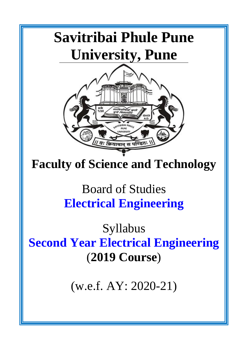# **Savitribai Phule Pune University, Pune**



## **Faculty of Science and Technology**

## Board of Studies **Electrical Engineering**

Syllabus **Second Year Electrical Engineering** (**2019 Course**)

(w.e.f. AY: 2020-21)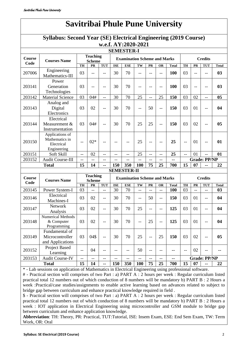## **Savitribai Phule Pune University**

### **Syllabus: Second Year (SE) Electrical Engineering (2019 Course) w.e.f. AY:2020-2021**

| <b>SEMESTER-I</b>     |                                                                |                                  |                                  |                |                                     |                                     |                          |     |                |              |                |                |                          |                |
|-----------------------|----------------------------------------------------------------|----------------------------------|----------------------------------|----------------|-------------------------------------|-------------------------------------|--------------------------|-----|----------------|--------------|----------------|----------------|--------------------------|----------------|
| <b>Course</b><br>Code | <b>Courses Name</b>                                            | <b>Teaching</b><br><b>Scheme</b> |                                  |                | <b>Examination Scheme and Marks</b> |                                     |                          |     | <b>Credits</b> |              |                |                |                          |                |
|                       |                                                                | TH                               | PR                               | <b>TUT</b>     | <b>ISE</b>                          | <b>ESE</b>                          | TW                       | PR  | <b>OR</b>      | <b>Total</b> | TH             | PR             | <b>TUT</b>               | <b>Total</b>   |
| 207006                | Engineering<br>Mathematics-III                                 | 03                               | $-$                              | $-$            | 30                                  | 70                                  | $-$                      | $-$ | $-$            | 100          | 03             | $-$            | $-$                      | 03             |
| 203141                | Power<br>Generation<br>Technologies                            | 03                               | --                               | --             | 30                                  | 70                                  | --                       |     | --             | 100          | 03             | --             | --                       | 03             |
| 203142                | <b>Material Science</b>                                        | 03                               | 04#                              | $\overline{a}$ | 30                                  | 70                                  | 25                       | --  | 25             | 150          | 03             | 02             | --                       | 0 <sub>5</sub> |
| 203143                | Analog and<br>Digital<br>Electronics                           | 03                               | 02                               | $-$            | 30                                  | 70                                  | $-$                      | 50  | $-$            | 150          | 03             | 01             | $-$                      | 04             |
| 203144                | Electrical<br>Measurement &<br>Instrumentation                 | 03                               | 04#                              | --             | 30                                  | 70                                  | 25                       | 25  | --             | 150          | 03             | 02             | --                       | 0 <sub>5</sub> |
| 203150                | Applications of<br>Mathematics in<br>Electrical<br>Engineering | $-$                              | $02*$                            | --             |                                     |                                     | 25                       | --  | $-$            | 25           | $-$            | 01             | --                       | 01             |
| 203151                | Soft Skill                                                     | $\overline{\phantom{a}}$         | 02                               | $-$            | $-$                                 | $-$                                 | 25                       | $-$ | $-$            | 25           | $-$            | 01             | $\overline{\phantom{a}}$ | 01             |
| 203152                | <b>Audit Course-III</b>                                        | $-$                              | --                               | --             | --                                  |                                     | --                       | --  |                | --           |                |                | <b>Grade: PP/NP</b>      |                |
| <b>Total</b>          |                                                                | 15                               | 14                               | --             | 150                                 | 350                                 | 100                      | 75  | 25             | 700          | 15             | 07             | --                       | 22             |
|                       |                                                                |                                  |                                  |                |                                     | <b>SEMESTER-II</b>                  |                          |     |                |              |                |                |                          |                |
| <b>Course</b><br>Code | <b>Courses Name</b>                                            |                                  | <b>Teaching</b><br><b>Scheme</b> |                |                                     | <b>Examination Scheme and Marks</b> |                          |     |                |              | <b>Credits</b> |                |                          |                |
|                       |                                                                | TH                               | PR                               | <b>TUT</b>     | <b>ISE</b>                          | <b>ESE</b>                          | TW                       | PR  | <b>OR</b>      | <b>Total</b> | TH             | PR             | <b>TUT</b>               | <b>Total</b>   |
| 203145                | Power System-I                                                 | 03                               | $\overline{a}$                   | $-$            | 30                                  | 70                                  | $\overline{\phantom{a}}$ | --  | $-$            | <b>100</b>   | 03             | $\overline{a}$ | $\overline{\phantom{a}}$ | 03             |
| 203146                | Electrical<br>Machines-I                                       | 03                               | 02                               | $-$            | 30                                  | 70                                  | $-$                      | 50  | $-$            | 150          | 03             | 01             | $-$                      | 04             |
| 203147                | Network<br>Analysis                                            | 03                               | 02                               | $-$            | 30                                  | 70                                  | 25                       | --  | --             | 125          | 03             | 01             | --                       | 04             |
| 203148                | <b>Numerical Methods</b><br>& Computer<br>Programming          | 03                               | 02                               | $-$            | 30                                  | 70                                  | --                       | 25  | $-$            | 125          | 03             | 01             | --                       | 04             |
| 203149                | Fundamental of<br>Microcontroller<br>and Applications          | 03                               | 04\$                             |                | 30                                  | 70                                  | 25                       |     | 25             | 150          | 03             | 02             |                          | 0 <sub>5</sub> |
| 203152                | Project Based<br>Learning                                      | $-$                              | 04                               | --             | --                                  | --                                  | 50                       | --  | --             | --           | $-$            | 02             | --                       |                |
| 203153                | <b>Audit Course-IV</b>                                         | $-$                              | --                               | $-$            | --                                  |                                     | $-$                      | --  | --             | --           |                |                | <b>Grade: PP/NP</b>      |                |
|                       | <b>Total</b>                                                   | 15                               | 14                               | --             | 150                                 | 350                                 | <b>100</b>               | 75  | 25             | 700          | 15             | 07             | --                       | 22             |
|                       |                                                                |                                  |                                  |                |                                     |                                     |                          |     |                |              |                |                |                          |                |

\* - Lab sessions on application of Mathematics in Electrical Engineering using professional software.

# - Practical section will comprises of two Part : a) PART A : 2 hours per week : Regular curriculum listed practical total 12 numbers out of which conduction of 8 numbers will be mandatory b) PART B : 2 Hours a week :Practical/case studies/assignments to enable active learning based on advances related to subject to bridge gap between curriculum and enhance practical knowledge required in field .

\$ - Practical section will comprises of two Part : a) PART A : 2 hours per week : Regular curriculum listed practical total 12 numbers out of which conduction of 8 numbers will be mandatory b) PART B : 2 Hours a week : IOT application in Electrical Engineering using microcontroller and GSM module to bridge gap between curriculum and enhance application knowledge.

**Abbreviation**: TH: Theory, PR: Practical, TUT:Tutorial, ISE: Insem Exam, ESE: End Sem Exam, TW: Term Work, OR: Oral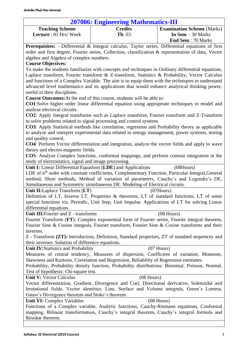### **207006: Engineering Mathematics-III**

<span id="page-2-0"></span>

| <b>Teaching Scheme</b>       | <b>Credits</b> | <b>Examination Scheme</b> [Marks] |  |
|------------------------------|----------------|-----------------------------------|--|
| <b>Lecture</b> : 03 Hrs/Week | <b>Th</b> : 03 | In Sem $: 30$ Marks               |  |
|                              |                | <b>End Sem</b> : 70 Marks         |  |

**Prerequisites: -** Differential & Integral calculus, Taylor series, Differential equations of first order and first degree, Fourier series, Collection, classification & representation of data, Vector algebra and Algebra of complex numbers.

### **Course Objectives:**

To make the students familiarize with concepts and techniques in Ordinary differential equations, Laplace transform, Fourier transform & Z-transform, Statistics & Probability, Vector Calculus and functions of a Complex Variable. The aim is to equip them with the techniques to understand advanced level mathematics and its applications that would enhance analytical thinking power, useful in their disciplines.

**Course Outcomes:**At the end of this course, students will be able to:

**CO1**:Solve higher order linear differential equation using appropriate techniques to model and analyze electrical circuits.

**CO2**: Apply Integral transforms such as Laplace transform, Fourier transform and Z-Transform to solve problems related to signal processing and control systems.

**CO3**: Apply Statistical methods like correlation, regression and Probability theory as applicable to analyze and interpret experimental data related to energy management, power systems, testing and quality control.

**CO4**: Perform Vector differentiation and integration, analyze the vector fields and apply to wave theory and electro-magnetic fields.

**CO5**: Analyze Complex functions, conformal mappings, and perform contour integration in the study of electrostatics, signal and image processing.

**Unit I:** Linear Differential Equations (LDE) and Applications (08Hours)

LDE of n<sup>th</sup> order with constant coefficients, Complementary Function, Particular Integral, General method, Short methods, Method of variation of parameters, Cauchy's and Legendre's DE, Simultaneous and Symmetric simultaneous DE. Modeling of Electrical circuits.

### **Unit II:**Laplace Transform (**LT**) (07Hours)

Definition of LT, Inverse LT, Properties & theorems, LT of standard functions, LT of some special functions viz. Periodic, Unit Step, Unit Impulse. Applications of LT for solving Linear differential equations.

Unit III: Fourier and Z - transforms (08 Hours)

Fourier Transform (**FT**): Complex exponential form of Fourier series, Fourier integral theorem, Fourier Sine & Cosine integrals, Fourier transform, Fourier Sine & Cosine transforms and their inverses.

Z - Transform **(ZT):** Introduction, Definition, Standard properties, ZT of standard sequences and their inverses. Solution of difference equations.

Unit IV:Statistics and Probability (07 Hours)

Measures of central tendency, Measures of dispersion, Coefficient of variation, Moments, Skewness and Kurtosis, Correlation and Regression, Reliability of Regression estimates.

Probability, Probability density function, Probability distributions: Binomial, Poisson, Normal, Test of hypothesis: Chi-square test.

**Unit V:** Vector Calculus (08 Hours)

Vector differentiation, Gradient, Divergence and Curl, Directional derivative, Solenoidal and Irrotational fields, Vector identities. Line, Surface and Volume integrals, Green's Lemma, Gauss's Divergence theorem and Stoke's theorem.

### **Unit VI:** Complex Variables (08 Hours)

Functions of a Complex variable, Analytic functions, Cauchy-Riemann equations, Conformal mapping, Bilinear transformation, Cauchy's integral theorem, Cauchy's integral formula and Residue theorem.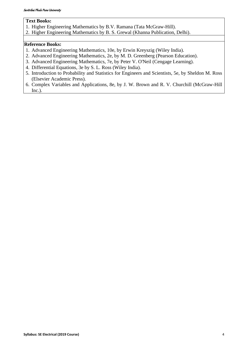### **Text Books:**

- 1. Higher Engineering Mathematics by B.V. Ramana (Tata McGraw-Hill).
- 2. Higher Engineering Mathematics by B. S. Grewal (Khanna Publication, Delhi).

### **Reference Books:**

- 1. Advanced Engineering Mathematics, 10e, by Erwin Kreyszig (Wiley India).
- 2. Advanced Engineering Mathematics, 2e, by M. D. Greenberg (Pearson Education).
- 3. Advanced Engineering Mathematics, 7e, by Peter V. O'Neil (Cengage Learning).
- 4. Differential Equations, 3e by S. L. Ross (Wiley India).
- 5. Introduction to Probability and Statistics for Engineers and Scientists, 5e, by Sheldon M. Ross (Elsevier Academic Press).
- 6. Complex Variables and Applications, 8e, by J. W. Brown and R. V. Churchill (McGraw-Hill Inc.).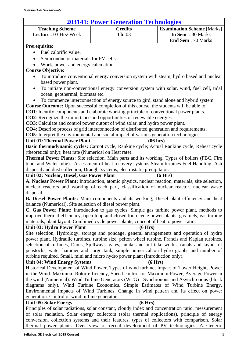| <b>203141: Power Generation Technologies</b>                                                  |                                                                                                                                                                                                |                                   |  |  |  |
|-----------------------------------------------------------------------------------------------|------------------------------------------------------------------------------------------------------------------------------------------------------------------------------------------------|-----------------------------------|--|--|--|
| <b>Teaching Scheme</b>                                                                        | <b>Credits</b>                                                                                                                                                                                 | <b>Examination Scheme [Marks]</b> |  |  |  |
| Lecture: 03 Hrs/Week                                                                          | <b>Th</b> : 03                                                                                                                                                                                 | In Sem : 30 Marks                 |  |  |  |
|                                                                                               |                                                                                                                                                                                                | <b>End Sem: 70 Marks</b>          |  |  |  |
| Prerequisite:                                                                                 |                                                                                                                                                                                                |                                   |  |  |  |
| Fuel calorific value.                                                                         |                                                                                                                                                                                                |                                   |  |  |  |
| Semiconductor materials for PV cells.                                                         |                                                                                                                                                                                                |                                   |  |  |  |
| Work, power and energy calculation.                                                           |                                                                                                                                                                                                |                                   |  |  |  |
| <b>Course Objective:</b>                                                                      |                                                                                                                                                                                                |                                   |  |  |  |
| $\bullet$                                                                                     | To introduce conventional energy conversion system with steam, hydro based and nuclear                                                                                                         |                                   |  |  |  |
| based power plant.                                                                            |                                                                                                                                                                                                |                                   |  |  |  |
| ocean, geothermal, biomass etc.                                                               | To initiate non-conventional energy conversion system with solar, wind, fuel cell, tidal                                                                                                       |                                   |  |  |  |
|                                                                                               | To commence interconnection of energy source to gird, stand alone and hybrid system.                                                                                                           |                                   |  |  |  |
|                                                                                               | Course Outcome: Upon successful completion of this course, the students will be able to:                                                                                                       |                                   |  |  |  |
|                                                                                               | CO1: Identify components and elaborate working principle of conventional power plants.                                                                                                         |                                   |  |  |  |
|                                                                                               | <b>CO2</b> : Recognize the importance and opportunities of renewable energies.                                                                                                                 |                                   |  |  |  |
|                                                                                               | CO3: Calculate and control power output of wind solar, and hydro power plant.                                                                                                                  |                                   |  |  |  |
|                                                                                               | <b>CO4</b> : Describe process of grid interconnection of distributed generation and requirements.                                                                                              |                                   |  |  |  |
|                                                                                               | CO5: Interpret the environmental and social impact of various generation technologies.                                                                                                         |                                   |  |  |  |
| <b>Unit 01: Thermal Power Plant</b>                                                           | (06 hrs)                                                                                                                                                                                       |                                   |  |  |  |
|                                                                                               | Basic thermodynamic cycles: Carnot cycle, Rankine cycle; Actual Rankine cycle; Reheat cycle                                                                                                    |                                   |  |  |  |
| (theoretical only); heat rate (Numerical on Heat rate).                                       |                                                                                                                                                                                                |                                   |  |  |  |
|                                                                                               | <b>Thermal Power Plants:</b> Site selection, Main parts and its working. Types of boilers (FBC, Fire                                                                                           |                                   |  |  |  |
|                                                                                               | tube, and Water tube). Assessment of heat recovery systems Steam turbines Fuel Handling, Ash                                                                                                   |                                   |  |  |  |
|                                                                                               | disposal and dust collection, Draught systems, electrostatic precipitator.                                                                                                                     |                                   |  |  |  |
| Unit 02: Nuclear, Diesel, Gas Power Plant                                                     |                                                                                                                                                                                                | (6 Hrs)                           |  |  |  |
|                                                                                               | A. Nuclear Power Plant: Introduction, atomic physics, nuclear reaction, materials, site selection,                                                                                             |                                   |  |  |  |
|                                                                                               | nuclear reactors and working of each part, classification of nuclear reactor, nuclear waste                                                                                                    |                                   |  |  |  |
| disposal.                                                                                     |                                                                                                                                                                                                |                                   |  |  |  |
|                                                                                               | B. Diesel Power Plants: Main components and its working, Diesel plant efficiency and heat                                                                                                      |                                   |  |  |  |
| balance (Numerical), Site selection of diesel power plant.                                    |                                                                                                                                                                                                |                                   |  |  |  |
|                                                                                               | C. Gas Power Plant: Introduction to gas cycles. Simple gas turbine power plant, methods to<br>improve thermal efficiency, open loop and closed loop cycle power plants, gas fuels, gas turbine |                                   |  |  |  |
|                                                                                               |                                                                                                                                                                                                |                                   |  |  |  |
| Unit 03: Hydro Power Plant                                                                    | materials, plant layout. Combined cycle power plants, concept of heat to power ratio.<br>(6 Hrs)                                                                                               |                                   |  |  |  |
|                                                                                               | Site selection, Hydrology, storage and pondage, general arrangements and operation of hydro                                                                                                    |                                   |  |  |  |
|                                                                                               | power plant, Hydraulic turbines, turbine size, pelton wheel turbine, Francis and Kaplan turbines,                                                                                              |                                   |  |  |  |
|                                                                                               | selection of turbines, Dams, Spillways, gates, intake and out take works, canals and layout of                                                                                                 |                                   |  |  |  |
|                                                                                               | penstocks, water hammer and surge tank, simple numerical on hydro graphs and number of                                                                                                         |                                   |  |  |  |
|                                                                                               |                                                                                                                                                                                                |                                   |  |  |  |
| <b>Unit 04: Wind Energy Systems</b>                                                           | turbine required. Small, mini and micro hydro power plant (Introduction only).<br>(6 Hrs)                                                                                                      |                                   |  |  |  |
|                                                                                               | Historical Development of Wind Power, Types of wind turbine, Impact of Tower Height, Power                                                                                                     |                                   |  |  |  |
|                                                                                               | in the Wind. Maximum Rotor efficiency, Speed control for Maximum Power, Average Power in                                                                                                       |                                   |  |  |  |
|                                                                                               | the wind (Numerical). Wind Turbine Generators (WTG) - Synchronous and Asynchronous (block                                                                                                      |                                   |  |  |  |
|                                                                                               | diagrams only), Wind Turbine Economics, Simple Estimates of Wind Turbine Energy,                                                                                                               |                                   |  |  |  |
|                                                                                               | Environmental Impacts of Wind Turbines. Change in wind pattern and its effect on power                                                                                                         |                                   |  |  |  |
| generation. Control of wind turbine generator.                                                |                                                                                                                                                                                                |                                   |  |  |  |
| <b>Unit 05: Solar Energy</b>                                                                  | (6 Hrs)                                                                                                                                                                                        |                                   |  |  |  |
|                                                                                               | Principles of solar radiations, solar constant, cloudy index and concentration ratio, measurement                                                                                              |                                   |  |  |  |
|                                                                                               | of solar radiation. Solar energy collectors (solar thermal applications), principle of energy                                                                                                  |                                   |  |  |  |
| conversion, collection systems and their features, types of collectors with comparison. Solar |                                                                                                                                                                                                |                                   |  |  |  |

thermal power plants. Over view of recent development of PV technologies. A Generic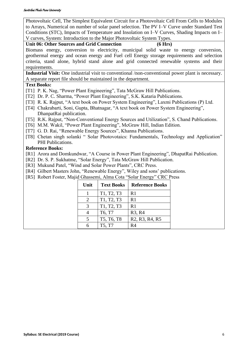Photovoltaic Cell, The Simplest Equivalent Circuit for a Photovoltaic Cell From Cells to Modules to Arrays, Numerical on number of solar panel selection. The PV I–V Curve under Standard Test Conditions (STC), Impacts of Temperature and Insolation on I–V Curves, Shading Impacts on I– V curves, System: Introduction to the Major Photovoltaic System Types.

### **Unit 06: Other Sources and Grid Connection (6 Hrs)**

Biomass energy, conversion to electricity, municipal solid waste to energy conversion, geothermal energy and ocean energy and Fuel cell Energy storage requirements and selection criteria, stand alone, hybrid stand alone and grid connected renewable systems and their requirements.

**Industrial Visit:** One industrial visit to conventional /non-conventional power plant is necessary. A separate report file should be maintained in the department.

### **Text Books:**

- [T1] P. K. Nag, "Power Plant Engineering", Tata McGraw Hill Publications.
- [T2] Dr. P. C. Sharma, "Power Plant Engineering", S.K. Kataria Publications.
- [T3] R. K. Rajput, "A text book on Power System Engineering", Laxmi Publications (P) Ltd.
- [T4] Chakrabarti, Soni, Gupta, Bhatnagar, "A text book on Power System Engineering", DhanpatRai publication.
- [T5] R.K. Rajput, "Non-Conventional Energy Sources and Utilization", S. Chand Publications.
- [T6] M.M. Wakil, "Power Plant Engineering", McGraw Hill, Indian Edition.
- [T7] G. D. Rai, "Renewable Energy Sources", Khanna Publications.
- [T8] Chetan singh solanki " Solar Photovotaics: Fundamentals, Technology and Application" PHI Publications.

### **Reference Books:**

- [R1] Arora and Domkundwar, "A Course in Power Plant Engineering", DhapatRai Publication.
- [R2] Dr. S. P. Sukhatme, "Solar Energy", Tata McGraw Hill Publication.
- [R3] Mukund Patel, "Wind and Solar Power Plants", CRC Press.
- [R4] Gilbert Masters John, "Renewable Energy", Wiley and sons' publications.
- [R5] Robert Foster, Majid Ghassemi, Alma Cota "Solar Energy" CRC Press

| Unit | <b>Text Books</b>                                | <b>Reference Books</b>                                            |
|------|--------------------------------------------------|-------------------------------------------------------------------|
|      | T1, T2, T3                                       | R1                                                                |
| 2    | T1, T2, T3                                       | R <sub>1</sub>                                                    |
| 3    | T1, T2, T3                                       | R1                                                                |
| 4    | T6, T7                                           | R <sub>3</sub> , R <sub>4</sub>                                   |
| 5    | T <sub>5</sub> , T <sub>6</sub> , T <sub>8</sub> | R <sub>2</sub> , R <sub>3</sub> , R <sub>4</sub> , R <sub>5</sub> |
| 6    | T5, T7                                           | R <sub>4</sub>                                                    |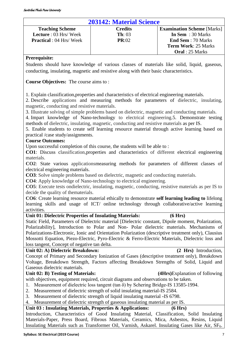### **203142: Material Science**

<span id="page-6-0"></span>

| <u>TUJI TII. INIUVI IUI DUIVIIVU</u> |                    |                                   |  |
|--------------------------------------|--------------------|-----------------------------------|--|
| <b>Teaching Scheme</b>               | <b>Credits</b>     | <b>Examination Scheme</b> [Marks] |  |
| <b>Lecture</b> : $03$ Hrs/Week       | $\mathbf{Th}$ : 03 | In Sem $: 30$ Marks               |  |
| <b>Practical</b> : 04 Hrs/Week       | PR:02              | <b>End Sem</b> : 70 Marks         |  |
|                                      |                    | <b>Term Work: 25 Marks</b>        |  |
|                                      |                    | <b>Oral</b> : 25 Marks            |  |

### **Prerequisite:**

Students should have knowledge of various classes of materials like solid, liquid, gaseous, conducting, insulating, magnetic and resistive along with their basic characteristics.

**Course Objectives:** The course aims to :

1. Explain classification,properties and characteristics of electrical engineering materials.

2. Describe applications and measuring methods for parameters of dielectric, insulating, magnetic, conducting and resistive materials.

3. Illustrate solving of simple problems based on dielectric, magnetic and conducting materials.

4. Impart knowledge of Nano-technology to electrical engineering.5. Demonstrate testing methods of dielectric, insulating, magnetic, conducting and resistive materials as per IS.

5. Enable students to create self learning resource material through active learning based on practical /case study/assignments.

### **Course Outcomes:**

Upon successful completion of this course, the students will be able to :

**CO1**: Discuss classification,properties and characteristics of different electrical engineering materials.

**CO2**: State various applicationsmeasuring methods for parameters of different classes of electrical engineering materials.

**CO3**: Solve simple problems based on dielectric, magnetic and conducting materials.

**CO4**: Apply knowledge of Nano-technology to electrical engineering.

**CO5**: Execute tests ondielectric, insulating, magnetic, conducting, resistive materials as per IS to decide the quality of thematerials.

**CO6**: Create learning resource material ethically to demonstrate **self learning leading to** lifelong learning skills and usage of ICT/ online technology through collaborative/active learning activities.

### **Unit 01: Dielectric Properties of Insulating Materials: (6 Hrs)**

Static Field, Parameters of Dielectric material [Dielectric constant, Dipole moment, Polarization, Polarizability], Introduction to Polar and Non- Polar dielectric materials. Mechanisms of Polarizations-Electronic, Ionic and Orientation Polarization (descriptive treatment only), Clausius Mossotti Equation, Piezo-Electric, Pyro-Electric & Ferro-Electric Materials, Dielectric loss and loss tangent, Concept of negative tan delta.

### **Unit 02: A) Dielectric Breakdown: (2 Hrs)** Introduction,

Concept of Primary and Secondary Ionization of Gases (descriptive treatment only), Breakdown Voltage, Breakdown Strength, Factors affecting Breakdown Strengths of Solid, Liquid and Gaseous dielectric materials.

### **Unit 02: B) Testing of Materials: (4Hrs)**Explanation of following

with objectives, equipment required, circuit diagrams and observations to be taken.

- 1. Measurement of dielectric loss tangent (tan δ) by Schering Bridge-IS 13585-1994.
- 2. Measurement of dielectric strength of solid insulating material**-**IS 2584.
- 3. Measurement of dielectric strength of liquid insulating material **-**IS 6798.

4. Measurement of dielectric strength of gaseous insulating material as per IS.

### **Unit 03 : Insulating Materials, Properties & Applications: (6 Hrs)**

Introduction, Characteristics of Good Insulating Material, Classification, Solid Insulating Materials-Paper, Press Board, Fibrous Materials, Ceramics, Mica, Asbestos, Resins, Liquid Insulating Materials such as Transformer Oil, Varnish, Askarel. Insulating Gases like Air, SF<sub>6</sub>.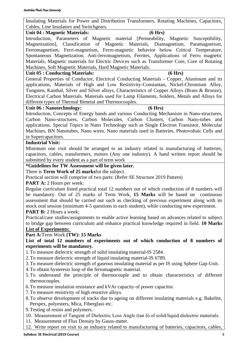| Insulating Materials for Power and Distribution Transformers, Rotating Machines, Capacitors,                                            |  |  |  |  |
|-----------------------------------------------------------------------------------------------------------------------------------------|--|--|--|--|
| Cables, Line Insulators and Switchgears.                                                                                                |  |  |  |  |
| (6 Hrs)<br><b>Unit 04 : Magnetic Materials:</b>                                                                                         |  |  |  |  |
| Introduction, Parameters of Magnetic material [Permeability, Magnetic Susceptibility,                                                   |  |  |  |  |
| Magnetization], Classification of Magnetic Materials, Diamagnetism, Paramagnetism,                                                      |  |  |  |  |
| Ferromagnetism, Ferri-magnetism, Ferro-magnetic behavior below Critical Temperature,                                                    |  |  |  |  |
| Spontaneous Magnetization, Anti-ferromagnetism, Ferrites, Applications of Ferro magnetic                                                |  |  |  |  |
| Materials, Magnetic materials for Electric Devices such as Transformer Core, Core of Rotating                                           |  |  |  |  |
| Machines, Soft Magnetic Materials, Hard Magnetic Materials.                                                                             |  |  |  |  |
| <b>Unit 05 : Conducting Materials:</b><br>(6 Hrs)                                                                                       |  |  |  |  |
| General Properties of Conductor, Electrical Conducting Materials - Copper, Aluminum and its                                             |  |  |  |  |
| applications, Materials of High and Low Resistivity-Constantan, Nickel-Chromium Alloy,                                                  |  |  |  |  |
| Tungsten, Kanthal, Silver and Silver alloys, Characteristics of Copper Alloys (Brass & Bronze),                                         |  |  |  |  |
| Electrical Carbon Materials. Materials used for Lamp Filaments, Solders, Metals and Alloys for                                          |  |  |  |  |
| different types of Thermal Bimetal and Thermocouples.                                                                                   |  |  |  |  |
| (6 Hrs)<br>Unit 06 : Nanotechnology:                                                                                                    |  |  |  |  |
| Introduction, Concepts of Energy bands and various Conducting Mechanism in Nano-structures,                                             |  |  |  |  |
| Carbon Nano-structures, Carbon Molecules, Carbon Clusters, Carbon Nano-tubes and                                                        |  |  |  |  |
| applications. Special Topics in Nano Technology such as Single Electron Transistor, Molecular                                           |  |  |  |  |
| Machines, BN Nanotubes, Nano wires. Nano materials used in Batteries, Photovoltaic Cells and                                            |  |  |  |  |
| in Supercapacitors.                                                                                                                     |  |  |  |  |
| <b>Industrial Visit:</b>                                                                                                                |  |  |  |  |
| Minimum one visit should be arranged to an industry related to manufacturing of batteries,                                              |  |  |  |  |
| capacitors, cables, transformers, motors (Any one industry). A hand written report should be                                            |  |  |  |  |
| submitted by every student as a part of term work                                                                                       |  |  |  |  |
| <i>*Guidelines for TW Assessment will be given later.</i>                                                                               |  |  |  |  |
| There is Term Work of 25 marksfor the subject.<br>Practical section will comprise of two parts: (Refer SE Structure 2019 Pattern)       |  |  |  |  |
| <b>PART A:</b> 2 Hours per week:                                                                                                        |  |  |  |  |
| Regular curriculum listed practical total 12 numbers out of which conduction of 8 numbers will                                          |  |  |  |  |
| be mandatory. Out of 25 marks of Term Work, 15 Marks will be based on continuous                                                        |  |  |  |  |
| assessment that should be carried out such as checking of previous experiment along with its                                            |  |  |  |  |
| mock oral session (minimum 4-5 questions to each student), while conducting new experiment.                                             |  |  |  |  |
| <b>PART B:</b> 2 Hours a week:                                                                                                          |  |  |  |  |
| Practical/case studies/assignments to enable active learning based on advances related to subject                                       |  |  |  |  |
| to bridge gap between curriculum and enhance practical knowledge required in field. 10 Marks                                            |  |  |  |  |
| <b>List of Experiments:</b>                                                                                                             |  |  |  |  |
| Part A:Term Work (TW): 15 Marks                                                                                                         |  |  |  |  |
| List of total 12 numbers of experiments out of which conduction of 8 numbers of                                                         |  |  |  |  |
| experiments will be mandatory.                                                                                                          |  |  |  |  |
| 1. To measure dielectric strength of solid insulating material-IS 2584.                                                                 |  |  |  |  |
| 2. To measure dielectric strength of liquid insulating material-IS 6789.                                                                |  |  |  |  |
| 3. To measure dielectric strength of gaseous insulating material as per IS using Sphere Gap-Unit.                                       |  |  |  |  |
| 4. To obtain hysteresis loop of the ferromagnetic material.                                                                             |  |  |  |  |
| 5. To understand the principle of thermocouple and to obtain characteristics of different                                               |  |  |  |  |
| thermocouples.                                                                                                                          |  |  |  |  |
| 6. To measure insulation resistance and kVAr capacity of power capacitor.                                                               |  |  |  |  |
| 7. To measure resistivity of high resistive alloys.                                                                                     |  |  |  |  |
| 8. To observe development of tracks due to ageing on different insulating materials e.g. Bakelite,                                      |  |  |  |  |
| Perspex, polyesters, Mica, Fiberglass etc.                                                                                              |  |  |  |  |
| 9. Testing of resins and polymers.<br>10. Measurement of Tangent of Dielectric Loss Angle (tan δ) of solid/liquid dielectric materials. |  |  |  |  |
|                                                                                                                                         |  |  |  |  |

- 11. Measurement of Flux Density by Gauss-meter.
- 12. Write report on visit to an industry related to manufacturing of batteries, capacitors, cables,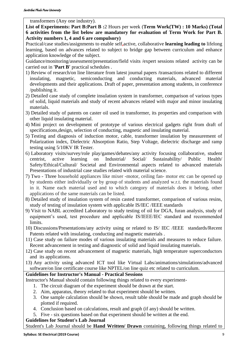transformers (Any one industry).

**List of Experiments: Part B:Part B :**2 Hours per week (**Term Work(TW) : 10 Marks) (Total 6 activities from the list below are mandatory for evaluation of Term Work for Part B. Activity numbers 1, 4 and 6 are compulsory)**

Practical/case studies/assignments to enable self**,**active, collaborative **learning leading to** lifelong learning, based on advances related to subject to bridge gap between curriculum and enhance application knowledge of the subject.

Guidance/monitoring/assessment/presentation/field visits /expert sessions related activity can be carried out in **'Part B'** practical schedules .

- 1) Review of research/on line literature from latest journal papers /transactions related to different insulating, magnetic, semiconducting and conducting materials, advanced material developments and their applications. Draft of paper, presentation among students, in conference /publishing it.
- 2) Detailed case study of complete insulation system in transformer, comparison of various types of solid, liquid materials and study of recent advances related with major and minor insulating materials.
- 3) Detailed study of patents on caster oil used in transformer, its properties and comparison with other liquid insulating material.
- 4) Mini project on development of prototype of various electrical gadgets right from draft of specifications,design, selection of conducting, magnetic and insulating material.
- 5) Testing and diagnosis of induction motor, cable, transformer insulation by measurement of Polarization index, Dielectric Absorption Ratio, Step Voltage, dielectric discharge and ramp testing using 5/10KV IR Tester.
- 6) Laboratory visits/survey/role play/games/debates/any activity focusing collaborative, student centrist, active learning on Industrial/ Social/ Sustainability/ Public Health/ Safety/Ethical/Cultural/ Societal and Environmental aspects related to advanced materials Presentations of industrial case studies related with material science.
- 7) Two Three household appliances like mixer -motor, ceiling fan- motor etc can be opened up by students either individually or by group of students and analyzed w.r.t. the materials found in it. Name each material used and to which category of materials does it belong, other applications of the same materials can be listed.
- 8) Detailed study of insulation system of resin casted transformer, comparison of various resins, study of testing of insulation system with applicable IS/IEC /IEEE standards
- 9) Visit to NABL accredited Laboratory to study testing of oil for DGA, furan analysis, study of equipment's used, test procedure and applicable IS/IEEE/IEC standard and recommended limits.
- 10) Discussions/Presentations/any activity using or related to IS/ IEC /IEEE standards/Recent Patents related with insulating, conducting and magnetic materials .
- 11) Case study on failure modes of various insulating materials and measures to reduce failure. Recent advancement in testing and diagnostic of solid and liquid insulating materials.
- 12) Case study on recent advancement of magnetic materials, high temperature superconductors and its applications.
- 13) Any activity using advanced ICT tool like Virtual Labs/animations/simulations/advanced software/on line certificate course like NPTEL/on line quiz etc related to curriculum.

### **Guidelines for Instructor's Manual - Practical Sessions**

Instructor's Manual should contain following things related to every experiment-

- 1. The circuit diagram of the experiment should be drawn at the start.
- 2. Aim, apparatus, theory related to that experiment should be written.
- 3. One sample calculation should be shown, result table should be made and graph should be plotted if required.
- 4. Conclusion based on calculations, result and graph (if any) should be written.
- 5. Five six questions based on that experiment should be written at the end.

### **Guidelines for Student's Lab Journal**

Student's Lab Journal should be **Hand Written/ Drawn** containing, following things related to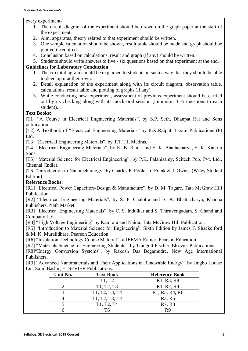every experiment-

- 1. The circuit diagram of the experiment should be drawn on the graph paper at the start of the experiment.
- 2. Aim, apparatus, theory related to that experiment should be written.
- 3. One sample calculation should be shown, result table should be made and graph should be plotted if required.
- 4. Conclusion based on calculations, result and graph (if any) should be written.
- 5. Students should write answers to five six questions based on that experiment at the end.

### **Guidelines for Laboratory Conduction**

- 1. The circuit diagram should be explained to students in such a way that they should be able to develop it at their own.
- 2. Detail explanation of the experiment along with its circuit diagram, observation table, calculations, result table and plotting of graphs (if any).
- 3. While conducting new experiment, assessment of previous experiment should be carried out by its checking along with its mock oral session (minimum 4 -5 questions to each student).

### **Text Books:**

[T1] "A Course in Electrical Engineering Materials", by S.P. Seth, Dhanpat Rai and Sons publication.

[T2] A Textbook of "Electrical Engineering Materials" by R.K.Rajput, Laxmi Publications (P) Ltd.

[T3] "Electrical Engineering Materials", by T.T.T.I, Madras.

[T4] "Electrical Engineering Materials", by K. B. Raina and S. K. Bhattacharya, S. K. Kataria Sons.

[T5] "Material Science for Electrical Engineering", by P.K. Palanisamy, Scitech Pub. Pvt. Ltd., Chennai (India).

[T6] "Introduction to Nanotechnology" by Charles P. Poole, Jr. Frank & J. Ownes (Wiley Student) Edition)

### **Reference Books:**

[R1] "Electrical Power Capacitors-Design & Manufacture", by D. M. Tagare, Tata McGraw Hill Publication.

[R2] "Electrical Engineering Materials", by S. P. Chalotra and B. K. Bhattacharya, Khanna Publishers, Nath Market.

[R3] "Electrical Engineering Materials", by C. S. Indulkar and S. Thiruvengadam, S. Chand and Company Ltd.

[R4] "High Voltage Engineering" by Kamraju and Naidu, Tata McGraw Hill Publication.

[R5] "Introduction to Material Science for Engineering", Sixth Edition by James F. Shackelford & M. K. Muralidhara, Pearson Education.

[R6] "Insulation Technology Course Material" of IEEMA Ratner, Pearson Education.

[R7] "Materials Science for Engineering Students", by Traugott Fischer, Elsevier Publications.

[R8]"Energy Conversion Systems", by Rakosh Das Begamudre, New Age International Publishers.

[R9] "Advanced Nanomaterials and Their Applications in Renewable Energy", by Jingbo Louise Liu, Sajid Bashir, ELSEVIER Publications.

| Unit No. | <b>Text Book</b>                                 | <b>Reference Book</b>                                             |
|----------|--------------------------------------------------|-------------------------------------------------------------------|
|          | T1, T2                                           | R <sub>1</sub> , R <sub>3</sub> , R <sub>8</sub>                  |
|          | T <sub>1</sub> , T <sub>2</sub> , T <sub>3</sub> | R <sub>1</sub> , R <sub>2</sub> , R <sub>4</sub>                  |
|          | T1, T2, T3, T4                                   | R <sub>1</sub> , R <sub>3</sub> , R <sub>4</sub> , R <sub>6</sub> |
|          | T1, T2, T3, T4                                   | R <sub>3</sub> , R <sub>5</sub>                                   |
|          | T1, T2, T4                                       | R7, R8                                                            |
|          |                                                  |                                                                   |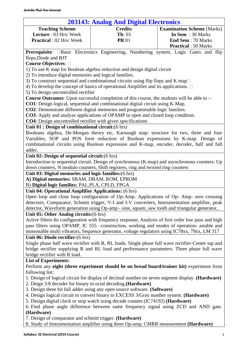<span id="page-10-0"></span>

| <b>203143: Analog And Digital Electronics</b>                                               |                                                                                                 |                                                                                                     |  |  |
|---------------------------------------------------------------------------------------------|-------------------------------------------------------------------------------------------------|-----------------------------------------------------------------------------------------------------|--|--|
| <b>Teaching Scheme</b>                                                                      | <b>Credits</b>                                                                                  | <b>Examination Scheme [Marks]</b>                                                                   |  |  |
| Lecture: 03 Hrs/Week                                                                        | Th: 03                                                                                          | In Sem : 30 Marks                                                                                   |  |  |
| <b>Practical</b> : 02 Hrs/Week                                                              | <b>PR:01</b>                                                                                    | <b>End Sem: 70 Marks</b>                                                                            |  |  |
|                                                                                             |                                                                                                 | <b>Practical</b> : 50 Marks                                                                         |  |  |
|                                                                                             |                                                                                                 | Prerequisite: <b>Basic Electronics Engineering</b> , Numbering system, Logic Gates and flip         |  |  |
| flops, Diode and BJT                                                                        |                                                                                                 |                                                                                                     |  |  |
| Course Objectives: □                                                                        |                                                                                                 |                                                                                                     |  |  |
|                                                                                             | 1) To use K map for Boolean algebra reduction and design digital circuit                        |                                                                                                     |  |  |
| 2) To introduce digital memories and logical families.                                      |                                                                                                 |                                                                                                     |  |  |
|                                                                                             | 3) To construct sequential and combinational circuits using flip flops and K map $\Box$         |                                                                                                     |  |  |
|                                                                                             | 4) To develop the concept of basics of operational Amplifier and its applications. $\Box$       |                                                                                                     |  |  |
| 5) To design uncontrolled rectifier                                                         |                                                                                                 |                                                                                                     |  |  |
|                                                                                             | Course Outcomes: Upon successful completion of this course, the students will be able to :-     |                                                                                                     |  |  |
|                                                                                             | <b>CO1</b> : Design logical, sequential and combinational digital circuit using K-Map.          |                                                                                                     |  |  |
|                                                                                             | <b>CO2</b> : Demonstrate different digital memories and programmable logic families.            |                                                                                                     |  |  |
|                                                                                             | <b>CO3</b> : Apply and analyze applications of OPAMP in open and closed loop condition.         |                                                                                                     |  |  |
| <b>CO4</b> : Design uncontrolled rectifier with given specifications                        |                                                                                                 |                                                                                                     |  |  |
| Unit 01 : Design of combinational circuit: (6 hrs)                                          |                                                                                                 |                                                                                                     |  |  |
|                                                                                             |                                                                                                 | Booleans algebra, De-Morgan theory etc, Karnaugh map: structure for two, three and four             |  |  |
|                                                                                             |                                                                                                 | Variables, SOP and POS form reduction of Boolean expressions by K-map. Design of                    |  |  |
|                                                                                             |                                                                                                 | combinational circuits using Boolean expression and K-map, encoder, decoder, half and full          |  |  |
| adder.                                                                                      |                                                                                                 |                                                                                                     |  |  |
| Unit 02: Design of sequential circuit: (6 hrs)                                              |                                                                                                 |                                                                                                     |  |  |
|                                                                                             |                                                                                                 | Introduction to sequential circuit. Design of synchronous (K-map) and asynchronous counters. Up     |  |  |
|                                                                                             | down counters, N modulo counters, Shift registers, ring and twisted ring counters               |                                                                                                     |  |  |
| Unit 03: Digital memories and logic families: (6 hrs)                                       |                                                                                                 |                                                                                                     |  |  |
| A) Digital memories: SRAM, DRAM, ROM, EPROM                                                 |                                                                                                 |                                                                                                     |  |  |
| B) Digital logic families: PAL, PLA, CPLD, FPGA                                             |                                                                                                 |                                                                                                     |  |  |
| Unit 04: Operational Amplifier Applications: (6 hrs)                                        |                                                                                                 |                                                                                                     |  |  |
|                                                                                             |                                                                                                 | Open loop and close loop configuration of Op-Amp. Applications of Op-Amp- zero crossing             |  |  |
|                                                                                             |                                                                                                 | detectors, Comparator, Schmitt trigger, V-I and I-V converters, Instrumentation amplifier, peak     |  |  |
|                                                                                             | detector, Waveform generation using Op-amp - sine, square, saw tooth and triangular generator,  |                                                                                                     |  |  |
| Unit 05: Other Analog circuits: (6 hrs)                                                     |                                                                                                 |                                                                                                     |  |  |
|                                                                                             |                                                                                                 | Active filters-Its configuration with frequency response, Analysis of first order low pass and high |  |  |
| pass filters using OPAMP, IC 555 -construction, working and modes of operation- astable and |                                                                                                 |                                                                                                     |  |  |
|                                                                                             | monostable multi vibrators, Sequence generator, voltage regulators using IC78xx, 79xx, LM 317   |                                                                                                     |  |  |
| Unit 06: Diode rectifier: (6 hrs)                                                           |                                                                                                 |                                                                                                     |  |  |
|                                                                                             |                                                                                                 | Single phase half wave rectifier with R, RL loads. Single phase full wave rectifier-Center tap and  |  |  |
|                                                                                             |                                                                                                 | bridge rectifier supplying R and RL load and performance parameters. Three phase full wave          |  |  |
| bridge rectifier with R load.                                                               |                                                                                                 |                                                                                                     |  |  |
| <b>List of Experiments:</b>                                                                 |                                                                                                 |                                                                                                     |  |  |
|                                                                                             |                                                                                                 | Perform any eight (three experiment should be on bread board/trainer kit) experiment from           |  |  |
| following list:                                                                             |                                                                                                 |                                                                                                     |  |  |
|                                                                                             | 1. Design of logical circuit for display of decimal number on seven segment display. (Hardware) |                                                                                                     |  |  |
| 2. Deign 3:8 decoder for binary to octal decoding. (Hardware)                               |                                                                                                 |                                                                                                     |  |  |
|                                                                                             | 3. Design three bit full adder using any open source software. (Software)                       |                                                                                                     |  |  |
|                                                                                             | 4. Design logical circuit to convert binary to EXCESS 3/Gray number system. (Hardware)          |                                                                                                     |  |  |
|                                                                                             | 5. Design digital clock or stop watch using decade counter. (IC74192) (Hardware)                |                                                                                                     |  |  |
|                                                                                             | 6. Find phase angle difference between same frequency signal using ZCD and AND gate.            |                                                                                                     |  |  |
| (Hardware)                                                                                  |                                                                                                 |                                                                                                     |  |  |
| 7. Design of comparator and schmitt trigger. (Hardware)                                     |                                                                                                 |                                                                                                     |  |  |
|                                                                                             | 8. Study of Instrumentation amplifier using three Op-amp, CMRR measurement (Hardware)           |                                                                                                     |  |  |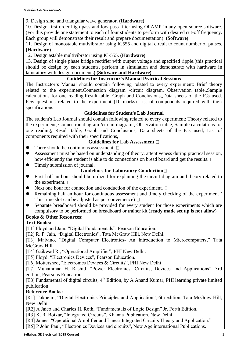### 9. Design sine, and triangular wave generator. **(Hardware)**

10. Design first order high pass and low pass filter using OPAMP in any open source software. (For this provide one statement to each of four students to perform with desired cut-off frequency. Each group will demonstrate their result and prepare documentation) **(Software)**

11. Design of monostable mutivibrator using IC555 and digital circuit to count number of pulses. **(Hardware)**

12. Design astable multivibrator using IC-555. **(Hardware)**

13. Design of single phase bridge rectifier with output voltage and specified ripple.(this practical should be design by each students, perform in simulation and demonstrate with hardware in laboratory with design documents) **(Software and Hardware)**

### **Guidelines for Instructor's Manual Practical Sessions**

The Instructor's Manual should contain following related to every experiment: Brief theory related to the experiment,Connection diagram /circuit diagram, Observation table,,Sample calculations for one reading,Result table, Graph and Conclusions,,Data sheets of the ICs used. Few questions related to the experiment (10 marks) List of components required with their specifications .

### **Guidelines for Student's Lab Journal**

The student's Lab Journal should contain following related to every experiment: Theory related to the experiment, Connection diagram /circuit diagram , Observation table, Sample calculations for one reading, Result table, Graph and Conclusions, Data sheets of the ICs used, List of components required with their specifications,

### **Guidelines for Lab Assessment**

- $\bullet$  There should be continuous assessment.  $\square$
- Assessment must be based on understanding of theory, attentiveness during practical session, how efficiently the student is able to do connections on bread board and get the results.  $\Box$
- ⚫ Timely submission of journal.

### **Guidelines for Laboratory Conduction**

- ⚫ First half an hour should be utilized for explaining the circuit diagram and theory related to the experiment.  $\square$
- Next one hour for connection and conduction of the experiment.  $\Box$
- ⚫ Remaining half an hour for continuous assessment and timely checking of the experiment ( This time slot can be adjusted as per convenience)  $\Box$
- ⚫ Separate breadboard should be provided for every student for those experiments which are compulsory to be performed on breadboard or trainer kit (**ready made set up is not allow**)

### **Books & Other Resources:**

### **Text Books:**

[T1] Floyd and Jain, "Digital Fundamentals", Pearson Education.

[T2] R. P. Jain, "Digital Electronics", Tata McGraw Hill, New Delhi.

[T3] Malvino, "Digital Computer Electronics- An Introduction to Microcomputers," Tata McGraw Hill.

[T4] Gaikwad R., "Operational Amplifier", PHI New Delhi.

- [T5] Floyd, "Electronics Devices", Pearson Education.
- [T6] Mottershed, "Electronics Devices & Circuits", PHI New Delhi

[T7] Muhammad H. Rashid, "Power Electronics: Circuits, Devices and Applications", 3rd edition, Pearsons Education.

[T8] Fundamental of digital circuits, 4<sup>th</sup> Edition, by A Anand Kumar, PHI learning private limited publication

### **Reference Books:**

[R1] Tokheim, "Digital Electronics-Principles and Application", 6th edition, Tata McGraw Hill, New Delhi.

[R2] A Jaico and Charles H. Roth, "Fundamentals of Logic Design" Jr. Forth Edition.

[R3] K. R. Botkar, "Integrated Circuits", Khanna Publication, New Delhi.

[R4] James, "Operational Amplifier and Linear Integrated Circuits Theory and Application."

[R5] P John Paul, "Electronics Devices and circuits", New Age international Publications.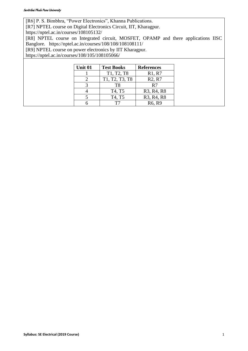### Savitribai Phule Pune University

[R6] P. S. Bimbhra, "Power Electronics", Khanna Publications.

[R7] NPTEL course on Digital Electronics Circuit, IIT, Kharagpur.

<https://nptel.ac.in/courses/108105132/>

[R8] NPTEL course on Integrated circuit, MOSFET, OPAMP and there applications IISC Banglore. <https://nptel.ac.in/courses/108/108/108108111/>

[R9] NPTEL course on power electronics by IIT Kharagpur.

<https://nptel.ac.in/courses/108/105/108105066/>

| Unit 01 | <b>Test Books</b> | <b>References</b>                                |
|---------|-------------------|--------------------------------------------------|
|         | T1, T2, T8        | R1, R7                                           |
|         | T1, T2, T3, T8    | R <sub>2</sub> , R <sub>7</sub>                  |
| 2       | T8                | R7                                               |
|         | T4, T5            | R <sub>3</sub> , R <sub>4</sub> , R <sub>8</sub> |
|         | T4, T5            | R <sub>3</sub> , R <sub>4</sub> , R <sub>8</sub> |
|         |                   | R <sub>6</sub> , R <sub>9</sub>                  |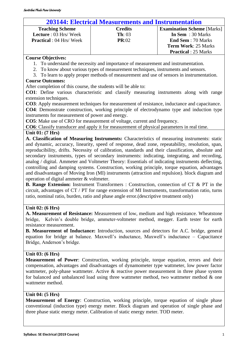### **203144: Electrical Measurements and Instrumentation**

<span id="page-13-0"></span>

| <b>Teaching Scheme</b>          | <b>Credits</b>    | <b>Examination Scheme</b> [Marks] |
|---------------------------------|-------------------|-----------------------------------|
| <b>Lecture</b> : 03 Hrs/Week    | $\mathbf{Th}: 03$ | In Sem $: 30$ Marks               |
| <b>Practical</b> : 04 Hrs/ Week | PR:02             | <b>End Sem</b> : 70 Marks         |
|                                 |                   | <b>Term Work: 25 Marks</b>        |
|                                 |                   | <b>Practical</b> : 25 Marks       |

### **Course Objectives:**

- 1. To understand the necessity and importance of measurement and instrumentation.
- 2. To know about various types of measurement techniques, instruments and sensors.
- 3. To learn to apply proper methods of measurement and use of sensors in instrumentation.

### **Course Outcomes:**

After completion of this course, the students will be able to:

**CO1**: Define various characteristic and classify measuring instruments along with range extension techniques.

**CO3**: Apply measurement techniques for measurement of resistance, inductance and capacitance.

**CO4**: Demonstrate construction, working principle of electrodynamo type and induction type instruments for measurement of power and energy.

**CO5**: Make use of CRO for measurement of voltage, current and frequency.

**CO6**: Classify transducer and apply it for measurement of physical parameters in real time.

### **Unit 01: (7 Hrs)**

**A. Classification of Measuring Instruments:** Characteristics of measuring instruments: static and dynamic, accuracy, linearity, speed of response, dead zone, repeatability, resolution, span, reproducibility, drifts. Necessity of calibration, standards and their classification, absolute and secondary instruments, types of secondary instruments: indicating, integrating, and recording, analog / digital. Ammeter and Voltmeter Theory: Essentials of indicating instruments deflecting, controlling and damping systems. Construction, working principle, torque equation, advantages and disadvantages of Moving Iron (MI) instruments (attraction and repulsion). block diagram and operation of digital ammeter & voltmeter.

**B. Range Extension:** Instrument Transformers : Construction, connection of CT & PT in the circuit, advantages of CT / PT for range extension of MI Instruments, transformation ratio, turns ratio, nominal ratio, burden, ratio and phase angle error.(descriptive treatment only)

### **Unit 02: (6 Hrs)**

**A. Measurement of Resistance:** Measurement of low, medium and high resistance. Wheatstone bridge, Kelvin's double bridge, ammeter-voltmeter method, megger. Earth tester for earth resistance measurement.

**B. Measurement of Inductance:** Introduction, sources and detectors for A.C. bridge, general equation for bridge at balance. Maxwell's inductance, Maxwell's inductance – Capacitance Bridge, Anderson's bridge.

### **Unit 03: (6 Hrs)**

**Measurement of Power**: Construction, working principle, torque equation, errors and their compensation, advantages and disadvantages of dynamometer type wattmeter, low power factor wattmeter, poly-phase wattmeter. Active & reactive power measurement in three phase system for balanced and unbalanced load using three wattmeter method, two wattmeter method & one wattmeter method.

### **Unit 04: (5 Hrs)**

**Measurement of Energy**: Construction, working principle, torque equation of single phase conventional (induction type) energy meter. Block diagram and operation of single phase and three phase static energy meter. Calibration of static energy meter. TOD meter.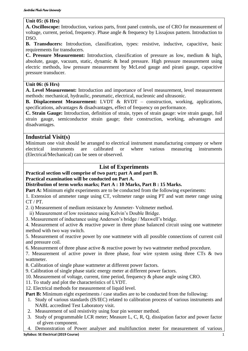### **Unit 05: (6 Hrs)**

**A. Oscilloscope:** Introduction, various parts, front panel controls, use of CRO for measurement of voltage, current, period, frequency. Phase angle & frequency by Lissajous pattern. Introduction to DSO.

**B. Transducers:** Introduction, classification, types: resistive, inductive, capacitive, basic requirements for transducers.

**C. Pressure Measurement:** Introduction, classification of pressure as low, medium & high, absolute, gauge, vacuum, static, dynamic & head pressure. High pressure measurement using electric methods, low pressure measurement by McLeod gauge and pirani gauge, capacitive pressure transducer.

### **Unit 06: (6 Hrs)**

**A. Level Measurement:** Introduction and importance of level measurement, level measurement methods: mechanical, hydraulic, pneumatic, electrical, nucleonic and ultrasonic.

**B. Displacement Measurement:** LVDT & RVDT – construction, working, applications, specifications, advantages & disadvantages, effect of frequency on performance.

**C. Strain Gauge:** Introduction, definition of strain, types of strain gauge: wire strain gauge, foil strain gauge, semiconductor strain gauge; their construction, working, advantages and disadvantages.

### **Industrial Visit(s)**

Minimum one visit should be arranged to electrical instrument manufacturing company or where electrical instruments are calibrated or where various measuring instruments (Electrical/Mechanical) can be seen or observed.

### **List of Experiments**

### **Practical section will comprise of two part; part A and part B.**

### **Practical examination will be conducted on Part A.**

### **Distribution of term works marks; Part A : 10 Marks, Part B : 15 Marks.**

**Part A:** Minimum eight experiments are to be conducted from the following experiments:

1. Extension of ammeter range using CT, voltmeter range using PT and watt meter range using CT / PT.

2. i) Measurement of medium resistance by Ammeter- Voltmeter method.

ii) Measurement of low resistance using Kelvin's Double Bridge.

3. Measurement of inductance using Anderson's bridge / Maxwell's bridge.

4. Measurement of active & reactive power in three phase balanced circuit using one wattmeter method with two way switch.

5. Measurement of reactive power by one wattmeter with all possible connections of current coil and pressure coil.

6. Measurement of three phase active & reactive power by two wattmeter method procedure.

7. Measurement of active power in three phase, four wire system using three CTs & two wattmeter.

8. Calibration of single phase wattmeter at different power factors.

9. Calibration of single phase static energy meter at different power factors.

10. Measurement of voltage, current, time period, frequency & phase angle using CRO.

- 11. To study and plot the characteristics of LVDT.
- 12. Electrical methods for measurement of liquid level.

**Part B:** Minimum eight experiments / case studies are to be conducted from the following:

- 1. Study of various standards (IS/IEC) related to calibration process of various instruments and NABL accredited Test Laboratory visit.
- 2. Measurement of soil resistivity using four pin wenner method.
- 3. Study of programmable LCR meter; Measure L, C, R, Q, dissipation factor and power factor of given component.

**Syllabus: SE Electrical (2019 Course)** 15 and 2019 15 and 2019 15 and 2019 15 and 2019 15 and 2019 15 and 2019 15 and 2019 15 and 2019 15 and 2019 16 and 2019 16 and 2019 16 and 2019 16 and 2019 16 and 2019 16 and 2019 16 4. Demonstration of Power analyser and multifunction meter for measurement of various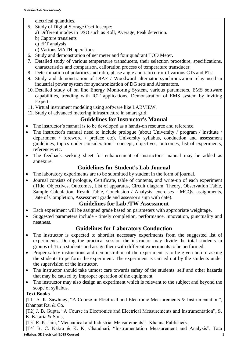electrical quantities.

- 5. Study of Digital Storage Oscilloscope:
	- a) Different modes in DSO such as Roll, Average, Peak detection.
	- b) Capture transients
	- c) FFT analysis
	- d) Various MATH operations
- 6. Study and demonstration of net meter and four quadrant TOD Meter.
- 7. Detailed study of various temperature transducers, their selection procedure, specifications, characteristics and comparison, calibration process of temperature transducer.
- 8. Determination of polarities and ratio, phase angle and ratio error of various CTs and PTs.
- 9. Study and demonstration of DIAF / Woodward alternator synchronization relay used in industrial power system for synchronization of DG sets and Alternators.
- 10. Detailed study of on line Energy Monitoring System, various parameters, EMS software capabilities, trending with IOT applications. Demonstration of EMS system by inviting Expert.
- 11. Virtual instrument modeling using software like LABVIEW.
- 12. Study of advanced metering infrastructure in smart grid.

### **Guidelines for Instructor's Manual**

- The instructor's manual is to be developed as a hands-on resource and reference.
- The instructor's manual need to include prologue (about University / program / institute / department / foreword / preface etc), University syllabus, conduction and assessment guidelines, topics under consideration - concept, objectives, outcomes, list of experiments, references etc.
- The feedback seeking sheet for enhancement of instructor's manual may be added as annexure.

### **Guidelines for Student's Lab Journal**

- The laboratory experiments are to be submitted by student in the form of journal.
- Journal consists of prologue, Certificate, table of contents, and write-up of each experiment (Title, Objectives, Outcomes, List of apparatus, Circuit diagram, Theory, Observation Table, Sample Calculation, Result Table, Conclusion / Analysis, exercises - MCQs, assignments, Date of Completion, Assessment grade and assessor's sign with date).

### **Guidelines for Lab /TW Assessment**

- Each experiment will be assigned grade based on parameters with appropriate weightage.
- Suggested parameters include timely completion, performance, innovation, punctuality and neatness.

### **Guidelines for Laboratory Conduction**

- The instructor is expected to shortlist necessary experiments from the suggested list of experiments. During the practical session the instructor may divide the total students in groups of 4 to 5 students and assign them with different experiments to be performed.
- Proper safety instructions and demonstration of the experiment is to be given before asking the students to perform the experiment. The experiment is carried out by the students under the supervision of the instructor.
- The instructor should take utmost care towards safety of the students, self and other hazards that may be caused by improper operation of the equipment.
- The instructor may also design an experiment which is relevant to the subject and beyond the scope of syllabus.

### **Text Books**

[T1] A. K. Sawhney, "A Course in Electrical and Electronic Measurements & Instrumentation", Dhanpat Rai & Co.

[T2] J. B. Gupta, "A Course in Electronics and Electrical Measurements and Instrumentation", S. K. Kataria & Sons,

[T3] R. K. Jain, "Mechanical and Industrial Measurements", Khanna Publishers.

[T4] B. C. Nakra & K. K. Chaudhari, "Instrumentation Measurement and Analysis", Tata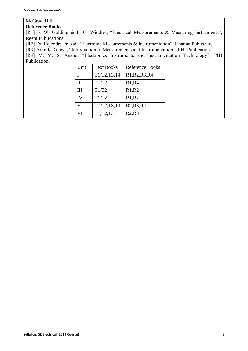### McGraw Hill.

### **Reference Books**

[R1] E. W. Golding & F. C. Widdies, "Electrical Measurements & Measuring Instruments", Reem Publications.

[R2] Dr. Rajendra Prasad, "Electronic Measurements & Instrumentation", Khanna Publishers.

[R3] Arun K. Ghosh, "Introduction to Measurements and Instrumentation", PHI Publication.

[R4] M. M. S. Anand, "Electronics Instruments and Instrumentation Technology", PHI Publication.

| Unit           | <b>Text Books</b> | <b>Reference Books</b>                         |
|----------------|-------------------|------------------------------------------------|
|                | T1, T2, T3, T4    | R1, R2, R3, R4                                 |
| $\mathbf{H}$   | T1,T2             | R1, R4                                         |
| III            | T1,T2             | R1, R2                                         |
| IV             | T1,T2             | R1, R2                                         |
| $\overline{V}$ | T1, T2, T3, T4    | R <sub>2</sub> ,R <sub>3</sub> ,R <sub>4</sub> |
| VI             | T1, T2, T3        | R2,R3                                          |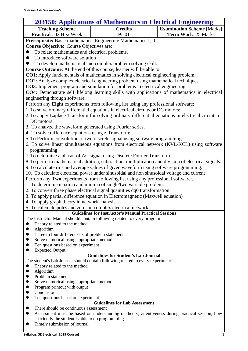<span id="page-17-0"></span>

| <b>203150: Applications of Mathematics in Electrical Engineering</b>                                                                    |                                                                                                                                                                                 |                                   |  |  |
|-----------------------------------------------------------------------------------------------------------------------------------------|---------------------------------------------------------------------------------------------------------------------------------------------------------------------------------|-----------------------------------|--|--|
| <b>Teaching Scheme</b>                                                                                                                  | <b>Credits</b>                                                                                                                                                                  | <b>Examination Scheme</b> [Marks] |  |  |
| Practical : 02 Hrs/ Week                                                                                                                | Pr:01                                                                                                                                                                           | Term Work: 25 Marks               |  |  |
|                                                                                                                                         | Prerequisite: Basic mathematics, Engineering Mathematics-I, II                                                                                                                  |                                   |  |  |
| <b>Course Objective:</b> Course Objectives are:                                                                                         |                                                                                                                                                                                 |                                   |  |  |
| To relate mathematics and electrical problems.                                                                                          |                                                                                                                                                                                 |                                   |  |  |
| To introduce software solution                                                                                                          |                                                                                                                                                                                 |                                   |  |  |
|                                                                                                                                         | To develop mathematical and complex problem solving skill.                                                                                                                      |                                   |  |  |
|                                                                                                                                         | <b>Course Outcome:</b> At the end of this course, learner will be able to                                                                                                       |                                   |  |  |
|                                                                                                                                         | <b>CO1</b> : Apply fundamentals of mathematics in solving electrical engineering problem                                                                                        |                                   |  |  |
|                                                                                                                                         | <b>CO2</b> : Analyze complex electrical engineering problem using mathematical techniques.                                                                                      |                                   |  |  |
|                                                                                                                                         | <b>CO3</b> : Implement program and simulation for problems in electrical engineering.                                                                                           |                                   |  |  |
|                                                                                                                                         | CO4: Demonstrate self lifelong learning skills with applications of mathematics in electrical                                                                                   |                                   |  |  |
| engineering through software.                                                                                                           |                                                                                                                                                                                 |                                   |  |  |
|                                                                                                                                         | Perform any Eight experiments from following list using any professional software:                                                                                              |                                   |  |  |
|                                                                                                                                         | 1. To solve ordinary differential equations in electrical circuits or DC motors:                                                                                                |                                   |  |  |
|                                                                                                                                         | 2. To apply Laplace Transform for solving ordinary differential equations in electrical circuits or                                                                             |                                   |  |  |
| DC motors:                                                                                                                              |                                                                                                                                                                                 |                                   |  |  |
| 3. To analyze the waveform generated using Fourier series.                                                                              |                                                                                                                                                                                 |                                   |  |  |
| 4. To solve difference equations using z-Transform:                                                                                     |                                                                                                                                                                                 |                                   |  |  |
|                                                                                                                                         | 5. To Perform convolution of two discrete signal using software programming:                                                                                                    |                                   |  |  |
|                                                                                                                                         | 6. To solve linear simultaneous equations from electrical network (KVL/KCL) using software                                                                                      |                                   |  |  |
|                                                                                                                                         |                                                                                                                                                                                 |                                   |  |  |
| programming:                                                                                                                            |                                                                                                                                                                                 |                                   |  |  |
|                                                                                                                                         | 7. To determine a phasor of AC signal using Discrete Fourier Transform.<br>8. To perform mathematical addition, subtraction, multiplication and division of electrical signals. |                                   |  |  |
|                                                                                                                                         |                                                                                                                                                                                 |                                   |  |  |
|                                                                                                                                         | 9. To calculate rms and average values of given waveform using software programming.                                                                                            |                                   |  |  |
|                                                                                                                                         | 10. To calculate electrical power under sinusoidal and non sinusoidal voltage and current                                                                                       |                                   |  |  |
|                                                                                                                                         | Perform any Two experiments from following list using any professional software                                                                                                 |                                   |  |  |
|                                                                                                                                         | 1. To determine maxima and minima of single/two variable problem.                                                                                                               |                                   |  |  |
|                                                                                                                                         | 2. To convert three phase electrical signal quantities dq0 transformation.                                                                                                      |                                   |  |  |
|                                                                                                                                         | 3. To apply partial difference equation in Electromagnetic (Maxwell equation)                                                                                                   |                                   |  |  |
| 4. To apply graph theory in network analysis                                                                                            |                                                                                                                                                                                 |                                   |  |  |
| 5. To calculate poles and zeros in complex electrical network.                                                                          |                                                                                                                                                                                 |                                   |  |  |
| <b>Guidelines for Instructor's Manual Practical Sessions</b><br>The Instructor Manual should contain following related to every program |                                                                                                                                                                                 |                                   |  |  |
| Theory related to the method<br>$\bullet$                                                                                               |                                                                                                                                                                                 |                                   |  |  |
| Algorithm<br>$\bullet$                                                                                                                  |                                                                                                                                                                                 |                                   |  |  |
| Three to four different sets of problem statement<br>$\bullet$                                                                          |                                                                                                                                                                                 |                                   |  |  |
| Solve numerical using appropriate method<br>$\bullet$                                                                                   |                                                                                                                                                                                 |                                   |  |  |
| Ten questions based on experiment<br>$\bullet$                                                                                          |                                                                                                                                                                                 |                                   |  |  |
| <b>Expected Output</b><br>$\bullet$                                                                                                     |                                                                                                                                                                                 |                                   |  |  |
|                                                                                                                                         | <b>Guidelines for Student's Lab Journal</b>                                                                                                                                     |                                   |  |  |
|                                                                                                                                         | The student's Lab Journal should contain following related to every experiment:                                                                                                 |                                   |  |  |
| Theory related to the method<br>●                                                                                                       |                                                                                                                                                                                 |                                   |  |  |
| Algorithm<br>$\bullet$                                                                                                                  |                                                                                                                                                                                 |                                   |  |  |
| Problem statement<br>$\bullet$                                                                                                          |                                                                                                                                                                                 |                                   |  |  |
| Solve numerical using appropriate method<br>$\bullet$                                                                                   |                                                                                                                                                                                 |                                   |  |  |
| Program printout with output<br>$\bullet$<br>Conclusion                                                                                 |                                                                                                                                                                                 |                                   |  |  |
| $\bullet$<br>Ten questions based on experiment<br>●                                                                                     |                                                                                                                                                                                 |                                   |  |  |
|                                                                                                                                         | <b>Guidelines for Lab Assessment</b>                                                                                                                                            |                                   |  |  |
| There should be continuous assessment                                                                                                   |                                                                                                                                                                                 |                                   |  |  |
| $\bullet$                                                                                                                               | Assessment must be based on understanding of theory, attentiveness during practical session, how                                                                                |                                   |  |  |

- efficiently the student is able to do programming
- ⚫ Timely submission of journal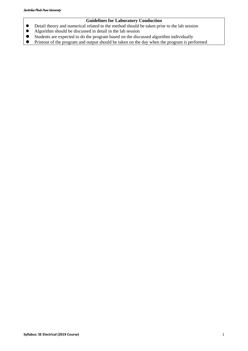### **Guidelines for Laboratory Conduction**

- ⚫ Detail theory and numerical related to the method should be taken prior to the lab session
- ⚫ Algorithm should be discussed in detail in the lab session
- ⚫ Students are expected to do the program based on the discussed algorithm individually
- ⚫ Printout of the program and output should be taken on the day when the program is performed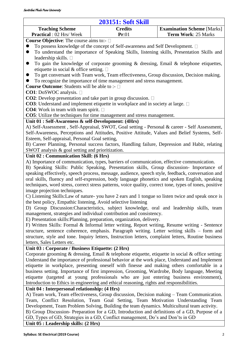<span id="page-19-0"></span>

| <b>Teaching Scheme</b><br><b>Credits</b><br><b>Examination Scheme [Marks]</b><br>Practical : 02 Hrs/ Week<br>Pr:01<br>Term Work: 25 Marks<br><b>Course Objective:</b> The course aims to:- $\square$<br>To possess knowledge of the concept of Self-awareness and Self Development. $\Box$<br>To understand the importance of Speaking Skills, listening skills, Presentation Skills and<br>$\bullet$<br>leadership skills. □<br>To gain the knowledge of corporate grooming $\&$ dressing, Email $\&$ telephone etiquettes,<br>$\bullet$<br>etiquette in social & office setting. $\square$<br>To get conversant with Team work, Team effectiveness, Group discussion, Decision making.<br>$\bullet$<br>To recognize the importance of time management and stress management.<br><b>Course Outcome:</b> Students will be able to :- □<br>CO1: DoSWOC analysis. □<br><b>CO2</b> : Develop presentation and take part in group discussion. $\Box$<br><b>CO3</b> : Understand and implement etiquette in workplace and in society at large. $\Box$<br><b>CO4</b> : Work in team with team spirit. $\Box$<br><b>CO5</b> : Utilize the techniques for time management and stress management.<br>Unit 01 : Self-Awareness & self-Development: (4Hrs)<br>A) Self-Assessment, Self-Appraisal, SWOT, Goal setting - Personal & career - Self Assessment,<br>Self-Awareness, Perceptions and Attitudes, Positive Attitude, Values and Belief Systems, Self-<br>Esteem, Self-appraisal, Personal Goal setting,<br>B) Career Planning, Personal success factors, Handling failure, Depression and Habit, relating<br>SWOT analysis & goal setting and prioritization.<br>Unit 02 : Communication Skill: (6 Hrs)<br>A) Importance of communication, types, barriers of communication, effective communication.<br>B) Speaking Skills: Public Speaking, Presentation skills, Group discussion- Importance of<br>speaking effectively, speech process, message, audience, speech style, feedback, conversation and<br>oral skills, fluency and self-expression, body language phonetics and spoken English, speaking<br>techniques, word stress, correct stress patterns, voice quality, correct tone, types of tones, positive<br>image projection techniques.<br>C) Listening Skills: Law of nature-you have 2 ears and 1 tongue so listen twice and speak once is<br>the best policy, Empathic listening, Avoid selective listening<br>D) Group Discussion: Characteristics, subject knowledge, oral and leadership skills, team<br>management, strategies and individual contribution and consistency.<br>E) Presentation skills: Planning, preparation, organization, delivery.<br>F) Written Skills: Formal & Informal letter writing, Report writing, Resume writing - Sentence<br>structure, sentence coherence, emphasis. Paragraph writing. Letter writing skills – form and<br>structure, style and tone. Inquiry letters, Instruction letters, complaint letters, Routine business<br>letters, Sales Letters etc.<br>Unit 03 : Corporate / Business Etiquette: (2 Hrs)<br>Corporate grooming & dressing, Email & telephone etiquette, etiquette in social & office setting:<br>Understand the importance of professional behavior at the work place, Understand and Implement<br>etiquette in workplace, presenting oneself with finesse and making others comfortable in a<br>business setting. Importance of first impression, Grooming, Wardrobe, Body language, Meeting<br>etiquette (targeted at young professionals who are just entering business environment),<br>Introduction to Ethics in engineering and ethical reasoning, rights and responsibilities.<br>Unit 04 : Interpersonal relationship: (4 Hrs)<br>A) Team work, Team effectiveness, Group discussion, Decision making - Team Communication.<br>Team, Conflict Resolution, Team Goal Setting, Team Motivation Understanding Team | <b>203151: Soft Skill</b> |  |  |  |
|-----------------------------------------------------------------------------------------------------------------------------------------------------------------------------------------------------------------------------------------------------------------------------------------------------------------------------------------------------------------------------------------------------------------------------------------------------------------------------------------------------------------------------------------------------------------------------------------------------------------------------------------------------------------------------------------------------------------------------------------------------------------------------------------------------------------------------------------------------------------------------------------------------------------------------------------------------------------------------------------------------------------------------------------------------------------------------------------------------------------------------------------------------------------------------------------------------------------------------------------------------------------------------------------------------------------------------------------------------------------------------------------------------------------------------------------------------------------------------------------------------------------------------------------------------------------------------------------------------------------------------------------------------------------------------------------------------------------------------------------------------------------------------------------------------------------------------------------------------------------------------------------------------------------------------------------------------------------------------------------------------------------------------------------------------------------------------------------------------------------------------------------------------------------------------------------------------------------------------------------------------------------------------------------------------------------------------------------------------------------------------------------------------------------------------------------------------------------------------------------------------------------------------------------------------------------------------------------------------------------------------------------------------------------------------------------------------------------------------------------------------------------------------------------------------------------------------------------------------------------------------------------------------------------------------------------------------------------------------------------------------------------------------------------------------------------------------------------------------------------------------------------------------------------------------------------------------------------------------------------------------------------------------------------------------------------------------------------------------------------------------------------------------------------------------------------------------------------------------------------------------------------------------------------------------------------------------------------------------------------------------------------------------------------------------------------------------------------------------------------------------------------------------------------------------------------------------------------------------------------------------------------------------|---------------------------|--|--|--|
|                                                                                                                                                                                                                                                                                                                                                                                                                                                                                                                                                                                                                                                                                                                                                                                                                                                                                                                                                                                                                                                                                                                                                                                                                                                                                                                                                                                                                                                                                                                                                                                                                                                                                                                                                                                                                                                                                                                                                                                                                                                                                                                                                                                                                                                                                                                                                                                                                                                                                                                                                                                                                                                                                                                                                                                                                                                                                                                                                                                                                                                                                                                                                                                                                                                                                                                                                                                                                                                                                                                                                                                                                                                                                                                                                                                                                                                                                                     |                           |  |  |  |
|                                                                                                                                                                                                                                                                                                                                                                                                                                                                                                                                                                                                                                                                                                                                                                                                                                                                                                                                                                                                                                                                                                                                                                                                                                                                                                                                                                                                                                                                                                                                                                                                                                                                                                                                                                                                                                                                                                                                                                                                                                                                                                                                                                                                                                                                                                                                                                                                                                                                                                                                                                                                                                                                                                                                                                                                                                                                                                                                                                                                                                                                                                                                                                                                                                                                                                                                                                                                                                                                                                                                                                                                                                                                                                                                                                                                                                                                                                     |                           |  |  |  |
|                                                                                                                                                                                                                                                                                                                                                                                                                                                                                                                                                                                                                                                                                                                                                                                                                                                                                                                                                                                                                                                                                                                                                                                                                                                                                                                                                                                                                                                                                                                                                                                                                                                                                                                                                                                                                                                                                                                                                                                                                                                                                                                                                                                                                                                                                                                                                                                                                                                                                                                                                                                                                                                                                                                                                                                                                                                                                                                                                                                                                                                                                                                                                                                                                                                                                                                                                                                                                                                                                                                                                                                                                                                                                                                                                                                                                                                                                                     |                           |  |  |  |
|                                                                                                                                                                                                                                                                                                                                                                                                                                                                                                                                                                                                                                                                                                                                                                                                                                                                                                                                                                                                                                                                                                                                                                                                                                                                                                                                                                                                                                                                                                                                                                                                                                                                                                                                                                                                                                                                                                                                                                                                                                                                                                                                                                                                                                                                                                                                                                                                                                                                                                                                                                                                                                                                                                                                                                                                                                                                                                                                                                                                                                                                                                                                                                                                                                                                                                                                                                                                                                                                                                                                                                                                                                                                                                                                                                                                                                                                                                     |                           |  |  |  |
|                                                                                                                                                                                                                                                                                                                                                                                                                                                                                                                                                                                                                                                                                                                                                                                                                                                                                                                                                                                                                                                                                                                                                                                                                                                                                                                                                                                                                                                                                                                                                                                                                                                                                                                                                                                                                                                                                                                                                                                                                                                                                                                                                                                                                                                                                                                                                                                                                                                                                                                                                                                                                                                                                                                                                                                                                                                                                                                                                                                                                                                                                                                                                                                                                                                                                                                                                                                                                                                                                                                                                                                                                                                                                                                                                                                                                                                                                                     |                           |  |  |  |
|                                                                                                                                                                                                                                                                                                                                                                                                                                                                                                                                                                                                                                                                                                                                                                                                                                                                                                                                                                                                                                                                                                                                                                                                                                                                                                                                                                                                                                                                                                                                                                                                                                                                                                                                                                                                                                                                                                                                                                                                                                                                                                                                                                                                                                                                                                                                                                                                                                                                                                                                                                                                                                                                                                                                                                                                                                                                                                                                                                                                                                                                                                                                                                                                                                                                                                                                                                                                                                                                                                                                                                                                                                                                                                                                                                                                                                                                                                     |                           |  |  |  |
|                                                                                                                                                                                                                                                                                                                                                                                                                                                                                                                                                                                                                                                                                                                                                                                                                                                                                                                                                                                                                                                                                                                                                                                                                                                                                                                                                                                                                                                                                                                                                                                                                                                                                                                                                                                                                                                                                                                                                                                                                                                                                                                                                                                                                                                                                                                                                                                                                                                                                                                                                                                                                                                                                                                                                                                                                                                                                                                                                                                                                                                                                                                                                                                                                                                                                                                                                                                                                                                                                                                                                                                                                                                                                                                                                                                                                                                                                                     |                           |  |  |  |
|                                                                                                                                                                                                                                                                                                                                                                                                                                                                                                                                                                                                                                                                                                                                                                                                                                                                                                                                                                                                                                                                                                                                                                                                                                                                                                                                                                                                                                                                                                                                                                                                                                                                                                                                                                                                                                                                                                                                                                                                                                                                                                                                                                                                                                                                                                                                                                                                                                                                                                                                                                                                                                                                                                                                                                                                                                                                                                                                                                                                                                                                                                                                                                                                                                                                                                                                                                                                                                                                                                                                                                                                                                                                                                                                                                                                                                                                                                     |                           |  |  |  |
|                                                                                                                                                                                                                                                                                                                                                                                                                                                                                                                                                                                                                                                                                                                                                                                                                                                                                                                                                                                                                                                                                                                                                                                                                                                                                                                                                                                                                                                                                                                                                                                                                                                                                                                                                                                                                                                                                                                                                                                                                                                                                                                                                                                                                                                                                                                                                                                                                                                                                                                                                                                                                                                                                                                                                                                                                                                                                                                                                                                                                                                                                                                                                                                                                                                                                                                                                                                                                                                                                                                                                                                                                                                                                                                                                                                                                                                                                                     |                           |  |  |  |
|                                                                                                                                                                                                                                                                                                                                                                                                                                                                                                                                                                                                                                                                                                                                                                                                                                                                                                                                                                                                                                                                                                                                                                                                                                                                                                                                                                                                                                                                                                                                                                                                                                                                                                                                                                                                                                                                                                                                                                                                                                                                                                                                                                                                                                                                                                                                                                                                                                                                                                                                                                                                                                                                                                                                                                                                                                                                                                                                                                                                                                                                                                                                                                                                                                                                                                                                                                                                                                                                                                                                                                                                                                                                                                                                                                                                                                                                                                     |                           |  |  |  |
|                                                                                                                                                                                                                                                                                                                                                                                                                                                                                                                                                                                                                                                                                                                                                                                                                                                                                                                                                                                                                                                                                                                                                                                                                                                                                                                                                                                                                                                                                                                                                                                                                                                                                                                                                                                                                                                                                                                                                                                                                                                                                                                                                                                                                                                                                                                                                                                                                                                                                                                                                                                                                                                                                                                                                                                                                                                                                                                                                                                                                                                                                                                                                                                                                                                                                                                                                                                                                                                                                                                                                                                                                                                                                                                                                                                                                                                                                                     |                           |  |  |  |
|                                                                                                                                                                                                                                                                                                                                                                                                                                                                                                                                                                                                                                                                                                                                                                                                                                                                                                                                                                                                                                                                                                                                                                                                                                                                                                                                                                                                                                                                                                                                                                                                                                                                                                                                                                                                                                                                                                                                                                                                                                                                                                                                                                                                                                                                                                                                                                                                                                                                                                                                                                                                                                                                                                                                                                                                                                                                                                                                                                                                                                                                                                                                                                                                                                                                                                                                                                                                                                                                                                                                                                                                                                                                                                                                                                                                                                                                                                     |                           |  |  |  |
|                                                                                                                                                                                                                                                                                                                                                                                                                                                                                                                                                                                                                                                                                                                                                                                                                                                                                                                                                                                                                                                                                                                                                                                                                                                                                                                                                                                                                                                                                                                                                                                                                                                                                                                                                                                                                                                                                                                                                                                                                                                                                                                                                                                                                                                                                                                                                                                                                                                                                                                                                                                                                                                                                                                                                                                                                                                                                                                                                                                                                                                                                                                                                                                                                                                                                                                                                                                                                                                                                                                                                                                                                                                                                                                                                                                                                                                                                                     |                           |  |  |  |
|                                                                                                                                                                                                                                                                                                                                                                                                                                                                                                                                                                                                                                                                                                                                                                                                                                                                                                                                                                                                                                                                                                                                                                                                                                                                                                                                                                                                                                                                                                                                                                                                                                                                                                                                                                                                                                                                                                                                                                                                                                                                                                                                                                                                                                                                                                                                                                                                                                                                                                                                                                                                                                                                                                                                                                                                                                                                                                                                                                                                                                                                                                                                                                                                                                                                                                                                                                                                                                                                                                                                                                                                                                                                                                                                                                                                                                                                                                     |                           |  |  |  |
|                                                                                                                                                                                                                                                                                                                                                                                                                                                                                                                                                                                                                                                                                                                                                                                                                                                                                                                                                                                                                                                                                                                                                                                                                                                                                                                                                                                                                                                                                                                                                                                                                                                                                                                                                                                                                                                                                                                                                                                                                                                                                                                                                                                                                                                                                                                                                                                                                                                                                                                                                                                                                                                                                                                                                                                                                                                                                                                                                                                                                                                                                                                                                                                                                                                                                                                                                                                                                                                                                                                                                                                                                                                                                                                                                                                                                                                                                                     |                           |  |  |  |
|                                                                                                                                                                                                                                                                                                                                                                                                                                                                                                                                                                                                                                                                                                                                                                                                                                                                                                                                                                                                                                                                                                                                                                                                                                                                                                                                                                                                                                                                                                                                                                                                                                                                                                                                                                                                                                                                                                                                                                                                                                                                                                                                                                                                                                                                                                                                                                                                                                                                                                                                                                                                                                                                                                                                                                                                                                                                                                                                                                                                                                                                                                                                                                                                                                                                                                                                                                                                                                                                                                                                                                                                                                                                                                                                                                                                                                                                                                     |                           |  |  |  |
|                                                                                                                                                                                                                                                                                                                                                                                                                                                                                                                                                                                                                                                                                                                                                                                                                                                                                                                                                                                                                                                                                                                                                                                                                                                                                                                                                                                                                                                                                                                                                                                                                                                                                                                                                                                                                                                                                                                                                                                                                                                                                                                                                                                                                                                                                                                                                                                                                                                                                                                                                                                                                                                                                                                                                                                                                                                                                                                                                                                                                                                                                                                                                                                                                                                                                                                                                                                                                                                                                                                                                                                                                                                                                                                                                                                                                                                                                                     |                           |  |  |  |
|                                                                                                                                                                                                                                                                                                                                                                                                                                                                                                                                                                                                                                                                                                                                                                                                                                                                                                                                                                                                                                                                                                                                                                                                                                                                                                                                                                                                                                                                                                                                                                                                                                                                                                                                                                                                                                                                                                                                                                                                                                                                                                                                                                                                                                                                                                                                                                                                                                                                                                                                                                                                                                                                                                                                                                                                                                                                                                                                                                                                                                                                                                                                                                                                                                                                                                                                                                                                                                                                                                                                                                                                                                                                                                                                                                                                                                                                                                     |                           |  |  |  |
|                                                                                                                                                                                                                                                                                                                                                                                                                                                                                                                                                                                                                                                                                                                                                                                                                                                                                                                                                                                                                                                                                                                                                                                                                                                                                                                                                                                                                                                                                                                                                                                                                                                                                                                                                                                                                                                                                                                                                                                                                                                                                                                                                                                                                                                                                                                                                                                                                                                                                                                                                                                                                                                                                                                                                                                                                                                                                                                                                                                                                                                                                                                                                                                                                                                                                                                                                                                                                                                                                                                                                                                                                                                                                                                                                                                                                                                                                                     |                           |  |  |  |
|                                                                                                                                                                                                                                                                                                                                                                                                                                                                                                                                                                                                                                                                                                                                                                                                                                                                                                                                                                                                                                                                                                                                                                                                                                                                                                                                                                                                                                                                                                                                                                                                                                                                                                                                                                                                                                                                                                                                                                                                                                                                                                                                                                                                                                                                                                                                                                                                                                                                                                                                                                                                                                                                                                                                                                                                                                                                                                                                                                                                                                                                                                                                                                                                                                                                                                                                                                                                                                                                                                                                                                                                                                                                                                                                                                                                                                                                                                     |                           |  |  |  |
|                                                                                                                                                                                                                                                                                                                                                                                                                                                                                                                                                                                                                                                                                                                                                                                                                                                                                                                                                                                                                                                                                                                                                                                                                                                                                                                                                                                                                                                                                                                                                                                                                                                                                                                                                                                                                                                                                                                                                                                                                                                                                                                                                                                                                                                                                                                                                                                                                                                                                                                                                                                                                                                                                                                                                                                                                                                                                                                                                                                                                                                                                                                                                                                                                                                                                                                                                                                                                                                                                                                                                                                                                                                                                                                                                                                                                                                                                                     |                           |  |  |  |
|                                                                                                                                                                                                                                                                                                                                                                                                                                                                                                                                                                                                                                                                                                                                                                                                                                                                                                                                                                                                                                                                                                                                                                                                                                                                                                                                                                                                                                                                                                                                                                                                                                                                                                                                                                                                                                                                                                                                                                                                                                                                                                                                                                                                                                                                                                                                                                                                                                                                                                                                                                                                                                                                                                                                                                                                                                                                                                                                                                                                                                                                                                                                                                                                                                                                                                                                                                                                                                                                                                                                                                                                                                                                                                                                                                                                                                                                                                     |                           |  |  |  |
|                                                                                                                                                                                                                                                                                                                                                                                                                                                                                                                                                                                                                                                                                                                                                                                                                                                                                                                                                                                                                                                                                                                                                                                                                                                                                                                                                                                                                                                                                                                                                                                                                                                                                                                                                                                                                                                                                                                                                                                                                                                                                                                                                                                                                                                                                                                                                                                                                                                                                                                                                                                                                                                                                                                                                                                                                                                                                                                                                                                                                                                                                                                                                                                                                                                                                                                                                                                                                                                                                                                                                                                                                                                                                                                                                                                                                                                                                                     |                           |  |  |  |
|                                                                                                                                                                                                                                                                                                                                                                                                                                                                                                                                                                                                                                                                                                                                                                                                                                                                                                                                                                                                                                                                                                                                                                                                                                                                                                                                                                                                                                                                                                                                                                                                                                                                                                                                                                                                                                                                                                                                                                                                                                                                                                                                                                                                                                                                                                                                                                                                                                                                                                                                                                                                                                                                                                                                                                                                                                                                                                                                                                                                                                                                                                                                                                                                                                                                                                                                                                                                                                                                                                                                                                                                                                                                                                                                                                                                                                                                                                     |                           |  |  |  |
|                                                                                                                                                                                                                                                                                                                                                                                                                                                                                                                                                                                                                                                                                                                                                                                                                                                                                                                                                                                                                                                                                                                                                                                                                                                                                                                                                                                                                                                                                                                                                                                                                                                                                                                                                                                                                                                                                                                                                                                                                                                                                                                                                                                                                                                                                                                                                                                                                                                                                                                                                                                                                                                                                                                                                                                                                                                                                                                                                                                                                                                                                                                                                                                                                                                                                                                                                                                                                                                                                                                                                                                                                                                                                                                                                                                                                                                                                                     |                           |  |  |  |
|                                                                                                                                                                                                                                                                                                                                                                                                                                                                                                                                                                                                                                                                                                                                                                                                                                                                                                                                                                                                                                                                                                                                                                                                                                                                                                                                                                                                                                                                                                                                                                                                                                                                                                                                                                                                                                                                                                                                                                                                                                                                                                                                                                                                                                                                                                                                                                                                                                                                                                                                                                                                                                                                                                                                                                                                                                                                                                                                                                                                                                                                                                                                                                                                                                                                                                                                                                                                                                                                                                                                                                                                                                                                                                                                                                                                                                                                                                     |                           |  |  |  |
|                                                                                                                                                                                                                                                                                                                                                                                                                                                                                                                                                                                                                                                                                                                                                                                                                                                                                                                                                                                                                                                                                                                                                                                                                                                                                                                                                                                                                                                                                                                                                                                                                                                                                                                                                                                                                                                                                                                                                                                                                                                                                                                                                                                                                                                                                                                                                                                                                                                                                                                                                                                                                                                                                                                                                                                                                                                                                                                                                                                                                                                                                                                                                                                                                                                                                                                                                                                                                                                                                                                                                                                                                                                                                                                                                                                                                                                                                                     |                           |  |  |  |
|                                                                                                                                                                                                                                                                                                                                                                                                                                                                                                                                                                                                                                                                                                                                                                                                                                                                                                                                                                                                                                                                                                                                                                                                                                                                                                                                                                                                                                                                                                                                                                                                                                                                                                                                                                                                                                                                                                                                                                                                                                                                                                                                                                                                                                                                                                                                                                                                                                                                                                                                                                                                                                                                                                                                                                                                                                                                                                                                                                                                                                                                                                                                                                                                                                                                                                                                                                                                                                                                                                                                                                                                                                                                                                                                                                                                                                                                                                     |                           |  |  |  |
|                                                                                                                                                                                                                                                                                                                                                                                                                                                                                                                                                                                                                                                                                                                                                                                                                                                                                                                                                                                                                                                                                                                                                                                                                                                                                                                                                                                                                                                                                                                                                                                                                                                                                                                                                                                                                                                                                                                                                                                                                                                                                                                                                                                                                                                                                                                                                                                                                                                                                                                                                                                                                                                                                                                                                                                                                                                                                                                                                                                                                                                                                                                                                                                                                                                                                                                                                                                                                                                                                                                                                                                                                                                                                                                                                                                                                                                                                                     |                           |  |  |  |
|                                                                                                                                                                                                                                                                                                                                                                                                                                                                                                                                                                                                                                                                                                                                                                                                                                                                                                                                                                                                                                                                                                                                                                                                                                                                                                                                                                                                                                                                                                                                                                                                                                                                                                                                                                                                                                                                                                                                                                                                                                                                                                                                                                                                                                                                                                                                                                                                                                                                                                                                                                                                                                                                                                                                                                                                                                                                                                                                                                                                                                                                                                                                                                                                                                                                                                                                                                                                                                                                                                                                                                                                                                                                                                                                                                                                                                                                                                     |                           |  |  |  |
|                                                                                                                                                                                                                                                                                                                                                                                                                                                                                                                                                                                                                                                                                                                                                                                                                                                                                                                                                                                                                                                                                                                                                                                                                                                                                                                                                                                                                                                                                                                                                                                                                                                                                                                                                                                                                                                                                                                                                                                                                                                                                                                                                                                                                                                                                                                                                                                                                                                                                                                                                                                                                                                                                                                                                                                                                                                                                                                                                                                                                                                                                                                                                                                                                                                                                                                                                                                                                                                                                                                                                                                                                                                                                                                                                                                                                                                                                                     |                           |  |  |  |
|                                                                                                                                                                                                                                                                                                                                                                                                                                                                                                                                                                                                                                                                                                                                                                                                                                                                                                                                                                                                                                                                                                                                                                                                                                                                                                                                                                                                                                                                                                                                                                                                                                                                                                                                                                                                                                                                                                                                                                                                                                                                                                                                                                                                                                                                                                                                                                                                                                                                                                                                                                                                                                                                                                                                                                                                                                                                                                                                                                                                                                                                                                                                                                                                                                                                                                                                                                                                                                                                                                                                                                                                                                                                                                                                                                                                                                                                                                     |                           |  |  |  |
|                                                                                                                                                                                                                                                                                                                                                                                                                                                                                                                                                                                                                                                                                                                                                                                                                                                                                                                                                                                                                                                                                                                                                                                                                                                                                                                                                                                                                                                                                                                                                                                                                                                                                                                                                                                                                                                                                                                                                                                                                                                                                                                                                                                                                                                                                                                                                                                                                                                                                                                                                                                                                                                                                                                                                                                                                                                                                                                                                                                                                                                                                                                                                                                                                                                                                                                                                                                                                                                                                                                                                                                                                                                                                                                                                                                                                                                                                                     |                           |  |  |  |
|                                                                                                                                                                                                                                                                                                                                                                                                                                                                                                                                                                                                                                                                                                                                                                                                                                                                                                                                                                                                                                                                                                                                                                                                                                                                                                                                                                                                                                                                                                                                                                                                                                                                                                                                                                                                                                                                                                                                                                                                                                                                                                                                                                                                                                                                                                                                                                                                                                                                                                                                                                                                                                                                                                                                                                                                                                                                                                                                                                                                                                                                                                                                                                                                                                                                                                                                                                                                                                                                                                                                                                                                                                                                                                                                                                                                                                                                                                     |                           |  |  |  |
|                                                                                                                                                                                                                                                                                                                                                                                                                                                                                                                                                                                                                                                                                                                                                                                                                                                                                                                                                                                                                                                                                                                                                                                                                                                                                                                                                                                                                                                                                                                                                                                                                                                                                                                                                                                                                                                                                                                                                                                                                                                                                                                                                                                                                                                                                                                                                                                                                                                                                                                                                                                                                                                                                                                                                                                                                                                                                                                                                                                                                                                                                                                                                                                                                                                                                                                                                                                                                                                                                                                                                                                                                                                                                                                                                                                                                                                                                                     |                           |  |  |  |
|                                                                                                                                                                                                                                                                                                                                                                                                                                                                                                                                                                                                                                                                                                                                                                                                                                                                                                                                                                                                                                                                                                                                                                                                                                                                                                                                                                                                                                                                                                                                                                                                                                                                                                                                                                                                                                                                                                                                                                                                                                                                                                                                                                                                                                                                                                                                                                                                                                                                                                                                                                                                                                                                                                                                                                                                                                                                                                                                                                                                                                                                                                                                                                                                                                                                                                                                                                                                                                                                                                                                                                                                                                                                                                                                                                                                                                                                                                     |                           |  |  |  |
|                                                                                                                                                                                                                                                                                                                                                                                                                                                                                                                                                                                                                                                                                                                                                                                                                                                                                                                                                                                                                                                                                                                                                                                                                                                                                                                                                                                                                                                                                                                                                                                                                                                                                                                                                                                                                                                                                                                                                                                                                                                                                                                                                                                                                                                                                                                                                                                                                                                                                                                                                                                                                                                                                                                                                                                                                                                                                                                                                                                                                                                                                                                                                                                                                                                                                                                                                                                                                                                                                                                                                                                                                                                                                                                                                                                                                                                                                                     |                           |  |  |  |
|                                                                                                                                                                                                                                                                                                                                                                                                                                                                                                                                                                                                                                                                                                                                                                                                                                                                                                                                                                                                                                                                                                                                                                                                                                                                                                                                                                                                                                                                                                                                                                                                                                                                                                                                                                                                                                                                                                                                                                                                                                                                                                                                                                                                                                                                                                                                                                                                                                                                                                                                                                                                                                                                                                                                                                                                                                                                                                                                                                                                                                                                                                                                                                                                                                                                                                                                                                                                                                                                                                                                                                                                                                                                                                                                                                                                                                                                                                     |                           |  |  |  |
|                                                                                                                                                                                                                                                                                                                                                                                                                                                                                                                                                                                                                                                                                                                                                                                                                                                                                                                                                                                                                                                                                                                                                                                                                                                                                                                                                                                                                                                                                                                                                                                                                                                                                                                                                                                                                                                                                                                                                                                                                                                                                                                                                                                                                                                                                                                                                                                                                                                                                                                                                                                                                                                                                                                                                                                                                                                                                                                                                                                                                                                                                                                                                                                                                                                                                                                                                                                                                                                                                                                                                                                                                                                                                                                                                                                                                                                                                                     |                           |  |  |  |
|                                                                                                                                                                                                                                                                                                                                                                                                                                                                                                                                                                                                                                                                                                                                                                                                                                                                                                                                                                                                                                                                                                                                                                                                                                                                                                                                                                                                                                                                                                                                                                                                                                                                                                                                                                                                                                                                                                                                                                                                                                                                                                                                                                                                                                                                                                                                                                                                                                                                                                                                                                                                                                                                                                                                                                                                                                                                                                                                                                                                                                                                                                                                                                                                                                                                                                                                                                                                                                                                                                                                                                                                                                                                                                                                                                                                                                                                                                     |                           |  |  |  |
|                                                                                                                                                                                                                                                                                                                                                                                                                                                                                                                                                                                                                                                                                                                                                                                                                                                                                                                                                                                                                                                                                                                                                                                                                                                                                                                                                                                                                                                                                                                                                                                                                                                                                                                                                                                                                                                                                                                                                                                                                                                                                                                                                                                                                                                                                                                                                                                                                                                                                                                                                                                                                                                                                                                                                                                                                                                                                                                                                                                                                                                                                                                                                                                                                                                                                                                                                                                                                                                                                                                                                                                                                                                                                                                                                                                                                                                                                                     |                           |  |  |  |
|                                                                                                                                                                                                                                                                                                                                                                                                                                                                                                                                                                                                                                                                                                                                                                                                                                                                                                                                                                                                                                                                                                                                                                                                                                                                                                                                                                                                                                                                                                                                                                                                                                                                                                                                                                                                                                                                                                                                                                                                                                                                                                                                                                                                                                                                                                                                                                                                                                                                                                                                                                                                                                                                                                                                                                                                                                                                                                                                                                                                                                                                                                                                                                                                                                                                                                                                                                                                                                                                                                                                                                                                                                                                                                                                                                                                                                                                                                     |                           |  |  |  |
|                                                                                                                                                                                                                                                                                                                                                                                                                                                                                                                                                                                                                                                                                                                                                                                                                                                                                                                                                                                                                                                                                                                                                                                                                                                                                                                                                                                                                                                                                                                                                                                                                                                                                                                                                                                                                                                                                                                                                                                                                                                                                                                                                                                                                                                                                                                                                                                                                                                                                                                                                                                                                                                                                                                                                                                                                                                                                                                                                                                                                                                                                                                                                                                                                                                                                                                                                                                                                                                                                                                                                                                                                                                                                                                                                                                                                                                                                                     |                           |  |  |  |
|                                                                                                                                                                                                                                                                                                                                                                                                                                                                                                                                                                                                                                                                                                                                                                                                                                                                                                                                                                                                                                                                                                                                                                                                                                                                                                                                                                                                                                                                                                                                                                                                                                                                                                                                                                                                                                                                                                                                                                                                                                                                                                                                                                                                                                                                                                                                                                                                                                                                                                                                                                                                                                                                                                                                                                                                                                                                                                                                                                                                                                                                                                                                                                                                                                                                                                                                                                                                                                                                                                                                                                                                                                                                                                                                                                                                                                                                                                     |                           |  |  |  |
|                                                                                                                                                                                                                                                                                                                                                                                                                                                                                                                                                                                                                                                                                                                                                                                                                                                                                                                                                                                                                                                                                                                                                                                                                                                                                                                                                                                                                                                                                                                                                                                                                                                                                                                                                                                                                                                                                                                                                                                                                                                                                                                                                                                                                                                                                                                                                                                                                                                                                                                                                                                                                                                                                                                                                                                                                                                                                                                                                                                                                                                                                                                                                                                                                                                                                                                                                                                                                                                                                                                                                                                                                                                                                                                                                                                                                                                                                                     |                           |  |  |  |
|                                                                                                                                                                                                                                                                                                                                                                                                                                                                                                                                                                                                                                                                                                                                                                                                                                                                                                                                                                                                                                                                                                                                                                                                                                                                                                                                                                                                                                                                                                                                                                                                                                                                                                                                                                                                                                                                                                                                                                                                                                                                                                                                                                                                                                                                                                                                                                                                                                                                                                                                                                                                                                                                                                                                                                                                                                                                                                                                                                                                                                                                                                                                                                                                                                                                                                                                                                                                                                                                                                                                                                                                                                                                                                                                                                                                                                                                                                     |                           |  |  |  |
|                                                                                                                                                                                                                                                                                                                                                                                                                                                                                                                                                                                                                                                                                                                                                                                                                                                                                                                                                                                                                                                                                                                                                                                                                                                                                                                                                                                                                                                                                                                                                                                                                                                                                                                                                                                                                                                                                                                                                                                                                                                                                                                                                                                                                                                                                                                                                                                                                                                                                                                                                                                                                                                                                                                                                                                                                                                                                                                                                                                                                                                                                                                                                                                                                                                                                                                                                                                                                                                                                                                                                                                                                                                                                                                                                                                                                                                                                                     |                           |  |  |  |
|                                                                                                                                                                                                                                                                                                                                                                                                                                                                                                                                                                                                                                                                                                                                                                                                                                                                                                                                                                                                                                                                                                                                                                                                                                                                                                                                                                                                                                                                                                                                                                                                                                                                                                                                                                                                                                                                                                                                                                                                                                                                                                                                                                                                                                                                                                                                                                                                                                                                                                                                                                                                                                                                                                                                                                                                                                                                                                                                                                                                                                                                                                                                                                                                                                                                                                                                                                                                                                                                                                                                                                                                                                                                                                                                                                                                                                                                                                     |                           |  |  |  |
| Development, Team Problem Solving, Building the team dynamics. Multicultural team activity.<br>B) Group Discussion-Preparation for a GD, Introduction and definitions of a GD, Purpose of a                                                                                                                                                                                                                                                                                                                                                                                                                                                                                                                                                                                                                                                                                                                                                                                                                                                                                                                                                                                                                                                                                                                                                                                                                                                                                                                                                                                                                                                                                                                                                                                                                                                                                                                                                                                                                                                                                                                                                                                                                                                                                                                                                                                                                                                                                                                                                                                                                                                                                                                                                                                                                                                                                                                                                                                                                                                                                                                                                                                                                                                                                                                                                                                                                                                                                                                                                                                                                                                                                                                                                                                                                                                                                                         |                           |  |  |  |
| GD, Types of GD, Strategies in a GD, Conflict management, Do's and Don'ts in GD                                                                                                                                                                                                                                                                                                                                                                                                                                                                                                                                                                                                                                                                                                                                                                                                                                                                                                                                                                                                                                                                                                                                                                                                                                                                                                                                                                                                                                                                                                                                                                                                                                                                                                                                                                                                                                                                                                                                                                                                                                                                                                                                                                                                                                                                                                                                                                                                                                                                                                                                                                                                                                                                                                                                                                                                                                                                                                                                                                                                                                                                                                                                                                                                                                                                                                                                                                                                                                                                                                                                                                                                                                                                                                                                                                                                                     |                           |  |  |  |
| Unit 05 : Leadership skills: (2 Hrs)                                                                                                                                                                                                                                                                                                                                                                                                                                                                                                                                                                                                                                                                                                                                                                                                                                                                                                                                                                                                                                                                                                                                                                                                                                                                                                                                                                                                                                                                                                                                                                                                                                                                                                                                                                                                                                                                                                                                                                                                                                                                                                                                                                                                                                                                                                                                                                                                                                                                                                                                                                                                                                                                                                                                                                                                                                                                                                                                                                                                                                                                                                                                                                                                                                                                                                                                                                                                                                                                                                                                                                                                                                                                                                                                                                                                                                                                |                           |  |  |  |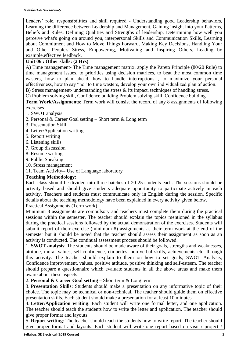### Savitribai Phule Pune University

Leaders' role, responsibilities and skill required - Understanding good Leadership behaviors, Learning the difference between Leadership and Management, Gaining insight into your Patterns, Beliefs and Rules, Defining Qualities and Strengths of leadership, Determining how well you perceive what's going on around you, interpersonal Skills and Communication Skills, Learning about Commitment and How to Move Things Forward, Making Key Decisions, Handling Your and Other People's Stress, Empowering, Motivating and Inspiring Others, Leading by example,effective feedback.

### **Unit 06 : Other skills: (2 Hrs)**

A) Time management- The Time management matrix, apply the Pareto Principle (80/20 Rule) to time management issues, to priorities using decision matrices, to beat the most common time wasters, how to plan ahead, how to handle interruptions , to maximize your personal effectiveness, how to say "no" to time wasters, develop your own individualized plan of action. B) Stress management- understanding the stress & its impact, techniques of handling stress.

C) Problem solving skill, Confidence building Problem solving skill, Confidence building

**Term Work/Assignments**: Term work will consist the record of any 8 assignments of following exercises

- 1. SWOT analysis
- 2. Personal & Career Goal setting Short term & Long term
- 3. Presentation Skill
- 4. Letter/Application writing
- 5. Report writing
- 6. Listening skills
- 7. Group discussion
- 8. Resume writing
- 9. Public Speaking
- 10. Stress management
- 11. Team Activity-- Use of Language laboratory

### **Teaching Methodology**:

Each class should be divided into three batches of 20-25 students each. The sessions should be activity based and should give students adequate opportunity to participate actively in each activity. Teachers and students must communicate only in English during the session. Specific details about the teaching methodology have been explained in every activity given below. Practical Assignments (Term work)

Minimum 8 assignments are compulsory and teachers must complete them during the practical sessions within the semester. The teacher should explain the topics mentioned in the syllabus during the practical sessions followed by the actual demonstration of the exercises. Students will submit report of their exercise (minimum 8) assignments as their term work at the end of the semester but it should be noted that the teacher should assess their assignment as soon as an activity is conducted. The continual assessment process should be followed.

1. **SWOT analysis**: The students should be made aware of their goals, strengths and weaknesses, attitude, moral values, self-confidence, etiquettes, non-verbal skills, achievements etc. through this activity. The teacher should explain to them on how to set goals, SWOT Analysis, Confidence improvement, values, positive attitude, positive thinking and self-esteem. The teacher should prepare a questionnaire which evaluate students in all the above areas and make them aware about these aspects.

2. **Personal & Career Goal setting** – Short term & Long term

3. **Presentation Skills**: Students should make a presentation on any informative topic of their choice. The topic may be technical or non-technical. The teacher should guide them on effective presentation skills. Each student should make a presentation for at least 10 minutes.

4. **Letter/Application writing**: Each student will write one formal letter, and one application. The teacher should teach the students how to write the letter and application. The teacher should give proper format and layouts.

5. **Report writing**: The teacher should teach the students how to write report. The teacher should give proper format and layouts. Each student will write one report based on visit / project /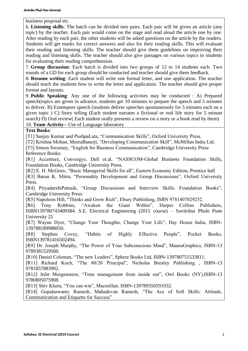business proposal etc.

6. **Listening skills**: The batch can be divided into pairs. Each pair will be given an article (any topic) by the teacher. Each pair would come on the stage and read aloud the article one by one. After reading by each pair, the other students will be asked questions on the article by the readers. Students will get marks for correct answers and also for their reading skills. This will evaluate their reading and listening skills. The teacher should give them guidelines on improving their reading and listening skills. The teacher should also give passages on various topics to students for evaluating their reading comprehension.

7. **Group discussion**: Each batch is divided into two groups of 12 to 14 students each. Two rounds of a GD for each group should be conducted and teacher should give them feedback.

8. **Resume writing**: Each student will write one formal letter, and one application. The teacher should teach the students how to write the letter and application. The teacher should give proper format and layouts.

9. **Public Speaking**: Any one of the following activities may be conducted : A) Prepared speech(topics are given in advance, students get 10 minutes to prepare the speech and 5 minutes to deliver. B) Extempore speech (students deliver speeches spontaneously for 5 minutes each on a given topic ) C) Story telling (Each student narrates a fictional or real life story for 5 minute search) D) Oral review( Each student orally presents a review on a story or a book read by them) 10. **Team Activity**-- Use of Language laboratory

### **Text Books**:

[T1] Sanjay Kumar and PushpaLata, "Communication Skills", Oxford University Press.

[T2] Krishna Mohan, MeeraBanerji, "Developing Communication Skill", McMillan India Ltd.

[T3] Simon Sweeney, "English for Business Communication", Cambridge University Press Reference Books:

[R1] Accenture, Convergys, Dell et.al, "NASSCOM-Global Business Foundation Skills, Foundation Books, Cambridge University Press.

[R2] E. H. McGraw, "Basic Managerial Skills for all", Eastern Economy Edition, Prentice hall [R3] Barun K. Mitra, "Personality Development and Group Discussions", Oxford University

Press.

[R4] PriyadarshiPatnaik, "Group Discussions and Interview Skills: Foundation Books", Cambridge University Press.

[R5] Napoleon Hill, "Thinks and Grow Rich", Ebury Publishing, ISBN 9781407029252.

[R6] Tony Robbins, "Awaken the Giant Within", Harper Collins Publishers, ISBN139780743409384. S.E. Electrical Engineering (2015 course) – Savitribai Phule Pune University 25

[R7] Wayne Dyer, "Change Your Thoughts, Change Your Life", Hay House India, ISBN-139788189988050.

[R8] Stephen Covey, "Habits of Highly Effective People", Pocket Books, ISBN139781416502494.

[R9] Dr. Joseph Murphy, "The Power of Your Subconscious Mind", MaanuGraphics, ISBN-13 9789381529560.

[R10] Daniel Coleman, "The new Leaders", Sphere Books Ltd, ISBN-139780751533811.

[R11] Richard Koch, "The 80/20 Principal", Nicholas Brealey Publishing , ISBN-13 9781857883992.

[R12] Julie Morgenstern, "Time management from inside out", Owl Books (NY),ISBN-13 9780805075908.

[R13] Shiv Khera, "You can win", Macmillan, ISBN-139789350591932.

[R14] Gopalaswamy Ramesh, Mahadevan Ramesh, "The Ace of Soft Skills: Attitude, Communication and Etiquette for Success"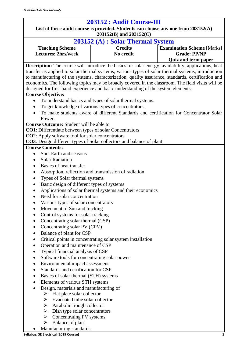<span id="page-22-0"></span>

| List of three audit course is provided. Students can choose any one from $203152(A)$<br>203152(B) and 203152(C)<br>$203152(A)$ : Solar Thermal System<br><b>Credits</b><br><b>Examination Scheme [Marks]</b><br><b>Teaching Scheme</b><br><b>Lectures: 2hrs/week</b><br>No credit<br><b>Grade: PP/NP</b><br><b>Quiz and term paper</b><br><b>Description:</b> The course will introduce the basics of: solar energy, availability, applications, heat<br>transfer as applied to solar thermal systems, various types of solar thermal systems, introduction<br>to manufacturing of the systems, characterization, quality assurance, standards, certification and<br>economics. The following topics may be broadly covered in the classroom. The field visits will be<br>designed for first-hand experience and basic understanding of the system elements.<br><b>Course Objective:</b><br>To understand basics and types of solar thermal systems.<br>To get knowledge of various types of concentrators.<br>To make students aware of different Standards and certification for Concentrator Solar<br>Power.<br><b>Course Outcome:</b> Student will be able to<br><b>CO1</b> : Differentiate between types of solar Concentrators<br><b>CO2</b> : Apply software tool for solar concentrators<br>CO3: Design different types of Solar collectors and balance of plant<br><b>Course Contents:</b><br>Sun, Earth and seasons<br>$\bullet$<br><b>Solar Radiation</b><br>Basics of heat transfer<br>Absorption, reflection and transmission of radiation<br>٠<br>Types of Solar thermal systems<br>$\bullet$<br>Basic design of different types of systems<br>$\bullet$<br>Applications of solar thermal systems and their economics<br>Need for solar concentration<br>$\bullet$<br>Various types of solar concentrators<br>Movement of Sun and tracking<br>Control systems for solar tracking<br>Concentrating solar thermal (CSP)<br>Concentrating solar PV (CPV)<br>Balance of plant for CSP<br>٠<br>Critical points in concentrating solar system installation<br>٠<br>Operation and maintenance of CSP<br>Typical financial analysis of CSP<br>Software tools for concentrating solar power<br>$\bullet$<br>Environmental impact assessment<br>٠<br>Standards and certification for CSP<br>Basics of solar thermal (STH) systems<br>Elements of various STH systems<br>٠<br>Design, materials and manufacturing of<br>Flat plate solar collector<br>➤<br>Evacuated tube solar collector<br>➤<br>Parabolic trough collector<br>➤<br>Dish type solar concentrators<br>➤<br>Concentrating PV systems<br>➤ | 203152 : Audit Course-III |  |  |
|-------------------------------------------------------------------------------------------------------------------------------------------------------------------------------------------------------------------------------------------------------------------------------------------------------------------------------------------------------------------------------------------------------------------------------------------------------------------------------------------------------------------------------------------------------------------------------------------------------------------------------------------------------------------------------------------------------------------------------------------------------------------------------------------------------------------------------------------------------------------------------------------------------------------------------------------------------------------------------------------------------------------------------------------------------------------------------------------------------------------------------------------------------------------------------------------------------------------------------------------------------------------------------------------------------------------------------------------------------------------------------------------------------------------------------------------------------------------------------------------------------------------------------------------------------------------------------------------------------------------------------------------------------------------------------------------------------------------------------------------------------------------------------------------------------------------------------------------------------------------------------------------------------------------------------------------------------------------------------------------------------------------------------------------------------------------------------------------------------------------------------------------------------------------------------------------------------------------------------------------------------------------------------------------------------------------------------------------------------------------------------------------------------------------------------------------------------------------------------------------------------------------------------------------------------------------------------------------------------------|---------------------------|--|--|
|                                                                                                                                                                                                                                                                                                                                                                                                                                                                                                                                                                                                                                                                                                                                                                                                                                                                                                                                                                                                                                                                                                                                                                                                                                                                                                                                                                                                                                                                                                                                                                                                                                                                                                                                                                                                                                                                                                                                                                                                                                                                                                                                                                                                                                                                                                                                                                                                                                                                                                                                                                                                             |                           |  |  |
|                                                                                                                                                                                                                                                                                                                                                                                                                                                                                                                                                                                                                                                                                                                                                                                                                                                                                                                                                                                                                                                                                                                                                                                                                                                                                                                                                                                                                                                                                                                                                                                                                                                                                                                                                                                                                                                                                                                                                                                                                                                                                                                                                                                                                                                                                                                                                                                                                                                                                                                                                                                                             |                           |  |  |
|                                                                                                                                                                                                                                                                                                                                                                                                                                                                                                                                                                                                                                                                                                                                                                                                                                                                                                                                                                                                                                                                                                                                                                                                                                                                                                                                                                                                                                                                                                                                                                                                                                                                                                                                                                                                                                                                                                                                                                                                                                                                                                                                                                                                                                                                                                                                                                                                                                                                                                                                                                                                             |                           |  |  |
|                                                                                                                                                                                                                                                                                                                                                                                                                                                                                                                                                                                                                                                                                                                                                                                                                                                                                                                                                                                                                                                                                                                                                                                                                                                                                                                                                                                                                                                                                                                                                                                                                                                                                                                                                                                                                                                                                                                                                                                                                                                                                                                                                                                                                                                                                                                                                                                                                                                                                                                                                                                                             |                           |  |  |
|                                                                                                                                                                                                                                                                                                                                                                                                                                                                                                                                                                                                                                                                                                                                                                                                                                                                                                                                                                                                                                                                                                                                                                                                                                                                                                                                                                                                                                                                                                                                                                                                                                                                                                                                                                                                                                                                                                                                                                                                                                                                                                                                                                                                                                                                                                                                                                                                                                                                                                                                                                                                             |                           |  |  |
|                                                                                                                                                                                                                                                                                                                                                                                                                                                                                                                                                                                                                                                                                                                                                                                                                                                                                                                                                                                                                                                                                                                                                                                                                                                                                                                                                                                                                                                                                                                                                                                                                                                                                                                                                                                                                                                                                                                                                                                                                                                                                                                                                                                                                                                                                                                                                                                                                                                                                                                                                                                                             |                           |  |  |
|                                                                                                                                                                                                                                                                                                                                                                                                                                                                                                                                                                                                                                                                                                                                                                                                                                                                                                                                                                                                                                                                                                                                                                                                                                                                                                                                                                                                                                                                                                                                                                                                                                                                                                                                                                                                                                                                                                                                                                                                                                                                                                                                                                                                                                                                                                                                                                                                                                                                                                                                                                                                             |                           |  |  |
|                                                                                                                                                                                                                                                                                                                                                                                                                                                                                                                                                                                                                                                                                                                                                                                                                                                                                                                                                                                                                                                                                                                                                                                                                                                                                                                                                                                                                                                                                                                                                                                                                                                                                                                                                                                                                                                                                                                                                                                                                                                                                                                                                                                                                                                                                                                                                                                                                                                                                                                                                                                                             |                           |  |  |
|                                                                                                                                                                                                                                                                                                                                                                                                                                                                                                                                                                                                                                                                                                                                                                                                                                                                                                                                                                                                                                                                                                                                                                                                                                                                                                                                                                                                                                                                                                                                                                                                                                                                                                                                                                                                                                                                                                                                                                                                                                                                                                                                                                                                                                                                                                                                                                                                                                                                                                                                                                                                             |                           |  |  |
|                                                                                                                                                                                                                                                                                                                                                                                                                                                                                                                                                                                                                                                                                                                                                                                                                                                                                                                                                                                                                                                                                                                                                                                                                                                                                                                                                                                                                                                                                                                                                                                                                                                                                                                                                                                                                                                                                                                                                                                                                                                                                                                                                                                                                                                                                                                                                                                                                                                                                                                                                                                                             |                           |  |  |
|                                                                                                                                                                                                                                                                                                                                                                                                                                                                                                                                                                                                                                                                                                                                                                                                                                                                                                                                                                                                                                                                                                                                                                                                                                                                                                                                                                                                                                                                                                                                                                                                                                                                                                                                                                                                                                                                                                                                                                                                                                                                                                                                                                                                                                                                                                                                                                                                                                                                                                                                                                                                             |                           |  |  |
|                                                                                                                                                                                                                                                                                                                                                                                                                                                                                                                                                                                                                                                                                                                                                                                                                                                                                                                                                                                                                                                                                                                                                                                                                                                                                                                                                                                                                                                                                                                                                                                                                                                                                                                                                                                                                                                                                                                                                                                                                                                                                                                                                                                                                                                                                                                                                                                                                                                                                                                                                                                                             |                           |  |  |
|                                                                                                                                                                                                                                                                                                                                                                                                                                                                                                                                                                                                                                                                                                                                                                                                                                                                                                                                                                                                                                                                                                                                                                                                                                                                                                                                                                                                                                                                                                                                                                                                                                                                                                                                                                                                                                                                                                                                                                                                                                                                                                                                                                                                                                                                                                                                                                                                                                                                                                                                                                                                             |                           |  |  |
|                                                                                                                                                                                                                                                                                                                                                                                                                                                                                                                                                                                                                                                                                                                                                                                                                                                                                                                                                                                                                                                                                                                                                                                                                                                                                                                                                                                                                                                                                                                                                                                                                                                                                                                                                                                                                                                                                                                                                                                                                                                                                                                                                                                                                                                                                                                                                                                                                                                                                                                                                                                                             |                           |  |  |
|                                                                                                                                                                                                                                                                                                                                                                                                                                                                                                                                                                                                                                                                                                                                                                                                                                                                                                                                                                                                                                                                                                                                                                                                                                                                                                                                                                                                                                                                                                                                                                                                                                                                                                                                                                                                                                                                                                                                                                                                                                                                                                                                                                                                                                                                                                                                                                                                                                                                                                                                                                                                             |                           |  |  |
|                                                                                                                                                                                                                                                                                                                                                                                                                                                                                                                                                                                                                                                                                                                                                                                                                                                                                                                                                                                                                                                                                                                                                                                                                                                                                                                                                                                                                                                                                                                                                                                                                                                                                                                                                                                                                                                                                                                                                                                                                                                                                                                                                                                                                                                                                                                                                                                                                                                                                                                                                                                                             |                           |  |  |
|                                                                                                                                                                                                                                                                                                                                                                                                                                                                                                                                                                                                                                                                                                                                                                                                                                                                                                                                                                                                                                                                                                                                                                                                                                                                                                                                                                                                                                                                                                                                                                                                                                                                                                                                                                                                                                                                                                                                                                                                                                                                                                                                                                                                                                                                                                                                                                                                                                                                                                                                                                                                             |                           |  |  |
|                                                                                                                                                                                                                                                                                                                                                                                                                                                                                                                                                                                                                                                                                                                                                                                                                                                                                                                                                                                                                                                                                                                                                                                                                                                                                                                                                                                                                                                                                                                                                                                                                                                                                                                                                                                                                                                                                                                                                                                                                                                                                                                                                                                                                                                                                                                                                                                                                                                                                                                                                                                                             |                           |  |  |
|                                                                                                                                                                                                                                                                                                                                                                                                                                                                                                                                                                                                                                                                                                                                                                                                                                                                                                                                                                                                                                                                                                                                                                                                                                                                                                                                                                                                                                                                                                                                                                                                                                                                                                                                                                                                                                                                                                                                                                                                                                                                                                                                                                                                                                                                                                                                                                                                                                                                                                                                                                                                             |                           |  |  |
|                                                                                                                                                                                                                                                                                                                                                                                                                                                                                                                                                                                                                                                                                                                                                                                                                                                                                                                                                                                                                                                                                                                                                                                                                                                                                                                                                                                                                                                                                                                                                                                                                                                                                                                                                                                                                                                                                                                                                                                                                                                                                                                                                                                                                                                                                                                                                                                                                                                                                                                                                                                                             |                           |  |  |
|                                                                                                                                                                                                                                                                                                                                                                                                                                                                                                                                                                                                                                                                                                                                                                                                                                                                                                                                                                                                                                                                                                                                                                                                                                                                                                                                                                                                                                                                                                                                                                                                                                                                                                                                                                                                                                                                                                                                                                                                                                                                                                                                                                                                                                                                                                                                                                                                                                                                                                                                                                                                             |                           |  |  |
|                                                                                                                                                                                                                                                                                                                                                                                                                                                                                                                                                                                                                                                                                                                                                                                                                                                                                                                                                                                                                                                                                                                                                                                                                                                                                                                                                                                                                                                                                                                                                                                                                                                                                                                                                                                                                                                                                                                                                                                                                                                                                                                                                                                                                                                                                                                                                                                                                                                                                                                                                                                                             |                           |  |  |
|                                                                                                                                                                                                                                                                                                                                                                                                                                                                                                                                                                                                                                                                                                                                                                                                                                                                                                                                                                                                                                                                                                                                                                                                                                                                                                                                                                                                                                                                                                                                                                                                                                                                                                                                                                                                                                                                                                                                                                                                                                                                                                                                                                                                                                                                                                                                                                                                                                                                                                                                                                                                             |                           |  |  |
|                                                                                                                                                                                                                                                                                                                                                                                                                                                                                                                                                                                                                                                                                                                                                                                                                                                                                                                                                                                                                                                                                                                                                                                                                                                                                                                                                                                                                                                                                                                                                                                                                                                                                                                                                                                                                                                                                                                                                                                                                                                                                                                                                                                                                                                                                                                                                                                                                                                                                                                                                                                                             |                           |  |  |
|                                                                                                                                                                                                                                                                                                                                                                                                                                                                                                                                                                                                                                                                                                                                                                                                                                                                                                                                                                                                                                                                                                                                                                                                                                                                                                                                                                                                                                                                                                                                                                                                                                                                                                                                                                                                                                                                                                                                                                                                                                                                                                                                                                                                                                                                                                                                                                                                                                                                                                                                                                                                             |                           |  |  |
|                                                                                                                                                                                                                                                                                                                                                                                                                                                                                                                                                                                                                                                                                                                                                                                                                                                                                                                                                                                                                                                                                                                                                                                                                                                                                                                                                                                                                                                                                                                                                                                                                                                                                                                                                                                                                                                                                                                                                                                                                                                                                                                                                                                                                                                                                                                                                                                                                                                                                                                                                                                                             |                           |  |  |
|                                                                                                                                                                                                                                                                                                                                                                                                                                                                                                                                                                                                                                                                                                                                                                                                                                                                                                                                                                                                                                                                                                                                                                                                                                                                                                                                                                                                                                                                                                                                                                                                                                                                                                                                                                                                                                                                                                                                                                                                                                                                                                                                                                                                                                                                                                                                                                                                                                                                                                                                                                                                             |                           |  |  |
|                                                                                                                                                                                                                                                                                                                                                                                                                                                                                                                                                                                                                                                                                                                                                                                                                                                                                                                                                                                                                                                                                                                                                                                                                                                                                                                                                                                                                                                                                                                                                                                                                                                                                                                                                                                                                                                                                                                                                                                                                                                                                                                                                                                                                                                                                                                                                                                                                                                                                                                                                                                                             |                           |  |  |
|                                                                                                                                                                                                                                                                                                                                                                                                                                                                                                                                                                                                                                                                                                                                                                                                                                                                                                                                                                                                                                                                                                                                                                                                                                                                                                                                                                                                                                                                                                                                                                                                                                                                                                                                                                                                                                                                                                                                                                                                                                                                                                                                                                                                                                                                                                                                                                                                                                                                                                                                                                                                             |                           |  |  |
|                                                                                                                                                                                                                                                                                                                                                                                                                                                                                                                                                                                                                                                                                                                                                                                                                                                                                                                                                                                                                                                                                                                                                                                                                                                                                                                                                                                                                                                                                                                                                                                                                                                                                                                                                                                                                                                                                                                                                                                                                                                                                                                                                                                                                                                                                                                                                                                                                                                                                                                                                                                                             |                           |  |  |
|                                                                                                                                                                                                                                                                                                                                                                                                                                                                                                                                                                                                                                                                                                                                                                                                                                                                                                                                                                                                                                                                                                                                                                                                                                                                                                                                                                                                                                                                                                                                                                                                                                                                                                                                                                                                                                                                                                                                                                                                                                                                                                                                                                                                                                                                                                                                                                                                                                                                                                                                                                                                             |                           |  |  |
|                                                                                                                                                                                                                                                                                                                                                                                                                                                                                                                                                                                                                                                                                                                                                                                                                                                                                                                                                                                                                                                                                                                                                                                                                                                                                                                                                                                                                                                                                                                                                                                                                                                                                                                                                                                                                                                                                                                                                                                                                                                                                                                                                                                                                                                                                                                                                                                                                                                                                                                                                                                                             |                           |  |  |
|                                                                                                                                                                                                                                                                                                                                                                                                                                                                                                                                                                                                                                                                                                                                                                                                                                                                                                                                                                                                                                                                                                                                                                                                                                                                                                                                                                                                                                                                                                                                                                                                                                                                                                                                                                                                                                                                                                                                                                                                                                                                                                                                                                                                                                                                                                                                                                                                                                                                                                                                                                                                             |                           |  |  |
|                                                                                                                                                                                                                                                                                                                                                                                                                                                                                                                                                                                                                                                                                                                                                                                                                                                                                                                                                                                                                                                                                                                                                                                                                                                                                                                                                                                                                                                                                                                                                                                                                                                                                                                                                                                                                                                                                                                                                                                                                                                                                                                                                                                                                                                                                                                                                                                                                                                                                                                                                                                                             |                           |  |  |
|                                                                                                                                                                                                                                                                                                                                                                                                                                                                                                                                                                                                                                                                                                                                                                                                                                                                                                                                                                                                                                                                                                                                                                                                                                                                                                                                                                                                                                                                                                                                                                                                                                                                                                                                                                                                                                                                                                                                                                                                                                                                                                                                                                                                                                                                                                                                                                                                                                                                                                                                                                                                             |                           |  |  |
|                                                                                                                                                                                                                                                                                                                                                                                                                                                                                                                                                                                                                                                                                                                                                                                                                                                                                                                                                                                                                                                                                                                                                                                                                                                                                                                                                                                                                                                                                                                                                                                                                                                                                                                                                                                                                                                                                                                                                                                                                                                                                                                                                                                                                                                                                                                                                                                                                                                                                                                                                                                                             |                           |  |  |
|                                                                                                                                                                                                                                                                                                                                                                                                                                                                                                                                                                                                                                                                                                                                                                                                                                                                                                                                                                                                                                                                                                                                                                                                                                                                                                                                                                                                                                                                                                                                                                                                                                                                                                                                                                                                                                                                                                                                                                                                                                                                                                                                                                                                                                                                                                                                                                                                                                                                                                                                                                                                             |                           |  |  |
|                                                                                                                                                                                                                                                                                                                                                                                                                                                                                                                                                                                                                                                                                                                                                                                                                                                                                                                                                                                                                                                                                                                                                                                                                                                                                                                                                                                                                                                                                                                                                                                                                                                                                                                                                                                                                                                                                                                                                                                                                                                                                                                                                                                                                                                                                                                                                                                                                                                                                                                                                                                                             |                           |  |  |
|                                                                                                                                                                                                                                                                                                                                                                                                                                                                                                                                                                                                                                                                                                                                                                                                                                                                                                                                                                                                                                                                                                                                                                                                                                                                                                                                                                                                                                                                                                                                                                                                                                                                                                                                                                                                                                                                                                                                                                                                                                                                                                                                                                                                                                                                                                                                                                                                                                                                                                                                                                                                             |                           |  |  |
|                                                                                                                                                                                                                                                                                                                                                                                                                                                                                                                                                                                                                                                                                                                                                                                                                                                                                                                                                                                                                                                                                                                                                                                                                                                                                                                                                                                                                                                                                                                                                                                                                                                                                                                                                                                                                                                                                                                                                                                                                                                                                                                                                                                                                                                                                                                                                                                                                                                                                                                                                                                                             |                           |  |  |
|                                                                                                                                                                                                                                                                                                                                                                                                                                                                                                                                                                                                                                                                                                                                                                                                                                                                                                                                                                                                                                                                                                                                                                                                                                                                                                                                                                                                                                                                                                                                                                                                                                                                                                                                                                                                                                                                                                                                                                                                                                                                                                                                                                                                                                                                                                                                                                                                                                                                                                                                                                                                             |                           |  |  |
|                                                                                                                                                                                                                                                                                                                                                                                                                                                                                                                                                                                                                                                                                                                                                                                                                                                                                                                                                                                                                                                                                                                                                                                                                                                                                                                                                                                                                                                                                                                                                                                                                                                                                                                                                                                                                                                                                                                                                                                                                                                                                                                                                                                                                                                                                                                                                                                                                                                                                                                                                                                                             |                           |  |  |
|                                                                                                                                                                                                                                                                                                                                                                                                                                                                                                                                                                                                                                                                                                                                                                                                                                                                                                                                                                                                                                                                                                                                                                                                                                                                                                                                                                                                                                                                                                                                                                                                                                                                                                                                                                                                                                                                                                                                                                                                                                                                                                                                                                                                                                                                                                                                                                                                                                                                                                                                                                                                             |                           |  |  |
|                                                                                                                                                                                                                                                                                                                                                                                                                                                                                                                                                                                                                                                                                                                                                                                                                                                                                                                                                                                                                                                                                                                                                                                                                                                                                                                                                                                                                                                                                                                                                                                                                                                                                                                                                                                                                                                                                                                                                                                                                                                                                                                                                                                                                                                                                                                                                                                                                                                                                                                                                                                                             |                           |  |  |
|                                                                                                                                                                                                                                                                                                                                                                                                                                                                                                                                                                                                                                                                                                                                                                                                                                                                                                                                                                                                                                                                                                                                                                                                                                                                                                                                                                                                                                                                                                                                                                                                                                                                                                                                                                                                                                                                                                                                                                                                                                                                                                                                                                                                                                                                                                                                                                                                                                                                                                                                                                                                             |                           |  |  |
|                                                                                                                                                                                                                                                                                                                                                                                                                                                                                                                                                                                                                                                                                                                                                                                                                                                                                                                                                                                                                                                                                                                                                                                                                                                                                                                                                                                                                                                                                                                                                                                                                                                                                                                                                                                                                                                                                                                                                                                                                                                                                                                                                                                                                                                                                                                                                                                                                                                                                                                                                                                                             |                           |  |  |
|                                                                                                                                                                                                                                                                                                                                                                                                                                                                                                                                                                                                                                                                                                                                                                                                                                                                                                                                                                                                                                                                                                                                                                                                                                                                                                                                                                                                                                                                                                                                                                                                                                                                                                                                                                                                                                                                                                                                                                                                                                                                                                                                                                                                                                                                                                                                                                                                                                                                                                                                                                                                             |                           |  |  |
|                                                                                                                                                                                                                                                                                                                                                                                                                                                                                                                                                                                                                                                                                                                                                                                                                                                                                                                                                                                                                                                                                                                                                                                                                                                                                                                                                                                                                                                                                                                                                                                                                                                                                                                                                                                                                                                                                                                                                                                                                                                                                                                                                                                                                                                                                                                                                                                                                                                                                                                                                                                                             |                           |  |  |
| Balance of plant<br>➤                                                                                                                                                                                                                                                                                                                                                                                                                                                                                                                                                                                                                                                                                                                                                                                                                                                                                                                                                                                                                                                                                                                                                                                                                                                                                                                                                                                                                                                                                                                                                                                                                                                                                                                                                                                                                                                                                                                                                                                                                                                                                                                                                                                                                                                                                                                                                                                                                                                                                                                                                                                       |                           |  |  |
| Manufacturing standards                                                                                                                                                                                                                                                                                                                                                                                                                                                                                                                                                                                                                                                                                                                                                                                                                                                                                                                                                                                                                                                                                                                                                                                                                                                                                                                                                                                                                                                                                                                                                                                                                                                                                                                                                                                                                                                                                                                                                                                                                                                                                                                                                                                                                                                                                                                                                                                                                                                                                                                                                                                     |                           |  |  |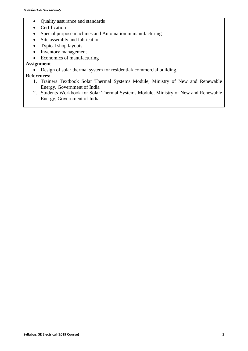- Quality assurance and standards
- Certification
- Special purpose machines and Automation in manufacturing
- Site assembly and fabrication
- Typical shop layouts
- Inventory management
- Economics of manufacturing

### **Assignment**

• Design of solar thermal system for residential/ commercial building.

### **References:**

- 1. Trainers Textbook Solar Thermal Systems Module, Ministry of New and Renewable Energy, Government of India
- 2. Students Workbook for Solar Thermal Systems Module, Ministry of New and Renewable Energy, Government of India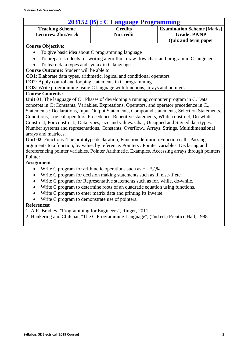### **203152 (B) : C Language Programming Teaching Scheme Lectures: 2hrs/week Credits No credit Examination Scheme** [Marks] **Grade: PP/NP Quiz and term paper Course Objective:**  • To give basic idea about C programming language • To prepare students for writing algorithm, draw flow chart and program in C language • To learn data types and syntax in C language. **Course Outcome:** Student will be able to **CO1**: Elaborate data types, arithmetic, logical and conditional operators **CO2**: Apply control and looping statements in C programming **CO3**: Write programming using C language with functions, arrays and pointers.

### **Course Contents:**

**Unit 01**: The language of C : Phases of developing a running computer program in C, Data concepts in C :Constants, Variables, Expressions, Operators, and operator precedence in C., Statements : Declarations, Input-Output Statements, Compound statements, Selection Statements. Conditions, Logical operators, Precedence. Repetitive statements, While construct, Do-while Construct, For construct., Data types, size and values. Char, Unsigned and Signed data types. Number systems and representations. Constants, Overflow., Arrays. Strings. Multidimensional arrays and matrices.

**Unit 02**: Functions :The prototype declaration, Function definition.Function call : Passing arguments to a function, by value, by reference. Pointers : Pointer variables. Declaring and dereferencing pointer variables. Pointer Arithmetic. Examples. Accessing arrays through pointers. Pointer

### **Assignment**

- Write C program for arithmetic operations such as  $+,-,*,/$ , %.
- Write C program for decision making statements such as if, else-if etc.
- Write C program for Representative statements such as for, while, do-while.
- Write C program to determine roots of an quadratic equation using functions.
- Write C program to enter matrix data and printing its inverse.
- Write C program to demonstrate use of pointers.

### **References:**

- 1. A.R. Bradley, "Programming for Engineers", Ringer, 2011
- 2. Hankering and Chitchat, "The C Programming Language", (2nd ed.) Prentice Hall, 1988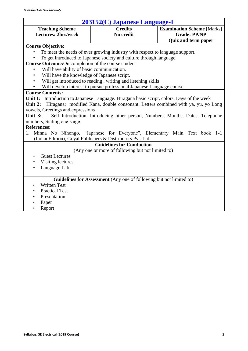| 203152(C) Japanese Language-I                                                              |                                                                        |                                                                                  |  |
|--------------------------------------------------------------------------------------------|------------------------------------------------------------------------|----------------------------------------------------------------------------------|--|
| <b>Teaching Scheme</b><br><b>Lectures: 2hrs/week</b>                                       | <b>Credits</b><br>No credit                                            | <b>Examination Scheme</b> [Marks]<br><b>Grade: PP/NP</b>                         |  |
|                                                                                            |                                                                        | <b>Quiz and term paper</b>                                                       |  |
| <b>Course Objective:</b>                                                                   |                                                                        |                                                                                  |  |
| To meet the needs of ever growing industry with respect to language support.               |                                                                        |                                                                                  |  |
| To get introduced to Japanese society and culture through language.                        |                                                                        |                                                                                  |  |
| Course Outcome: On completion of the course student                                        |                                                                        |                                                                                  |  |
| Will have ability of basic communication.                                                  |                                                                        |                                                                                  |  |
| Will have the knowledge of Japanese script.<br>$\bullet$                                   |                                                                        |                                                                                  |  |
| Will get introduced to reading, writing and listening skills<br>$\bullet$                  |                                                                        |                                                                                  |  |
| $\bullet$                                                                                  | Will develop interest to pursue professional Japanese Language course. |                                                                                  |  |
| <b>Course Contents:</b>                                                                    |                                                                        |                                                                                  |  |
| Unit 1: Introduction to Japanese Language. Hiragana basic script, colors, Days of the week |                                                                        |                                                                                  |  |
| Unit $2:$                                                                                  |                                                                        | Hiragana: modified Kana, double consonant, Letters combined with ya, yu, yo Long |  |
| vowels, Greetings and expressions                                                          |                                                                        |                                                                                  |  |
| Unit $3:$                                                                                  |                                                                        | Self Introduction, Introducing other person, Numbers, Months, Dates, Telephone   |  |
| numbers, Stating one's age.                                                                |                                                                        |                                                                                  |  |
| <b>References:</b>                                                                         |                                                                        |                                                                                  |  |
|                                                                                            |                                                                        | 1. Minna No Nihongo, "Japanese for Everyone", Elementary Main Text book 1-1      |  |
| (IndianEdition), Goyal Publishers & Distributors Pvt. Ltd.                                 |                                                                        |                                                                                  |  |
|                                                                                            | <b>Guidelines for Conduction</b>                                       |                                                                                  |  |
|                                                                                            | (Any one or more of following but not limited to)                      |                                                                                  |  |
| <b>Guest Lectures</b><br>$\bullet$                                                         |                                                                        |                                                                                  |  |
| Visiting lectures                                                                          |                                                                        |                                                                                  |  |
| Language Lab                                                                               |                                                                        |                                                                                  |  |
|                                                                                            |                                                                        |                                                                                  |  |
|                                                                                            | Guidelines for Assessment (Any one of following but not limited to)    |                                                                                  |  |
| <b>Written Test</b><br>٠                                                                   |                                                                        |                                                                                  |  |
| <b>Practical Test</b>                                                                      |                                                                        |                                                                                  |  |
| Presentation<br>$\bullet$                                                                  |                                                                        |                                                                                  |  |
| $D_{\alpha\alpha\alpha}$                                                                   |                                                                        |                                                                                  |  |

• Paper • Report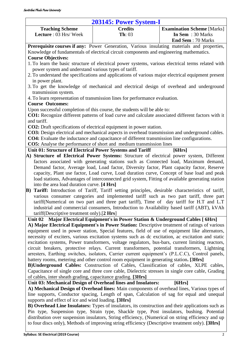<span id="page-26-0"></span>

| 203145: Power System-I                                                                             |                    |                                   |  |
|----------------------------------------------------------------------------------------------------|--------------------|-----------------------------------|--|
| <b>Teaching Scheme</b>                                                                             | <b>Credits</b>     | <b>Examination Scheme [Marks]</b> |  |
| Lecture : 03 Hrs/ Week                                                                             | $\mathbf{Th}$ : 03 | In Sem : 30 Marks                 |  |
|                                                                                                    |                    | <b>End Sem: 70 Marks</b>          |  |
| <b>Prerequisite courses if any:</b> Power Generation, Various insulating materials and properties, |                    |                                   |  |
| Knowledge of fundamentals of electrical circuit components and engineering mathematics.            |                    |                                   |  |
| <b>Course Objectives:</b>                                                                          |                    |                                   |  |
| 1. To learn the basic structure of electrical power systems, various electrical terms related with |                    |                                   |  |

- power system and understand various types of tariff.
- 2. To understand the specifications and applications of various major electrical equipment present in power plant.
- 3. To get the knowledge of mechanical and electrical design of overhead and underground transmission system.
- 4. To learn representation of transmission lines for performance evaluation.

### **Course Outcomes:**

Upon successful completion of this course, the students will be able to:

**CO1:** Recognize different patterns of load curve and calculate associated different factors with it and tariff.

**CO2:** Draft specifications of electrical equipment in power station.

**CO3:** Design electrical and mechanical aspects in overhead transmission and underground cables.

**CO4:** Evaluate the inductance and capacitance of different transmission line configurations.

**CO5:** Analyse the performance of short and medium transmission lines

**Unit 01: Structure of Electrical Power Systems and Tariff [6Hrs]** 

- **A) Structure of Electrical Power Systems:** Structure of electrical power system, Different factors associated with generating stations such as Connected load, Maximum demand, Demand factor, Average load, Load factor, Diversity factor, Plant capacity factor, Reserve capacity, Plant use factor, Load curve, Load duration curve, Concept of base load and peak load stations, Advantages of interconnected grid system, Fitting of available generating station into the area load duration curve. **[4 Hrs]**
- **B) Tariff:** Introduction of Tariff, Tariff setting principles, desirable characteristics of tariff, various consumer categories and implemented tariff such as two part tariff, three part tariff(Numerical on two part and three part tariff), Time of day tariff for H.T and L.T industrial and commercial consumers, Introduction to Availability based tariff (ABT), kVAh tariff(Descriptive treatment only).[**2 Hrs**]

**Unit 02 Major Electrical Equipment's in Power Station & Underground Cables [ 6Hrs]**

**A) Major Electrical Equipment's in Power Station:** Descriptive treatment of ratings of various equipment used in power station, Special features, field of use of equipment like alternators, necessity of exciters, various excitation systems such as dc excitation, ac excitation and static excitation systems, Power transformers, voltage regulators, bus-bars, current limiting reactors, circuit breakers, protective relays. Current transformers, potential transformers, Lightning arresters, Earthing switches, isolators, Carrier current equipment's (P.L.C.C), Control panels, battery rooms, metering and other control room equipment in generating station**. [3Hrs]**

**B)Underground Cables:** Construction of Cables, Classification of cables, XLPE cables, Capacitance of single core and three core cable, Dielectric stresses in single core cable, Grading of cables, inter sheath grading, capacitance grading. **[3Hrs]**

**Unit 03: Mechanical Design of Overhead lines and Insulators: [6Hrs] A) Mechanical Design of Overhead lines:** Main components of overhead lines, Various types of line supports, Conductor spacing, Length of span, Calculation of sag for equal and unequal

supports and effect of ice and wind loading. **[3Hrs]**

**B) Overhead Line Insulators:** Types of insulators, its construction and their applications such as Pin type, Suspension type, Strain type, Shackle type, Post insulators, bushing. Potential distribution over suspension insulators, String efficiency, (Numerical on string efficiency and up to four discs only), Methods of improving string efficiency (Descriptive treatment only). **[3Hrs]**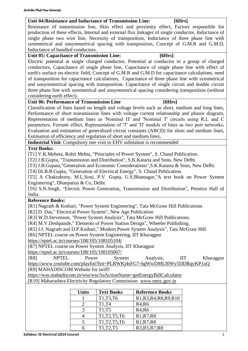|                        | <b>IIT</b> | Kł |
|------------------------|------------|----|
| <u>I0Wy5DDRqyKP1u(</u> |            |    |
| alculator              |            |    |
| <u>zov.in</u>          |            |    |
| oks                    |            |    |
| $\overline{R9, R10}$   |            |    |
|                        |            |    |
|                        |            |    |
|                        |            |    |
|                        |            |    |
|                        |            |    |

### single phase two wire line, Necessity of transposition, Inductance of three phase line with symmetrical and unsymmetrical spacing with transposition, Concept of G.M.R and G.M.D, Inductance of bundled conductors. Unit 05: Capacitance of Transmission Line: [6Hrs] Electric potential at single charged conductor, Potential at conductor in a group of charged conductors, Capacitance of single phase line, Capacitance of single phase line with effect of earth's surface on electric field, Concept of G.M.R and G.M.D for capacitance calculations, need of transposition for capacitance calculations, Capacitance of three phase line with symmetrical and unsymmetrical spacing with transposition. Capacitance of single circuit and double circuit three phase line with symmetrical and unsymmetrical spacing considering transposition (without considering earth effect). Unit 06: Performance of Transmission Line **[6Hrs]** Classification of lines based on length and voltage levels such as short, medium and long lines, Performance of short transmission lines with voltage current relationship and phasor diagram, Representation of medium lines as 'Nominal П' and 'Nominal T' circuits using R,L and C parameters, Ferranti effect, Representation of 'T' and 'П' models of lines as two port networks, Evaluation and estimation of generalized circuit constants (ABCD) for short and medium lines, Estimation of efficiency and regulation of short and medium lines**. Industrial Visit**: Compulsory one visit to EHV substation is recommended **Text Books:** [T1] V.K.Meheta, Rohit Mehta, "Principles of Power System", S. Chand Publication. [T2] J.B.Gupta, "Transmission and Distribution", S.K.Kataria and Sons, New Delhi. [T3] J.B.Gupata,"Generation and Economic Considerations",S.K.Kataria & Sons, New Delhi. [T4] Dr.B.R.Gupta, "Generation of Electrical Energy", S. Chand Publication. [T5] A Chakraborty, M.L.Soni, P.V. Gupta, U.S.Bhatnagar,"A text book on Power System Engineering", Dhanpatrai & Co, Delhi. [T6] S.N.Singh, "Electric Power Generation, Transmission and Distribution", Prentice Hall of India. **Reference Books:** [R1] Nagrath & Kothari, "Power System Engineering", Tata McGraw Hill Publications [R2] D. Das," Electrical Power System", New Age Publication [R3] W.D.Stevenson, "Power System Analysis", Tata McGraw Hill Publications. [R4] M.V.Deshpande," Elements of Power Station Design", Wheeler Publishing. [R5] I.J. Nagrath and D.P.Kothari," Modern Power System Analysis", Tata McGraw Hill [R6] NPTEL course on Power System Engineering, IIT Kharagpur <https://nptel.ac.in/courses/108/105/108105104/> [R7] NPTEL course on Power System Analysis, IIT Kharagpur <https://nptel.ac.in/courses/108/105/108105067/> [R8] NPTEL Power System Analysis, IIT Kharagpur <https://www.youtube.com/playlist?list=PLRWKj4sFG7-6gWwDMLI0Wy5DDRqyKP1uQ> [R9] MAHADISCOM Website for tariff: https://wss.mahadiscom.in/wss/wss?uiActionName=getEnergyBillC [R10] Maharashtra Electricity Regulatory Commission www.merc.g **Units** Text Books Reference Books  $1$  T1,T3,T6 R1,R3,R4,R8,

 $T1, T4$  R4,R6 | T1, T5 | R4, R6 | T1, T2, T5, T6 | R1, R7, R8 T1, T2, T5, T6 R1, R7, R8

production of these effects, Internal and external flux linkages of single conductor, Inductance of

**Unit 04:Resistance and Inductance of Transmission Line: [6Hrs]** Resistance of transmission line, Skin effect and proximity effect, Factors responsible for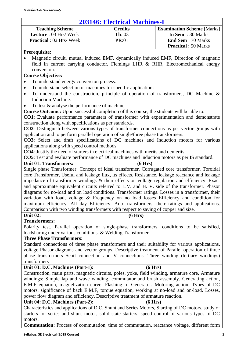### <span id="page-28-0"></span>**203146: Electrical Machines-I**

| <b>Teaching Scheme</b>          | <b>Credits</b>     | <b>Examination Scheme</b> [Marks] |
|---------------------------------|--------------------|-----------------------------------|
| <b>Lecture</b> : 03 Hrs/Week    | $\mathbf{Th}$ : 03 | In Sem $: 30$ Marks               |
| <b>Practical</b> : 02 Hrs/ Week | PR:01              | <b>End Sem</b> : 70 Marks         |
|                                 |                    | <b>Practical</b> : 50 Marks       |

### **Prerequisite:**

• Magnetic circuit, mutual induced EMF, dynamically induced EMF, Direction of magnetic field in current carrying conductor, Flemings LHR & RHR, Electromechanical energy conversion.

### **Course Objective:**

- To understand energy conversion process.
- To understand selection of machines for specific applications.
- To understand the construction, principle of operation of transformers, DC Machine  $\&$ Induction Machine.
- To test  $&$  analyse the performance of machine.

**Course Outcome:** Upon successful completion of this course, the students will be able to:

**CO1**: Evaluate performance parameters of transformer with experimentation and demonstrate construction along with specifications as per standards.

**CO2**: Distinguish between various types of transformer connections as per vector groups with application and to perform parallel operation of single/three phase transformers.

**CO3**: Select and draft specifications of DC machines and Induction motors for various applications along with speed control methods.

**CO4**: Justify the need of starters in electrical machines with merits and demerits.

**CO5**: Test and evaluate performance of DC machines and Induction motors as per IS standard.

### Unit 01: Transformers: (6 Hrs)

Single phase Transformer: Concept of ideal transformer. Corrugated core transformer. Toroidal core Transformer, Useful and leakage flux, its effects. Resistance, leakage reactance and leakage impedance of transformer windings & their effects on voltage regulation and efficiency. Exact and approximate equivalent circuits referred to L.V. and H. V. side of the transformer. Phasor diagrams for no-load and on load conditions. Transformer ratings. Losses in a transformer, their variation with load, voltage & Frequency on no load losses Efficiency and condition for maximum efficiency. All day Efficiency. Auto transformers, their ratings and applications. Comparison with two winding transformers with respect to saving of copper and size.

### Unit 02: (6 Hrs)

### **Transformers:**

Polarity test. Parallel operation of single-phase transformers, conditions to be satisfied, loadsharing under various conditions. & Welding Transformer

### **Three Phase Transformers**:

Standard connections of three phase transformers and their suitability for various applications, voltage Phasor diagrams and vector groups. Descriptive treatment of Parallel operation of three phase transformers Scott connection and V connections. Three winding (tertiary windings) transformers

### **Unit 03: D.C. Machines (Part-1): (6 Hrs)**

Construction, main parts, magnetic circuits, poles, yoke, field winding, armature core, Armature windings: Simple lap and wave winding, commutator and brush assembly. Generating action, E.M.F equation, magnetization curve, Flashing of Generator. Motoring action. Types of DC motors, significance of back E.M.F, torque equation, working at no-load and on-load. Losses, power flow diagram and efficiency. Descriptive treatment of armature reaction.

### **Unit 04: D.C. Machines (Part-2): (6 Hrs)**

Characteristics and applications of D.C. Shunt and Series Motors, Starting of DC motors, study of starters for series and shunt motor, solid state starters, speed control of various types of DC motors.

**Commutation:** Process of commutation, time of commutation, reactance voltage, different form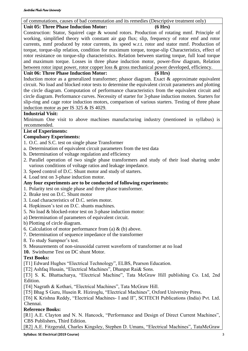### of commutations, causes of bad commutation and its remedies (Descriptive treatment only)

### **Unit 05: Three Phase Induction Motor: (6 Hrs)**

Construction: Stator, Squirrel cage & wound rotors. Production of rotating mmf. Principle of working, simplified theory with constant air gap flux; slip, frequency of rotor emf and rotor currents, mmf produced by rotor currents, its speed w.r.t. rotor and stator mmf. Production of torque, torque-slip relation, condition for maximum torque, torque-slip Characteristics, effect of rotor resistance on torque-slip characteristics. Relation between starting torque, full load torque and maximum torque. Losses in three phase induction motor, power-flow diagram, Relation between rotor input power, rotor copper loss & gross mechanical power developed, efficiency.

### **Unit 06: Three Phase Induction Motor: (6 Hrs)**

Induction motor as a generalized transformer; phasor diagram. Exact & approximate equivalent circuit. No load and blocked rotor tests to determine the equivalent circuit parameters and plotting the circle diagram. Computation of performance characteristics from the equivalent circuit and circle diagram. Performance curves. Necessity of starter for 3-phase induction motors. Starters for slip-ring and cage rotor induction motors, comparison of various starters. Testing of three phase induction motor as per IS 325 & IS 4029.

### **Industrial Visit:**

Minimum One visit to above machines manufacturing industry (mentioned in syllabus) is recommended.

### **List of Experiments:**

### **Compulsory Experiments:**

- 1. O.C. and S.C. test on single phase Transformer
- a. Determination of equivalent circuit parameters from the test data
- b. Determination of voltage regulation and efficiency
- 2. Parallel operation of two single phase transformers and study of their load sharing under various conditions of voltage ratios and leakage impedance.
- 3. Speed control of D.C. Shunt motor and study of starters.
- 4. Load test on 3-phase induction motor.

### **Any four experiments are to be conducted of following experiments:**

- 1. Polarity test on single phase and three phase transformer.
- 2. Brake test on D.C. Shunt motor
- 3. Load characteristics of D.C. series motor.
- 4. Hopkinson's test on D.C. shunts machines.
- 5. No load & blocked-rotor test on 3-phase induction motor:
- a) Determination of parameters of equivalent circuit.
- b) Plotting of circle diagram.
- 6. Calculation of motor performance from (a)  $\&$  (b) above.
- 7. Determination of sequence impedance of the transformer
- 8. To study Sumpner's test.
- 9. Measurements of non-sinusoidal current waveform of transformer at no load
- **10.** Swinburne Test on DC shunt Motor.

### **Text Books:**

- [T1] Edward Hughes "Electrical Technology", ELBS, Pearson Education.
- [T2] Ashfaq Husain, "Electrical Machines", Dhanpat Rai& Sons.

[T3] S. K. Bhattacharya, "Electrical Machine", Tata McGraw Hill publishing Co. Ltd, 2nd Edition.

[T4] Nagrath & Kothari, "Electrical Machines", Tata McGraw Hill.

[T5] Bhag S Guru, Husein R. Hiziroglu, "Electrical Machines", Oxford University Press.

[T6] K Krishna Reddy, "Electrical Machines- I and II", SCITECH Publications (India) Pvt. Ltd. Chennai.

### **Reference Books:**

[R1] A.E. Clayton and N. N. Hancock, "Performance and Design of Direct Current Machines", CBS Publishers, Third Edition.

[R2] A.E. Fitzgerald, Charles Kingsley, Stephen D. Umans, "Electrical Machines", TataMcGraw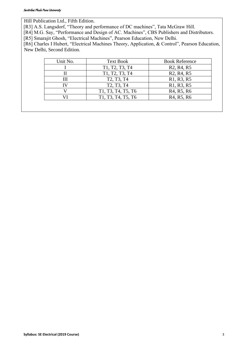Hill Publication Ltd., Fifth Edition.

[R3] A.S. Langsdorf, "Theory and performance of DC machines", Tata McGraw Hill.

[R4] M.G. Say, "Performance and Design of AC. Machines", CBS Publishers and Distributors.

[R5] Smarajit Ghosh, "Electrical Machines", Pearson Education, New Delhi.

[R6] Charles I Hubert, "Electrical Machines Theory, Application, & Control", Pearson Education, New Delhi, Second Edition.

| R <sub>2</sub> , R <sub>4</sub> , R <sub>5</sub><br>R <sub>2</sub> , R <sub>4</sub> , R <sub>5</sub> |
|------------------------------------------------------------------------------------------------------|
|                                                                                                      |
|                                                                                                      |
| R <sub>1</sub> , R <sub>3</sub> , R <sub>5</sub>                                                     |
| R <sub>1</sub> , R <sub>3</sub> , R <sub>5</sub>                                                     |
| R <sub>4</sub> , R <sub>5</sub> , R <sub>6</sub>                                                     |
| R <sub>4</sub> , R <sub>5</sub> , R <sub>6</sub>                                                     |
|                                                                                                      |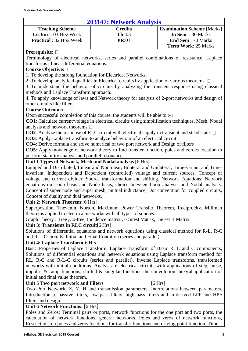### **203147: Network Analysis**

<span id="page-31-0"></span>

| <b>Teaching Scheme</b>         | <b>Credits</b>     | <b>Examination Scheme</b> [Marks] |
|--------------------------------|--------------------|-----------------------------------|
| <b>Lecture</b> : 03 Hrs/Week   | $\mathbf{Th}$ : 03 | In Sem $: 30$ Marks               |
| <b>Practical</b> : 02 Hrs/Week | PR:01              | <b>End Sem</b> : 70 Marks         |
|                                |                    | <b>Term Work: 25 Marks</b>        |

### **Prerequisite:**

Terminology of electrical networks, series and parallel combinations of resistance, Laplace transforms , linear differential equations.

### **Course Objective:**

1. To develop the strong foundation for Electrical Networks.

2. To develop analytical qualities in Electrical circuits by application of various theorems.  $\Box$ 

3. To understand the behavior of circuits by analyzing the transient response using classical methods and Laplace Transform approach.

4. To apply knowledge of laws and Network theory for analysis of 2-port networks and design of other circuits like filters.

### **Course Outcome:**

Upon successful completion of this course, the students will be able to :-  $\Box$ 

**CO1**: Calculate current/voltage in electrical circuits using simplification techniques, Mesh, Nodal analysis and network theorems.

**CO2**: Analyze the response of RLC circuit with electrical supply in transient and stead state. □

**CO3**: Apply Laplace transform to analyze behaviour of an electrical circuit.

**CO4**: Derive formula and solve numerical of two port network and Design of filters

**CO5**: Applyknowledge of network theory to find transfer function, poles and zeroes location to perform stability analysis and parallel resonance

### **Unit 1 Types of Network, Mesh and Nodal analysis** [6 Hrs]

Lumped and Distributed, Linear and Nonlinear, Bilateral and Unilateral, Time-variant and Timeinvariant. Independent and Dependent (controlled) voltage and current sources. Concept of voltage and current divider, Source transformation and shifting. Network Equations: Network equations on Loop basis and Node basis, choice between Loop analysis and Nodal analysis. Concept of super node and super mesh, mutual inductance, Dot convention for coupled circuits, Concept of duality and dual networks.

### **Unit 2: Network Theorem**:[6 Hrs]

Superposition, Thevenin, Norton, Maximum Power Transfer Theorem, Reciprocity, Millman theorems applied to electrical networks with all types of sources.

Graph Theory : Tree ,Co-tree, Incidence matrix ,F-cutest Matrix, Tie set B Matrix

### **Unit 3: Transients in RLC circuit**[6 Hrs]

Solutions of differential equations and network equations using classical method for R-L, R-C and R-L-C circuits, Initial and Final Condition (series and parallel).

### **Unit 4: Laplace Transform**[6 Hrs]

Basic Properties of Laplace Transform, Laplace Transform of Basic R, L and C components, Solutions of differential equations and network equations using Laplace transform method for RL, R-C and R-L-C circuits (series and parallel), Inverse Laplace transforms, transformed networks with initial conditions. Analysis of electrical circuits with applications of step, pulse, impulse  $\&$  ramp functions, shifted  $\&$  singular functions the convolution integral, application of initial and final value theorem.

### **Unit 5 Two port network and Filters [6 Hrs]**

Two Port Network: Z, Y, H and transmission parameters, Interrelations between parameters. Introduction to passive filters, low pass filters, high pass filters and m-derived LPF and HPF filters and design.

### **Unit 6 Network Functions:** [6 Hrs]

Poles and Zeros: Terminal pairs or ports, network functions for the one port and two ports, the calculation of network functions, general networks. Poles and zeros of network functions, Restrictions on poles and zeros locations for transfer functions and driving point function, Time –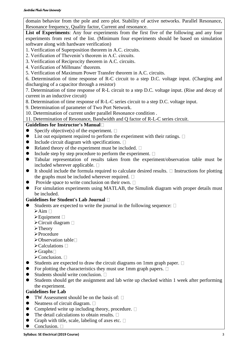domain behavior from the pole and zero plot. Stability of active networks. Parallel Resonance, Resonance frequency, Quality factor, Current and resonance.

List of Experiments: Any four experiments from the first five of the following and any four experiments from rest of the list. (Minimum four experiments should be based on simulation software along with hardware verification)

- 1. Verification of Superposition theorem in A.C. circuits.
- 2. Verification of Thevenin's theorem in A.C. circuits.
- 3. Verification of Reciprocity theorem in A.C. circuits.
- 4. Verification of Millmans' theorem.
- 5. Verification of Maximum Power Transfer theorem in A.C. circuits.

6. Determination of time response of R-C circuit to a step D.C. voltage input. (Charging and discharging of a capacitor through a resistor)

7. Determination of time response of R-L circuit to a step D.C. voltage input. (Rise and decay of current in an inductive circuit)

8. Determination of time response of R-L-C series circuit to a step D.C. voltage input.

9. Determination of parameter of Two Port Network.

10. Determination of current under parallel Resonance condition .

11. Determination of Resonance, Bandwidth and Q factor of R-L-C series circuit.

### **Guidelines for Instructor's Manual**

- $\bullet$  Specify objective(s) of the experiment.  $\square$
- $\bullet$  List out equipment required to perform the experiment with their ratings.  $\Box$
- $\bullet$  Include circuit diagram with specifications.  $\square$
- $\bullet$  Related theory of the experiment must be included.  $\square$
- $\bullet$  Include step by step procedure to perform the experiment.  $\square$
- ⚫ Tabular representation of results taken from the experiment/observation table must be included wherever applicable.  $\square$
- $\bullet$  It should include the formula required to calculate desired results.  $\Box$  Instructions for plotting the graphs must be included wherever required.  $\square$
- Provide space to write conclusion on their own.  $\Box$
- ⚫ For simulation experiments using MATLAB, the Simulink diagram with proper details must be included.

### **Guidelines for Student's Lab Journal**

- $\bullet$  Students are expected to write the journal in the following sequence:  $\square$ 
	- $\triangleright$ Aim  $\Box$
	- $\blacktriangleright$  Equipment  $\Box$
	- ➢Circuit diagram
	- ➢Theory
	- ➢Procedure
	- $\triangleright$  Observation table  $\square$
	- $\triangleright$ Calculations  $\Box$
	- $\triangleright$ Graphs $\square$
	- $\triangleright$  Conclusion.  $\square$
- Students are expected to draw the circuit diagrams on 1mm graph paper.  $\Box$
- $\bullet$  For plotting the characteristics they must use 1mm graph papers.  $\Box$
- $\bullet$  Students should write conclusion.  $\square$
- ⚫ Students should get the assignment and lab write up checked within 1 week after performing the experiment.

### **Guidelines for Lab**

- $\bullet$  TW Assessment should be on the basis of:  $\Box$
- Neatness of circuit diagram.  $\Box$
- Completed write up including theory, procedure.  $\Box$
- The detail calculations to obtain results.  $\square$
- Graph with title, scale, labeling of axes etc.  $\square$
- Conclusion.  $\square$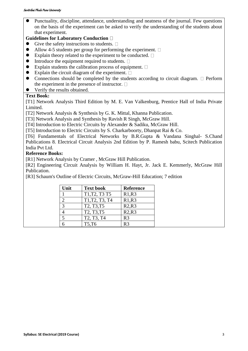⚫ Punctuality, discipline, attendance, understanding and neatness of the journal. Few questions on the basis of the experiment can be asked to verify the understanding of the students about that experiment.

### **Guidelines for Laboratory Conduction**

- $\bullet$  Give the safety instructions to students.  $\Box$
- $\bullet$  Allow 4-5 students per group for performing the experiment.  $\square$
- $\bullet$  Explain theory related to the experiment to be conducted.  $\square$
- $\bullet$  Introduce the equipment required to students.  $\square$
- $\bullet$  Explain students the calibration process of equipment.  $\square$
- $\bullet$  Explain the circuit diagram of the experiment.  $\square$
- Connections should be completed by the students according to circuit diagram.  $\Box$  Perform the experiment in the presence of instructor.  $\Box$
- ⚫ Verify the results obtained.

### **Text Book:**

[T1] Network Analysis Third Edition by M. E. Van Valkenburg, Prentice Hall of India Private Limited.

[T2] Network Analysis & Synthesis by G. K. Mittal, Khanna Publication.

[T3] Network Analysis and Synthesis by Ravish R Singh, McGraw Hill.

[T4] Introduction to Electric Circuits by Alexander & Sadiku, McGraw Hill.

[T5] Introduction to Electric Circuits by S. Charkarboorty, Dhanpat Rai & Co.

[T6] Fundamentals of Electrical Networks by B.R.Gupta & Vandana Singhal- S.Chand Publications 8. Electrical Circuit Analysis 2nd Edition by P. Ramesh babu, Scitech Publication India Pvt Ltd.

### **Reference Books:**

[R1] Network Analysis by Cramer, McGraw Hill Publication.

[R2] Engineering Circuit Analysis by William H. Hayt, Jr. Jack E. Kemmerly, McGraw Hill Publication.

[R3] Schaum's Outline of Electric Circuits, McGraw-Hill Education; 7 edition

| Unit          | <b>Text book</b>                                 | <b>Reference</b> |
|---------------|--------------------------------------------------|------------------|
|               | T1, T2, T3 T5                                    | R1,R3            |
|               | T1, T2, T3, T4                                   | R1,R3            |
| $\mathcal{R}$ | T2, T3, T5                                       | R2,R3            |
|               | T <sub>2</sub> , T <sub>3</sub> , T <sub>5</sub> | R2,R3            |
|               | T <sub>2</sub> , T <sub>3</sub> , T <sub>4</sub> | R <sub>3</sub>   |
|               | T5,T6                                            | R <sup>3</sup>   |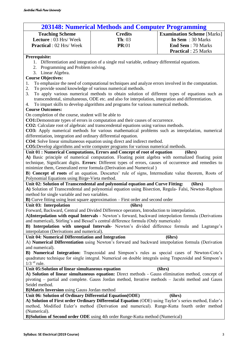<span id="page-34-0"></span>

| <b>203148: Numerical Methods and Computer Programming</b>                                               |                                                                                                        |                                   |  |
|---------------------------------------------------------------------------------------------------------|--------------------------------------------------------------------------------------------------------|-----------------------------------|--|
| <b>Teaching Scheme</b>                                                                                  | <b>Credits</b>                                                                                         | <b>Examination Scheme [Marks]</b> |  |
| Lecture: 03 Hrs/Week                                                                                    | $\mathbf{Th}$ : 03                                                                                     | In Sem : 30 Marks                 |  |
| <b>Practical</b> : 02 Hrs/Week                                                                          | <b>PR:01</b>                                                                                           | <b>End Sem: 70 Marks</b>          |  |
|                                                                                                         |                                                                                                        | <b>Practical</b> : 25 Marks       |  |
|                                                                                                         |                                                                                                        |                                   |  |
| Prerequisite:                                                                                           | 1. Differentiation and integration of a single real variable, ordinary differential equations.         |                                   |  |
| 2. Programming and Problem solving.                                                                     |                                                                                                        |                                   |  |
| 3. Linear Algebra.                                                                                      |                                                                                                        |                                   |  |
| <b>Course Objectives:</b>                                                                               |                                                                                                        |                                   |  |
| 1.                                                                                                      | To emphasize the need of computational techniques and analyze errors involved in the computation.      |                                   |  |
| To provide sound knowledge of various numerical methods.<br>2.                                          |                                                                                                        |                                   |  |
| 3.                                                                                                      | To apply various numerical methods to obtain solution of different types of equations such as          |                                   |  |
|                                                                                                         | transcendental, simultaneous, ODE etc. and also for interpolation, integration and differentiation.    |                                   |  |
| 4.                                                                                                      | To impart skills to develop algorithms and programs for various numerical methods.                     |                                   |  |
| <b>Course Outcomes:</b>                                                                                 |                                                                                                        |                                   |  |
| On completion of the course, student will be able to                                                    |                                                                                                        |                                   |  |
|                                                                                                         | CO1:Demonstrate types of errors in computation and their causes of occurrence.                         |                                   |  |
|                                                                                                         | CO2: Calculate root of algebraic and transcendental equations using various methods.                   |                                   |  |
|                                                                                                         | CO3: Apply numerical methods for various mathematical problems such as interpolation, numerical        |                                   |  |
| differentiation, integration and ordinary differential equation.                                        |                                                                                                        |                                   |  |
|                                                                                                         | <b>CO4</b> : Solve linear simultaneous equation using direct and indirect method.                      |                                   |  |
|                                                                                                         | <b>CO5:</b> Develop algorithms and write computer programs for various numerical methods.              |                                   |  |
|                                                                                                         | Unit 01 : Numerical Computations, Errors and Concept of root of equation                               | (6hrs)                            |  |
|                                                                                                         | A) Basic principle of numerical computation. Floating point algebra with normalized floating point     |                                   |  |
|                                                                                                         | technique, Significant digits. Errors: Different types of errors, causes of occurrence and remedies to |                                   |  |
|                                                                                                         | minimize them, Generalized error formula (Derivation and Numerical)                                    |                                   |  |
|                                                                                                         | B) Concept of roots of an equation. Descartes' rule of signs, Intermediate value theorem, Roots of     |                                   |  |
| Polynomial Equations using Birge-Vieta method.                                                          |                                                                                                        |                                   |  |
|                                                                                                         | Unit 02: Solution of Transcendental and polynomial equation and Curve Fitting:                         | (6hrs)                            |  |
|                                                                                                         | A) Solution of Transcendental and polynomial equation using Bisection, Regula- Falsi, Newton-Raphson   |                                   |  |
| method for single variable and two variables.                                                           |                                                                                                        |                                   |  |
|                                                                                                         | <b>B</b> ) Curve fitting using least square approximation – First order and second order               |                                   |  |
| Unit 03: Interpolation                                                                                  | (6hrs)                                                                                                 |                                   |  |
|                                                                                                         | Forward, Backward, Central and Divided Difference operators, Introduction to interpolation.            |                                   |  |
|                                                                                                         | A) Interpolation with equal Intervals - Newton's forward, backward interpolation formula (Derivations  |                                   |  |
|                                                                                                         | and numerical), Stirling's and Bessel's central difference formula (Only numericals)                   |                                   |  |
|                                                                                                         | B) Interpolation with unequal Intervals- Newton's divided difference formula and Lagrange's            |                                   |  |
|                                                                                                         | interpolation (Derivations and numerical).                                                             |                                   |  |
| Unit 04: Numerical Differentiation and Integration                                                      |                                                                                                        | (6hrs)                            |  |
|                                                                                                         | A) Numerical Differentiation using Newton's forward and backward interpolation formula (Derivation     |                                   |  |
| and numerical).                                                                                         |                                                                                                        |                                   |  |
|                                                                                                         | B) Numerical Integration: Trapezoidal and Simpson's rules as special cases of Newton-Cote's            |                                   |  |
| quadrature technique for single integral. Numerical on double integrals using Trapezoidal and Simpson's |                                                                                                        |                                   |  |
| $1/3$ <sup>rd</sup> rule.                                                                               |                                                                                                        |                                   |  |
| Unit 05:Solution of linear simultaneous equation<br>(6hrs)                                              |                                                                                                        |                                   |  |
| A) Solution of linear simultaneous equation: Direct methods - Gauss elimination method, concept of      |                                                                                                        |                                   |  |
| pivoting - partial and complete. Gauss Jordan method, Iterative methods - Jacobi method and Gauss       |                                                                                                        |                                   |  |
| Seidel method.                                                                                          |                                                                                                        |                                   |  |
| <b>B)Matrix Inversion</b> using Gauss Jordan method                                                     |                                                                                                        |                                   |  |
| Unit 06: Solution of Ordinary Differential Equation (ODE)<br>(6hrs)                                     |                                                                                                        |                                   |  |
| A) Solution of First order Ordinary Differential Equation (ODE) using Taylor's series method, Euler's   |                                                                                                        |                                   |  |
| method, Modified Euler's method (Derivation and numerical). Runge-Kutta fourth order method             |                                                                                                        |                                   |  |
| (Numerical).                                                                                            |                                                                                                        |                                   |  |
|                                                                                                         | <b>B)Solution of Second order ODE</b> using 4th order Runge-Kutta method (Numerical)                   |                                   |  |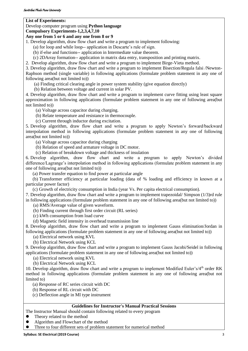### **List of Experiments:**

### Develop computer program using **Python language**

### **Compulsory Experiments-1,2,3,4,7,10**

### **Any one from 5 or 6 and any one from 8 or 9**

1. Develop algorithm, draw flow chart and write a program to implement following:

(a) for loop and while loop-- application in Descarte's rule of sign.

(b) if-else and functions-- application in Intermediate value theorem.

(c) 2DArray formation-- application in matrix data entry, transposition and printing matrix.

2. Develop algorithm, draw flow chart and write a program to implement Birge-Vieta method.

3. Develop algorithm, draw flow chart and write a program to implement Bisection/Regula falsi /Newton-Raphson method (single variable) in following applications (formulate problem statement in any one of following area(but not limited to))

(a) Finding critical clearing angle in power system stability (give equation directly)

(b) Relation between voltage and current in solar PV.

4. Develop algorithm, draw flow chart and write a program to implement curve fitting using least square approximation in following applications (formulate problem statement in any one of following area(but not limited to))

(a) Voltage across capacitor during charging.

(b) Relate temperature and resistance in thermocouple.

(c) Current through inductor during excitation.

5. Develop algorithm, draw flow chart and write a program to apply Newton's forward/backward interpolation method in following applications (formulate problem statement in any one of following area(but not limited to))

(a) Voltage across capacitor during charging

(b) Relation of speed and armature voltage in DC motor.

(c) Relation of breakdown voltage and thickness of insulation

6. Develop algorithm, draw flow chart and write a program to apply Newton's divided difference/Lagrange's interpolation method in following applications (formulate problem statement in any one of following area(but not limited to))

(a) Power transfer equation to find power at particular angle

(b) Transformer efficiency at particular loading (data of % loading and efficiency in known at a particular power factor)

(c) Growth of electricity consumption in India (year Vs. Per capita electrical consumption).

7. Develop algorithm, draw flow chart and write a program to implement trapezoidal/ Simpson (1/3)rd rule in following applications (formulate problem statement in any one of following area(but not limited to))

(a) RMS/Average value of given waveform.

(b) Finding current through first order circuit (RL series)

(c) kWh consumption from load curve

(d) Magnetic field intensity in overhead transmission line

8. Develop algorithm, draw flow chart and write a program to implement Gauss elimination/Jordan in following applications (formulate problem statement in any one of following area(but not limited to))

(a) Electrical network using KVL

(b) Electrical Network using KCL

9. Develop algorithm, draw flow chart and write a program to implement Gauss Jacobi/Seidel in following applications (formulate problem statement in any one of following area(but not limited to))

(a) Electrical network using KVL

(b) Electrical Network using KCL

10. Develop algorithm, draw flow chart and write a program to implement Modified Euler's/4<sup>th</sup> order RK method in following applications (formulate problem statement in any one of following area(but not limited to)

(a) Response of RC series circuit with DC

(b) Response of RL circuit with DC

(c) Deflection angle in MI type instrument

### **Guidelines for Instructor's Manual Practical Sessions**

The Instructor Manual should contain following related to every program

- ⚫ Theory related to the method
- ⚫ Algorithm and Flowchart of the method
- ⚫ Three to four different sets of problem statement for numerical method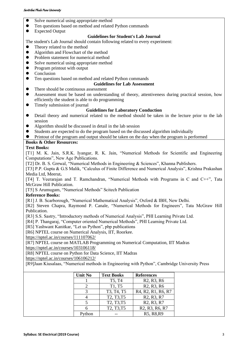- ⚫ Solve numerical using appropriate method
- Ten questions based on method and related Python commands
- Expected Output

### **Guidelines for Student's Lab Journal**

- The student's Lab Journal should contain following related to every experiment:
- Theory related to the method <math display="inline">\bullet</math> Algorithm and Flowchart of the
- ⚫ Algorithm and Flowchart of the method
- Problem statement for numerical method
- Solve numerical using appropriate method
- ⚫ Program printout with output
- Conclusion
- ⚫ Ten questions based on method and related Python commands

### **Guidelines for Lab Assessment**

- There should be continuous assessment<br>● Assessment must be based on understa
- Assessment must be based on understanding of theory, attentiveness during practical session, how efficiently the student is able to do programming
- ⚫ Timely submission of journal

### **Guidelines for Laboratory Conduction**

- ⚫ Detail theory and numerical related to the method should be taken in the lecture prior to the lab session
- ⚫ Algorithm should be discussed in detail in the lab session
- ⚫ Students are expected to do the program based on the discussed algorithm individually
- ⚫ Printout of the program and output should be taken on the day when the program is performed

### **Books & Other Resources:**

### **Text Books:**

[T1] M. K. Jain, S.R.K. Iyangar, R. K. Jain, "Numerical Methods for Scientific and Engineering Computations", New Age Publications.

[T2] Dr. B. S. Grewal, "Numerical Methods in Engineering & Sciences", Khanna Publishers.

[T3] P.P. Gupta & G.S Malik, "Calculus of Finite Difference and Numerical Analysis", Krishna Prakashan Media Ltd, Meerut**.**

[T4] T. Veerarajan and T. Ramchandran, "Numerical Methods with Programs in C and C++", Tata McGraw Hill Publication.

[T5] S Arumugam, "Numerical Methods" Scitech Publication

### **Reference Books:**

[R1] J. B. Scarborough, "Numerical Mathematical Analysis", Oxford & IBH, New Delhi.

[R2] Steven Chapra, Raymond P. Canale, "Numerical Methods for Engineers", Tata McGraw Hill Publication.

[R3] S.S. Sastry, "Introductory methods of Numerical Analysis", PHI Learning Private Ltd.

[R4] P. Thangaraj, "Computer oriented Numerical Methods", PHI Learning Private Ltd.

[R5] Yashwant Kanitkar, "Let us Python", pbp publications

[R6] NPTEL course on Numerical Analysis, IIT, Roorkee.

<https://nptel.ac.in/courses/111107062/>

[R7] NPTEL course on MATLAB Programming on Numerical Computation, IIT Madras <https://nptel.ac.in/courses/103106118/>

[R8] NPTEL course on Python for Data Science, IIT Madras

<https://nptel.ac.in/courses/106106212/>

[R9]Jaan Kiusalaas, "Numerical methods in Engineering with Python", Cambridge University Press

| <b>Unit No</b> | <b>Text Books</b>                                | <b>References</b>                                                                  |
|----------------|--------------------------------------------------|------------------------------------------------------------------------------------|
|                | T5, T4                                           | R <sub>2</sub> , R <sub>3</sub> , R <sub>6</sub>                                   |
|                | T1, T5                                           | R <sub>2</sub> , R <sub>3</sub> , R <sub>6</sub>                                   |
|                | T3, T4, T5                                       | R <sub>4</sub> , R <sub>2</sub> , R <sub>1</sub> , R <sub>6</sub> , R <sub>7</sub> |
|                | T2, T3, T5                                       | R <sub>2</sub> , R <sub>3</sub> , R <sub>7</sub>                                   |
|                | T <sub>2</sub> , T <sub>3</sub> , T <sub>5</sub> | R <sub>2</sub> , R <sub>3</sub> , R <sub>7</sub>                                   |
|                | T2, T3, T5                                       | R <sub>2</sub> , R <sub>3</sub> , R <sub>6</sub> , R <sub>7</sub>                  |
| ∙hon           |                                                  | R5, R8, R9                                                                         |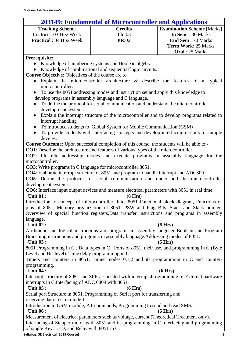### **203149: Fundamental of Microcontroller and Applications**

<span id="page-37-0"></span>

| <b>Teaching Scheme</b>          | <b>Credits</b>     | <b>Examination Scheme</b> [Marks] |
|---------------------------------|--------------------|-----------------------------------|
| <b>Lecture</b> : 03 Hrs/Week    | $\mathbf{Th}$ : 03 | In Sem $: 30$ Marks               |
| <b>Practical</b> : 04 Hrs/ Week | PR:02              | <b>End Sem</b> : 70 Marks         |
|                                 |                    | <b>Term Work: 25 Marks</b>        |
|                                 |                    | <b>Oral</b> : 25 Marks            |

### **Prerequisite:**

- Knowledge of numbering systems and Boolean algebra.
- Knowledge of combinational and sequential logic circuits.

**Course Objective:** Objectives of the course are to

- Explain the microcontroller architecture & describe the features of a typical microcontroller.
- To use the 8051 addressing modes and instruction set and apply this knowledge to develop programs in assembly language and C language.
- To define the protocol for serial communication and understand the microcontroller development systems.
- Explain the interrupt structure of the microcontroller and to develop programs related to interrupt handling
- To introduce students to Global System for Mobile Communication (GSM)
- To provide students with interfacing concepts and develop interfacing circuits for simple devices.

**Course Outcome:** Upon successful completion of this course, the students will be able to:-

**CO1**: Describe the architecture and features of various types of the microcontroller.

**CO2**: Illustrate addressing modes and execute programs in assembly language for the microcontroller.

**CO3**: Write programs in C language for microcontroller 8051.

**CO4**: Elaborate interrupt structure of 8051 and program to handle interrupt and ADC809

**CO5**: Define the protocol for serial communication and understand the microcontroller development systems.

**CO6**: Interface input output devices and measure electrical parameters with 8051 in real time.

### Unit 01 : (6 Hrs)

Introduction to concept of microcontroller, Intel 8051 Functional block diagram, Functions of pins of 8051, Memory organization of 8051, PSW and Flag Bits, Stack and Stack pointer. Overview of special function registers,Data transfer instructions and programs in assembly language.

### Unit 02 : (6 Hrs)

Arithmetic and logical instructions and programs in assembly language.Boolean and Program Branching instructions and programs in assembly language.Addressing modes of 8051.

### Unit 03 : (6 Hrs)

8051 Programming in C , Data types in C . Ports of 8051, their use, and programming in C (Byte Level and Bit-level). Time delay programming in C.

Timers and counters in 8051, Timer modes 0,1,2 and its programming in C and counterprogramming.

### Unit 04 : (6 Hrs)

Interrupt structure of 8051 and SFR associated with interruptsProgramming of External hardware interrupts in C.Interfacing of ADC 0809 with 8051.

### Unit  $05:$  (6 Hrs)

Serial port Structure in 8051. Programming of Serial port for transferring and receiving data in C in mode 1.

Introduction to GSM module, AT commands, Programming to send and read SMS.

### Unit 06 : (6 Hrs)

Measurement of electrical parameters such as voltage, current (Theoretical Treatment only).

Interfacing of Stepper motor with 8051 and its programming in C.Interfacing and programming of single Key, LED, and Relay with 8051 in C.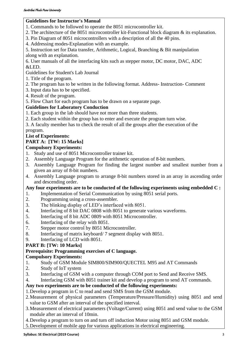### **Guidelines for Instructor's Manual**

- 1. Commands to be followed to operate the 8051 microcontroller kit.
- 2. The architecture of the 8051 microcontroller kit-Functional block diagram & its explanation.
- 3. Pin Diagram of 8051 microcontrollers with a description of all the 40 pins.
- 4. Addressing modes-Explanation with an example.

5. Instruction set for Data transfer, Arithmetic, Logical, Branching & Bit manipulation along with an explanation.

6. User manuals of all the interfacing kits such as stepper motor, DC motor, DAC, ADC &LED.

Guidelines for Student's Lab Journal

### 1. Title of the program.

- 2. The program has to be written in the following format. Address- Instruction- Comment
- 3. Input data has to be specified.
- 4. Result of the program.
- 5. Flow Chart for each program has to be drawn on a separate page.

### **Guidelines for Laboratory Conduction**

- 1. Each group in the lab should have not more than three students.
- 2. Each student within the group has to enter and execute the program turn wise.

3. A faculty member has to check the result of all the groups after the execution of the program.

### **List of Experiments:**

### **PART A: [TW: 15 Marks]**

### **Compulsory Experiments:**

- 1. Study and use of 8051 Microcontroller trainer kit.
- 2. Assembly Language Program for the arithmetic operation of 8-bit numbers.
- 3. Assembly Language Program for finding the largest number and smallest number from a given an array of 8-bit numbers.
- 4. Assembly Language program to arrange 8-bit numbers stored in an array in ascending order and descending order.

### **Any four experiments are to be conducted of the following experiments using embedded C :**

- 1. Implementation of Serial Communication by using 8051 serial ports.
- 2. Programming using a cross-assembler.
- 3. The blinking display of LED's interfaced with 8051.
- 4. Interfacing of 8 bit DAC 0808 with 8051 to generate various waveforms.
- 5. Interfacing of 8 bit ADC 0809 with 8051 Microcontroller.
- 6. Interfacing of the relay with 8051.
- 7. Stepper motor control by 8051 Microcontroller.
- 8. Interfacing of matrix keyboard/ 7 segment display with 8051.
- 9. Interfacing of LCD with 8051.

### **PART B: [TW: 10 Marks]**

### **Prerequisite: Programming exercises of C language.**

### **Compulsory Experiments:**

- 1. Study of GSM Module SIM800/SIM900/QUECTEL M95 and AT Commands
- 2. Study of IoT system
- 3. Interfacing of GSM with a computer through COM port to Send and Receive SMS.
- 4. Interfacing GSM with 8051 trainer kit and develop a program to send AT commands.

### **Any two experiments are to be conducted of the following experiments:**

- 1.Develop a program in C to read and send SMS from the GSM module.
- 2.Measurement of physical parameters (Temperature/Pressure/Humidity) using 8051 and send value to GSM after an interval of the specified interval.
- 3.Measurement of electrical parameters (Voltage/Current) using 8051 and send value to the GSM module after an interval of 10min.
- 4.Develop a program to turn on and turn off induction Motor using 8051 and GSM module.
- 5.Development of mobile app for various applications in electrical engineering.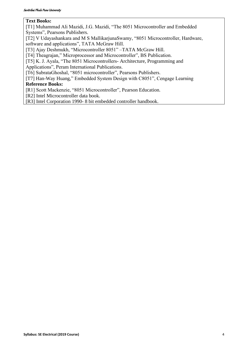### **Text Books:**

[T1] Muhammad Ali Mazidi, J.G. Mazidi, "The 8051 Microcontroller and Embedded Systems", Pearsons Publishers.

[T2] V Udayashankara and M S MallikarjunaSwamy, "8051 Microcontroller, Hardware, software and applications", TATA McGraw Hill.

[T3] Ajay Deshmukh, "Microcontroller 8051" –TATA McGraw Hill.

[T4] Theagrajan," Microprocessor and Microcontroller", BS Publication.

[T5] K. J. Ayala, "The 8051 Microcontrollers- Architecture, Programming and

Applications", Peram International Publications.

[T6] SubrataGhoshal, "8051 microcontroller", Pearsons Publishers.

[T7] [Han-Way Huang,](https://www.google.co.in/search?tbo=p&tbm=bks&q=inauthor:%22Han-Way+Huang%22&source=gbs_metadata_r&cad=2)" Embedded System Design with C8051", Cengage Learning

### **Reference Books:**

[R1] Scott Mackenzie, "8051 Microcontroller", Pearson Education.

[R2] Intel Microcontroller data book.

[R3] Intel Corporation 1990- 8 bit embedded controller handbook.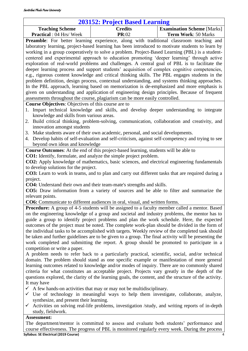### **203152: Project Based Learning**

<span id="page-40-0"></span>

| 203152: Project Based Learning                                                                   |                |                                   |  |  |
|--------------------------------------------------------------------------------------------------|----------------|-----------------------------------|--|--|
| <b>Teaching Scheme</b>                                                                           | <b>Credits</b> | <b>Examination Scheme</b> [Marks] |  |  |
| <b>Practical</b> : 04 Hrs/ Week                                                                  | PR:02          | <b>Term Work: 50 Marks</b>        |  |  |
| <b>Preamble:</b> For better learning experience, along with traditional classroom teaching and   |                |                                   |  |  |
| laboratory learning, project-based learning has been introduced to motivate students to learn by |                |                                   |  |  |
| working in a group cooperatively to solve a problem. Project-Based Learning (PBL) is a student-  |                |                                   |  |  |
| centered and experimental approach to education promoting 'deeper learning' through active       |                |                                   |  |  |
| exploration of real-world problems and challenges. A central goal of PBL is to facilitate the    |                |                                   |  |  |
| deeper learning process and support students' acquisition of complex cognitive competencies,     |                |                                   |  |  |
| e.g., rigorous content knowledge and critical thinking skills. The PBL engages students in the   |                |                                   |  |  |
| problem definition, design process, contextual understanding, and systems thinking approaches.   |                |                                   |  |  |
| In the PBL approach, learning based on memorization is de-emphasized and more emphasis is        |                |                                   |  |  |
| given on understanding and application of engineering design principles. Because of frequent     |                |                                   |  |  |
| assessments throughout the course, plagiarism can be more easily controlled.                     |                |                                   |  |  |

**Course Objectives**: Objectives of this course are to

- 1. Impart technical knowledge and skills, and develop deeper understanding to integrate knowledge and skills from various areas.
- 2. Build critical thinking, problem-solving, communication, collaboration and creativity, and innovation amongst students
- 3. Make students aware of their own academic, personal, and social developments.
- 4. Develop habits of self-evaluation and self-criticism, against self-competency and trying to see beyond own ideas and knowledge

**Course Outcomes**: At the end of this project-based learning, students will be able to **CO1:** Identify, formulate, and analyze the simple project problem.

**CO2:** Apply knowledge of mathematics, basic sciences, and electrical engineering fundamentals to develop solutions for the project.

**CO3:** Learn to work in teams, and to plan and carry out different tasks that are required during a project.

**CO4:** Understand their own and their team-mate's strengths and skills.

**CO5:** Draw information from a variety of sources and be able to filter and summarize the relevant points.

**CO6:** Communicate to different audiences in oral, visual, and written forms.

**Procedure:** A group of 4-5 students will be assigned to a faculty member called a mentor. Based on the engineering knowledge of a group and societal and industry problems, the mentor has to guide a group to identify project problems and plan the work schedule. Here, the expected outcomes of the project must be noted. The complete work-plan should be divided in the form of the individual tasks to be accomplished with targets. Weekly review of the completed task should be taken and further guidelines are to be given to a group. The final activity will be presenting the work completed and submitting the report. A group should be promoted to participate in a competition or write a paper.

A problem needs to refer back to a particularly practical, scientific, social, and/or technical domain. The problem should stand as one specific example or manifestation of more general learning outcomes related to knowledge and/or modes of inquiry. There are no commonly shared criteria for what constitutes an acceptable project. Projects vary greatly in the depth of the questions explored, the clarity of the learning goals, the content, and the structure of the activity. It may have

- $\checkmark$  A few hands-on activities that may or may not be multidisciplinary.
- $\checkmark$  Use of technology in meaningful ways to help them investigate, collaborate, analyze, synthesize, and present their learning.
- $\checkmark$  Activities on solving real-life problems, investigation /study, and writing reports of in-depth study, fieldwork.

### **Assessment:**

**Syllabus: SE Electrical (2019 Course)** 41 The department/mentor is committed to assess and evaluate both students' performance and course effectiveness. The progress of PBL is monitored regularly every week. During the process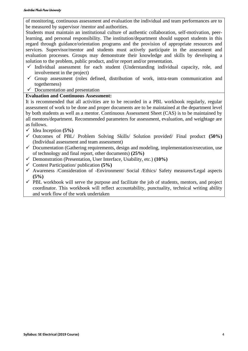### Savitribai Phule Pune University

of monitoring, continuous assessment and evaluation the individual and team performances are to be measured by supervisor /mentor and authorities.

Students must maintain an institutional culture of authentic collaboration, self-motivation, peerlearning, and personal responsibility. The institution/department should support students in this regard through guidance/orientation programs and the provision of appropriate resources and services. Supervisor/mentor and students must actively participate in the assessment and evaluation processes. Groups may demonstrate their knowledge and skills by developing a solution to the problem, public product, and/or report and/or presentation.

- $\checkmark$  Individual assessment for each student (Understanding individual capacity, role, and involvement in the project)
- $\checkmark$  Group assessment (roles defined, distribution of work, intra-team communication and togetherness)
- $\checkmark$  Documentation and presentation

### **Evaluation and Continuous Assessment:**

It is recommended that all activities are to be recorded in a PBL workbook regularly, regular assessment of work to be done and proper documents are to be maintained at the department level by both students as well as a mentor. Continuous Assessment Sheet (CAS) is to be maintained by all mentors/department. Recommended parameters for assessment, evaluation, and weightage are as follows.

- $\checkmark$  Idea Inception (5%)
- ✓ Outcomes of PBL/ Problem Solving Skills/ Solution provided/ Final product **(50%)**  (Individual assessment and team assessment)
- $\checkmark$  Documentation (Gathering requirements, design and modeling, implementation/execution, use of technology and final report, other documents) **(25%)**
- ✓ Demonstration (Presentation, User Interface, Usability, etc.) **(10%)**
- ✓ Contest Participation/ publication **(5%)**
- ✓ Awareness /Consideration of -Environment/ Social /Ethics/ Safety measures/Legal aspects **(5%)**
- $\checkmark$  PBL workbook will serve the purpose and facilitate the job of students, mentors, and project coordinator. This workbook will reflect accountability, punctuality, technical writing ability and work flow of the work undertaken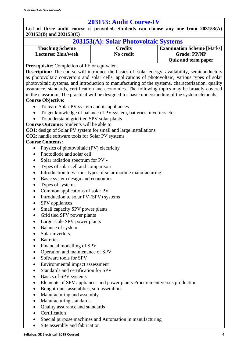### **203153: Audit Course-IV**

<span id="page-42-0"></span>**List of three audit course is provided. Students can choose any one from 203153(A) 203153(B) and 203153(C)**

| 203153(A): Solar Photovoltaic Systems |                |                                   |  |  |
|---------------------------------------|----------------|-----------------------------------|--|--|
| <b>Teaching Scheme</b>                | <b>Credits</b> | <b>Examination Scheme</b> [Marks] |  |  |
| <b>Lectures: 2hrs/week</b>            | No credit      | <b>Grade: PP/NP</b>               |  |  |
|                                       |                | <b>Quiz and term paper</b>        |  |  |

### **Prerequisite**: Completion of FE or equivalent

**Description:** The course will introduce the basics of: solar energy, availability, semiconductors as photovoltaic convertors and solar cells, applications of photovoltaic, various types of solar photovoltaic systems, and introduction to manufacturing of the systems, characterization, quality assurance, standards, certification and economics. The following topics may be broadly covered in the classroom. The practical will be designed for basic understanding of the system elements.

### **Course Objective:**

- To learn Solar PV system and its appliances
- To get knowledge of balance of PV system, batteries, inverters etc.
- To understand grid tied SPV solar plants

**Course Outcome:** Students will be able to

**CO1**: design of Solar PV system for small and large installations

**CO2**: handle software tools for Solar PV systems

### **Course Contents:**

- Physics of photovoltaic (PV) electricity
- Photodiode and solar cell
- Solar radiation spectrum for PV •
- Types of solar cell and comparison
- Introduction to various types of solar module manufacturing
- Basic system design and economics
- Types of systems
- Common applications of solar PV
- Introduction to solar PV (SPV) systems
- SPV appliances
- Small capacity SPV power plants
- Grid tied SPV power plants
- Large scale SPV power plants
- Balance of system
- Solar inverters
- Batteries
- Financial modelling of SPV
- Operation and maintenance of SPV
- Software tools for SPV
- Environmental impact assessment
- Standards and certification for SPV
- Basics of SPV systems
- Elements of SPV appliances and power plants Procurement versus production
- Bought-outs, assemblies, sub-assemblies
- Manufacturing and assembly
- Manufacturing standards
- Quality assurance and standards
- Certification
- Special purpose machines and Automation in manufacturing
- Site assembly and fabrication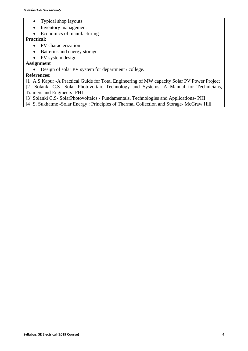- Typical shop layouts
- Inventory management
- Economics of manufacturing

### **Practical:**

- PV characterization
- Batteries and energy storage
- PV system design

**Assignment** 

• Design of solar PV system for department / college.

### **References:**

[1] A.S.Kapur -A Practical Guide for Total Engineering of MW capacity Solar PV Power Project [2] Solanki C.S- Solar Photovoltaic Technology and Systems: A Manual for Technicians, Trainers and Engineers- PHI

[3] Solanki C.S- SolarPhotovoltaics - Fundamentals, Technologies and Applications- PHI [4] S. Sukhatme -Solar Energy : Principles of Thermal Collection and Storage- McGraw Hill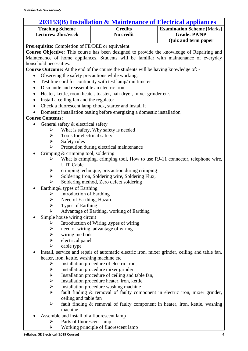| 203153(B) Installation & Maintenance of Electrical appliances         |                                                                                               |                                   |  |  |
|-----------------------------------------------------------------------|-----------------------------------------------------------------------------------------------|-----------------------------------|--|--|
| <b>Teaching Scheme</b>                                                | <b>Credits</b>                                                                                | <b>Examination Scheme [Marks]</b> |  |  |
| <b>Lectures: 2hrs/week</b>                                            | No credit                                                                                     | <b>Grade: PP/NP</b>               |  |  |
|                                                                       |                                                                                               | <b>Quiz and term paper</b>        |  |  |
| <b>Prerequisite:</b> Completion of FE/DEE or equivalent               |                                                                                               |                                   |  |  |
|                                                                       | Course Objective: This course has been designed to provide the knowledge of Repairing and     |                                   |  |  |
|                                                                       | Maintenance of home appliances. Students will be familiar with maintenance of everyday        |                                   |  |  |
| household necessities.                                                |                                                                                               |                                   |  |  |
|                                                                       | Course Outcome: At the end of the course the students will be having knowledge of: -          |                                   |  |  |
| Observing the safety precautions while working,                       |                                                                                               |                                   |  |  |
| Test line cord for continuity with test lamp/multimeter               |                                                                                               |                                   |  |  |
| Dismantle and reassemble an electric iron<br>$\bullet$                |                                                                                               |                                   |  |  |
| ٠                                                                     | Heater, kettle, room heater, toaster, hair dryer, mixer grinder etc.                          |                                   |  |  |
| Install a ceiling fan and the regulator<br>٠                          |                                                                                               |                                   |  |  |
|                                                                       | Check a fluorescent lamp chock, starter and install it                                        |                                   |  |  |
|                                                                       | Domestic installation testing before energizing a domestic installation                       |                                   |  |  |
| <b>Course Contents:</b>                                               |                                                                                               |                                   |  |  |
| General safety & electrical safety<br>٠                               |                                                                                               |                                   |  |  |
| ➤                                                                     | What is safety, Why safety is needed                                                          |                                   |  |  |
| Tools for electrical safety<br>➤                                      |                                                                                               |                                   |  |  |
| $\blacktriangleright$<br>Safety rules                                 |                                                                                               |                                   |  |  |
| $\blacktriangleright$                                                 | Precaution during electrical maintenance                                                      |                                   |  |  |
| Crimping & crimping tool, soldering                                   |                                                                                               |                                   |  |  |
| ➤                                                                     | What is crimping, crimping tool, How to use RJ-11 connector, telephone wire,                  |                                   |  |  |
| <b>UTP Cable</b>                                                      |                                                                                               |                                   |  |  |
| ➤                                                                     | crimping technique, precaution during crimping                                                |                                   |  |  |
| $\blacktriangleright$<br>➤                                            | Soldering Iron, Soldering wire, Soldering Flux,                                               |                                   |  |  |
|                                                                       | Soldering method, Zero defect soldering                                                       |                                   |  |  |
| Earthing& types of Earthing                                           |                                                                                               |                                   |  |  |
| <b>Introduction of Earthing</b><br>➤<br>Need of Earthing, Hazard<br>➤ |                                                                                               |                                   |  |  |
| <b>Types of Earthing</b>                                              |                                                                                               |                                   |  |  |
| $\blacktriangleright$<br>⋗                                            | Advantage of Earthing, working of Earthing                                                    |                                   |  |  |
| Simple house wiring circuit                                           |                                                                                               |                                   |  |  |
| ➤                                                                     | Introduction of Wiring , types of wiring                                                      |                                   |  |  |
| $\blacktriangleright$                                                 | need of wiring, advantage of wiring                                                           |                                   |  |  |
| $\blacktriangleright$<br>wiring methods                               |                                                                                               |                                   |  |  |
| $\blacktriangleright$<br>electrical panel                             |                                                                                               |                                   |  |  |
| ➤<br>cable type                                                       |                                                                                               |                                   |  |  |
|                                                                       | Install, service and repair of automatic electric iron, mixer grinder, ceiling and table fan, |                                   |  |  |
| heater, iron, kettle, washing machine etc                             |                                                                                               |                                   |  |  |
| ➤                                                                     | Installation procedure of electric iron,                                                      |                                   |  |  |
| ➤                                                                     | Installation procedure mixer grinder                                                          |                                   |  |  |
| $\blacktriangleright$                                                 | Installation procedure of ceiling and table fan,                                              |                                   |  |  |
| $\blacktriangleright$                                                 | Installation procedure heater, iron, kettle                                                   |                                   |  |  |
| $\blacktriangleright$                                                 | Installation procedure washing machine                                                        |                                   |  |  |
| $\blacktriangleright$                                                 | fault finding & removal of faulty component in electric iron, mixer grinder,                  |                                   |  |  |
| ceiling and table fan                                                 |                                                                                               |                                   |  |  |
| ➤                                                                     | fault finding & removal of faulty component in heater, iron, kettle, washing                  |                                   |  |  |
| machine                                                               |                                                                                               |                                   |  |  |
| Assemble and install of a fluorescent lamp                            |                                                                                               |                                   |  |  |

- ➢ Parts of fluorescent lamp,
- ➢ Working principle of fluorescent lamp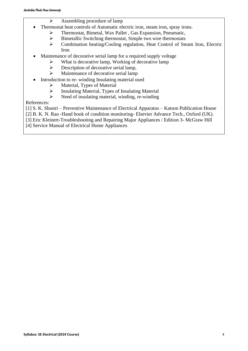- $\triangleright$  Assembling procedure of lamp
- Thermostat heat controls of Automatic electric iron, steam iron, spray irons.
	- ➢ Thermostat, Bimetal, Wax Pallet , Gas Expansion, Pneumatic,
	- ➢ Bimetallic Switching thermostat, Simple two wire thermostats
	- ➢ Combination heating/Cooling regulation, Heat Control of Steam Iron, Electric Iron
- Maintenance of decorative serial lamp for a required supply voltage
	- ➢ What is decorative lamp, Working of decorative lamp
	- $\triangleright$  Description of decorative serial lamp,
	- ➢ Maintenance of decorative serial lamp
- Introduction to re- winding Insulating material used
	- ➢ Material, Types of Material
	- ➢ Insulating Material, Types of Insulating Material
	- $\triangleright$  Need of insulating material, winding, re-winding

References:

[1] S. K. Shastri – Preventive Maintenance of Electrical Apparatus – Katson Publication House

[2] B. K. N. Rao -Hand book of condition monitoring- Elsevier Advance Tech., Oxford (UK).

[3] Eric Kleinert-Troubleshooting and Repairing Major Appliances / Edition 3- McGraw Hill

[4] Service Manual of Electrical Home Appliances